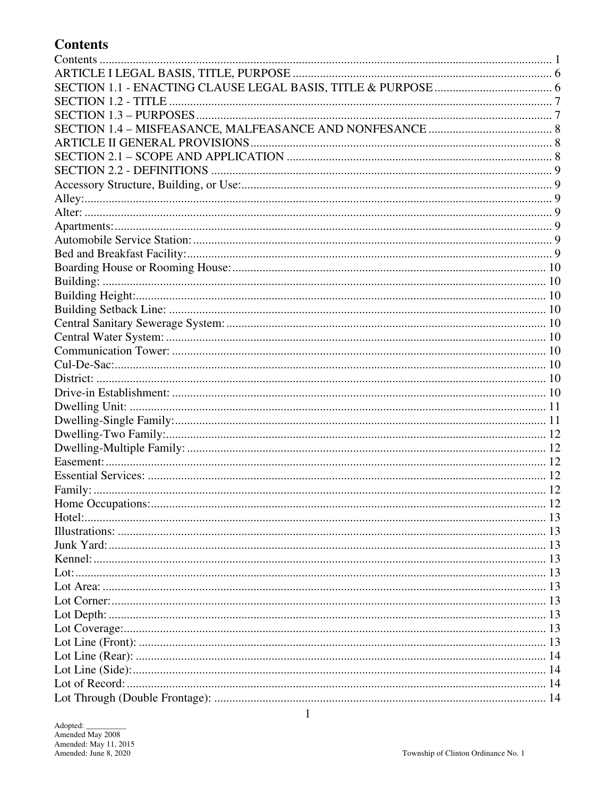# **Contents**

| Home Occupations: | . 12 |  |  |  |  |  |  |
|-------------------|------|--|--|--|--|--|--|
|                   |      |  |  |  |  |  |  |
|                   |      |  |  |  |  |  |  |
|                   |      |  |  |  |  |  |  |
|                   |      |  |  |  |  |  |  |
|                   |      |  |  |  |  |  |  |
|                   |      |  |  |  |  |  |  |
|                   |      |  |  |  |  |  |  |
|                   |      |  |  |  |  |  |  |
|                   |      |  |  |  |  |  |  |
|                   |      |  |  |  |  |  |  |
|                   |      |  |  |  |  |  |  |
|                   |      |  |  |  |  |  |  |
|                   |      |  |  |  |  |  |  |
|                   |      |  |  |  |  |  |  |
|                   |      |  |  |  |  |  |  |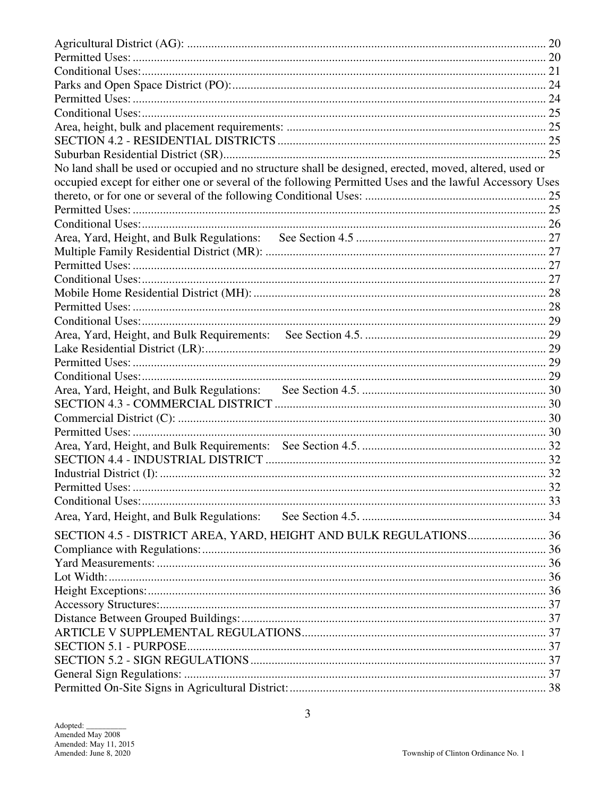| No land shall be used or occupied and no structure shall be designed, erected, moved, altered, used or  |  |  |  |  |  |  |
|---------------------------------------------------------------------------------------------------------|--|--|--|--|--|--|
| occupied except for either one or several of the following Permitted Uses and the lawful Accessory Uses |  |  |  |  |  |  |
|                                                                                                         |  |  |  |  |  |  |
|                                                                                                         |  |  |  |  |  |  |
|                                                                                                         |  |  |  |  |  |  |
|                                                                                                         |  |  |  |  |  |  |
|                                                                                                         |  |  |  |  |  |  |
|                                                                                                         |  |  |  |  |  |  |
|                                                                                                         |  |  |  |  |  |  |
|                                                                                                         |  |  |  |  |  |  |
|                                                                                                         |  |  |  |  |  |  |
|                                                                                                         |  |  |  |  |  |  |
|                                                                                                         |  |  |  |  |  |  |
|                                                                                                         |  |  |  |  |  |  |
|                                                                                                         |  |  |  |  |  |  |
|                                                                                                         |  |  |  |  |  |  |
|                                                                                                         |  |  |  |  |  |  |
|                                                                                                         |  |  |  |  |  |  |
|                                                                                                         |  |  |  |  |  |  |
|                                                                                                         |  |  |  |  |  |  |
|                                                                                                         |  |  |  |  |  |  |
|                                                                                                         |  |  |  |  |  |  |
|                                                                                                         |  |  |  |  |  |  |
|                                                                                                         |  |  |  |  |  |  |
|                                                                                                         |  |  |  |  |  |  |
|                                                                                                         |  |  |  |  |  |  |
| SECTION 4.5 - DISTRICT AREA, YARD, HEIGHT AND BULK REGULATIONS 36                                       |  |  |  |  |  |  |
|                                                                                                         |  |  |  |  |  |  |
|                                                                                                         |  |  |  |  |  |  |
|                                                                                                         |  |  |  |  |  |  |
|                                                                                                         |  |  |  |  |  |  |
|                                                                                                         |  |  |  |  |  |  |
|                                                                                                         |  |  |  |  |  |  |
|                                                                                                         |  |  |  |  |  |  |
|                                                                                                         |  |  |  |  |  |  |
|                                                                                                         |  |  |  |  |  |  |
|                                                                                                         |  |  |  |  |  |  |
|                                                                                                         |  |  |  |  |  |  |
|                                                                                                         |  |  |  |  |  |  |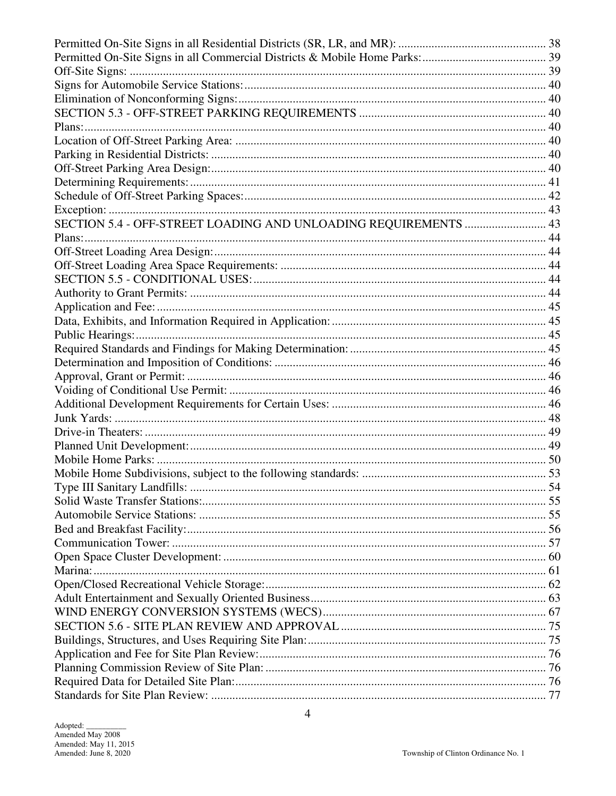| SECTION 5.4 - OFF-STREET LOADING AND UNLOADING REQUIREMENTS  43 |
|-----------------------------------------------------------------|
|                                                                 |
|                                                                 |
|                                                                 |
|                                                                 |
|                                                                 |
|                                                                 |
|                                                                 |
|                                                                 |
|                                                                 |
|                                                                 |
|                                                                 |
|                                                                 |
|                                                                 |
|                                                                 |
|                                                                 |
|                                                                 |
|                                                                 |
|                                                                 |
|                                                                 |
|                                                                 |
|                                                                 |
|                                                                 |
|                                                                 |
|                                                                 |
|                                                                 |
|                                                                 |
|                                                                 |
|                                                                 |
|                                                                 |
|                                                                 |
|                                                                 |
|                                                                 |
|                                                                 |
|                                                                 |
|                                                                 |
|                                                                 |
|                                                                 |
|                                                                 |
|                                                                 |
|                                                                 |
|                                                                 |
|                                                                 |
|                                                                 |
|                                                                 |
|                                                                 |
|                                                                 |
|                                                                 |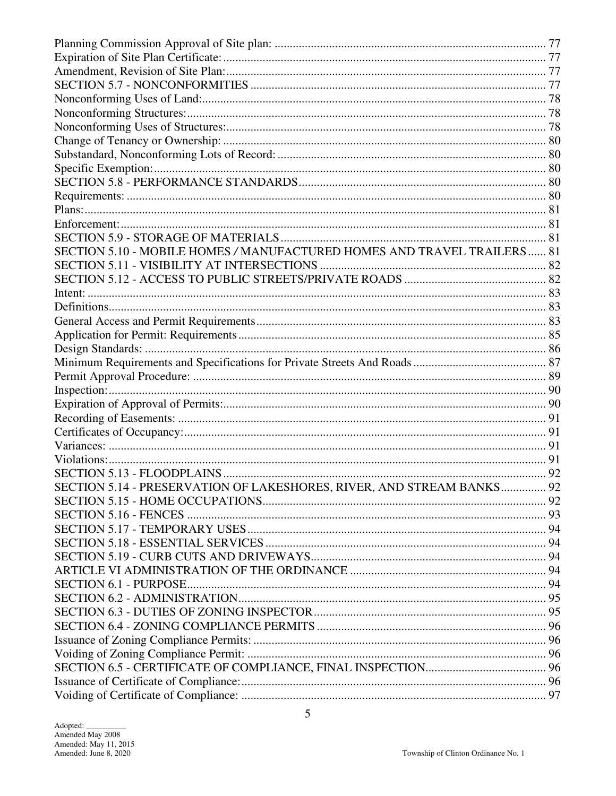| SECTION 5.10 - MOBILE HOMES / MANUFACTURED HOMES AND TRAVEL TRAILERS  81 |  |  |  |  |  |  |  |  |
|--------------------------------------------------------------------------|--|--|--|--|--|--|--|--|
|                                                                          |  |  |  |  |  |  |  |  |
|                                                                          |  |  |  |  |  |  |  |  |
|                                                                          |  |  |  |  |  |  |  |  |
|                                                                          |  |  |  |  |  |  |  |  |
|                                                                          |  |  |  |  |  |  |  |  |
|                                                                          |  |  |  |  |  |  |  |  |
|                                                                          |  |  |  |  |  |  |  |  |
|                                                                          |  |  |  |  |  |  |  |  |
|                                                                          |  |  |  |  |  |  |  |  |
|                                                                          |  |  |  |  |  |  |  |  |
|                                                                          |  |  |  |  |  |  |  |  |
|                                                                          |  |  |  |  |  |  |  |  |
|                                                                          |  |  |  |  |  |  |  |  |
|                                                                          |  |  |  |  |  |  |  |  |
|                                                                          |  |  |  |  |  |  |  |  |
|                                                                          |  |  |  |  |  |  |  |  |
| SECTION 5.14 - PRESERVATION OF LAKESHORES, RIVER, AND STREAM BANKS 92    |  |  |  |  |  |  |  |  |
|                                                                          |  |  |  |  |  |  |  |  |
|                                                                          |  |  |  |  |  |  |  |  |
|                                                                          |  |  |  |  |  |  |  |  |
|                                                                          |  |  |  |  |  |  |  |  |
|                                                                          |  |  |  |  |  |  |  |  |
|                                                                          |  |  |  |  |  |  |  |  |
|                                                                          |  |  |  |  |  |  |  |  |
|                                                                          |  |  |  |  |  |  |  |  |
|                                                                          |  |  |  |  |  |  |  |  |
|                                                                          |  |  |  |  |  |  |  |  |
|                                                                          |  |  |  |  |  |  |  |  |
|                                                                          |  |  |  |  |  |  |  |  |
|                                                                          |  |  |  |  |  |  |  |  |
|                                                                          |  |  |  |  |  |  |  |  |
|                                                                          |  |  |  |  |  |  |  |  |
|                                                                          |  |  |  |  |  |  |  |  |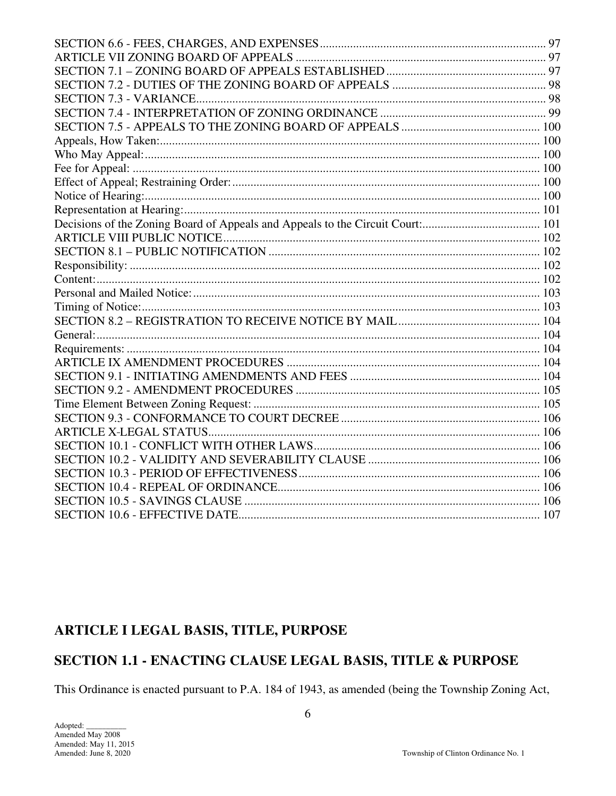## ARTICLE I LEGAL BASIS, TITLE, PURPOSE

# SECTION 1.1 - ENACTING CLAUSE LEGAL BASIS, TITLE & PURPOSE

This Ordinance is enacted pursuant to P.A. 184 of 1943, as amended (being the Township Zoning Act,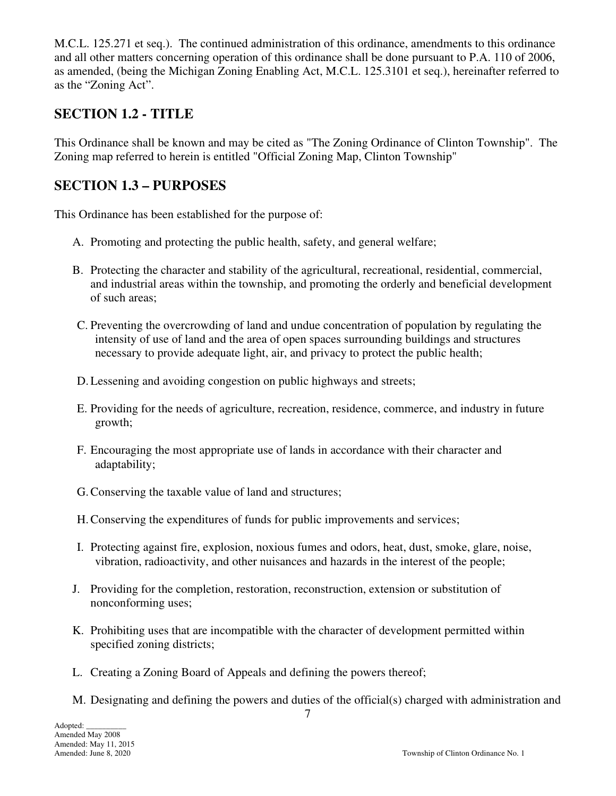M.C.L. 125.271 et seq.). The continued administration of this ordinance, amendments to this ordinance and all other matters concerning operation of this ordinance shall be done pursuant to P.A. 110 of 2006, as amended, (being the Michigan Zoning Enabling Act, M.C.L. 125.3101 et seq.), hereinafter referred to as the "Zoning Act".

## **SECTION 1.2 - TITLE**

This Ordinance shall be known and may be cited as "The Zoning Ordinance of Clinton Township". The Zoning map referred to herein is entitled "Official Zoning Map, Clinton Township"

## **SECTION 1.3 – PURPOSES**

This Ordinance has been established for the purpose of:

- A. Promoting and protecting the public health, safety, and general welfare;
- B. Protecting the character and stability of the agricultural, recreational, residential, commercial, and industrial areas within the township, and promoting the orderly and beneficial development of such areas;
- C. Preventing the overcrowding of land and undue concentration of population by regulating the intensity of use of land and the area of open spaces surrounding buildings and structures necessary to provide adequate light, air, and privacy to protect the public health;
- D.Lessening and avoiding congestion on public highways and streets;
- E. Providing for the needs of agriculture, recreation, residence, commerce, and industry in future growth;
- F. Encouraging the most appropriate use of lands in accordance with their character and adaptability;
- G.Conserving the taxable value of land and structures;
- H.Conserving the expenditures of funds for public improvements and services;
- I. Protecting against fire, explosion, noxious fumes and odors, heat, dust, smoke, glare, noise, vibration, radioactivity, and other nuisances and hazards in the interest of the people;
- J. Providing for the completion, restoration, reconstruction, extension or substitution of nonconforming uses;
- K. Prohibiting uses that are incompatible with the character of development permitted within specified zoning districts;
- L. Creating a Zoning Board of Appeals and defining the powers thereof;
- M. Designating and defining the powers and duties of the official(s) charged with administration and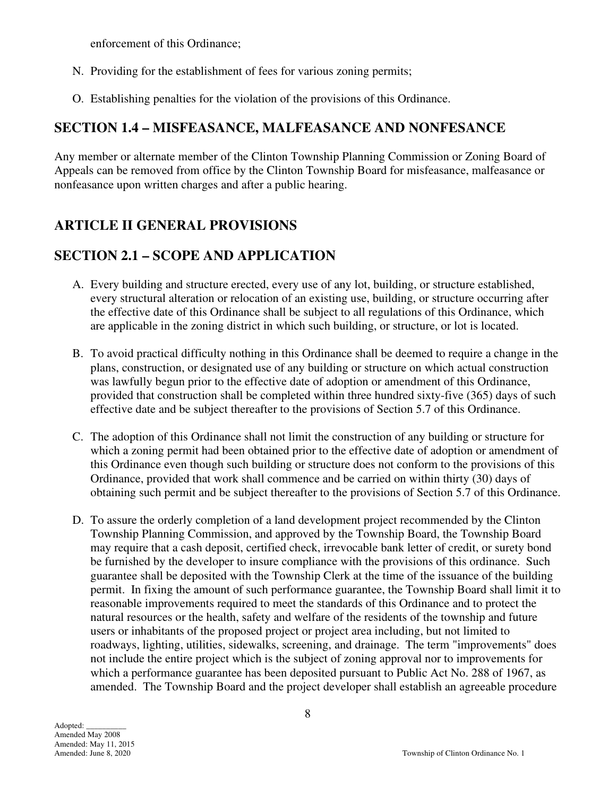enforcement of this Ordinance;

- N. Providing for the establishment of fees for various zoning permits;
- O. Establishing penalties for the violation of the provisions of this Ordinance.

# **SECTION 1.4 – MISFEASANCE, MALFEASANCE AND NONFESANCE**

Any member or alternate member of the Clinton Township Planning Commission or Zoning Board of Appeals can be removed from office by the Clinton Township Board for misfeasance, malfeasance or nonfeasance upon written charges and after a public hearing.

# **ARTICLE II GENERAL PROVISIONS**

## **SECTION 2.1 – SCOPE AND APPLICATION**

- A. Every building and structure erected, every use of any lot, building, or structure established, every structural alteration or relocation of an existing use, building, or structure occurring after the effective date of this Ordinance shall be subject to all regulations of this Ordinance, which are applicable in the zoning district in which such building, or structure, or lot is located.
- B. To avoid practical difficulty nothing in this Ordinance shall be deemed to require a change in the plans, construction, or designated use of any building or structure on which actual construction was lawfully begun prior to the effective date of adoption or amendment of this Ordinance, provided that construction shall be completed within three hundred sixty-five (365) days of such effective date and be subject thereafter to the provisions of Section 5.7 of this Ordinance.
- C. The adoption of this Ordinance shall not limit the construction of any building or structure for which a zoning permit had been obtained prior to the effective date of adoption or amendment of this Ordinance even though such building or structure does not conform to the provisions of this Ordinance, provided that work shall commence and be carried on within thirty (30) days of obtaining such permit and be subject thereafter to the provisions of Section 5.7 of this Ordinance.
- D. To assure the orderly completion of a land development project recommended by the Clinton Township Planning Commission, and approved by the Township Board, the Township Board may require that a cash deposit, certified check, irrevocable bank letter of credit, or surety bond be furnished by the developer to insure compliance with the provisions of this ordinance. Such guarantee shall be deposited with the Township Clerk at the time of the issuance of the building permit. In fixing the amount of such performance guarantee, the Township Board shall limit it to reasonable improvements required to meet the standards of this Ordinance and to protect the natural resources or the health, safety and welfare of the residents of the township and future users or inhabitants of the proposed project or project area including, but not limited to roadways, lighting, utilities, sidewalks, screening, and drainage. The term "improvements" does not include the entire project which is the subject of zoning approval nor to improvements for which a performance guarantee has been deposited pursuant to Public Act No. 288 of 1967, as amended. The Township Board and the project developer shall establish an agreeable procedure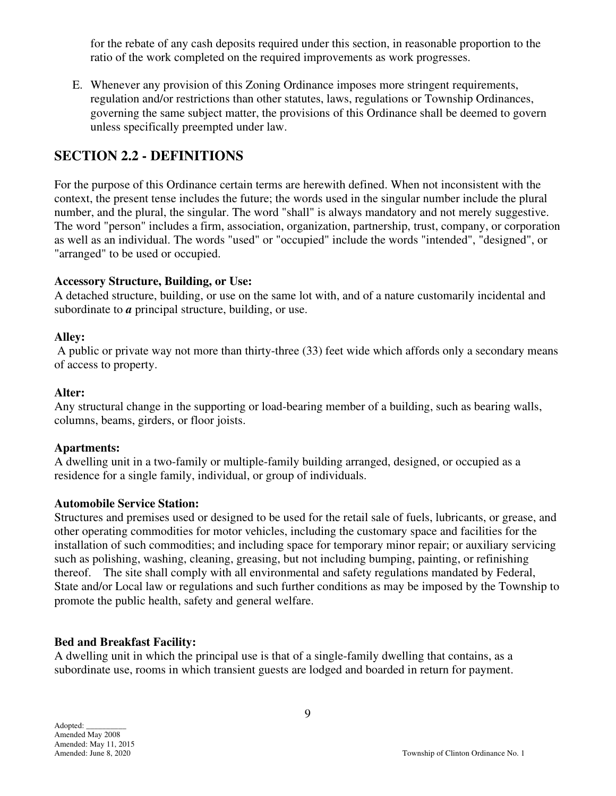for the rebate of any cash deposits required under this section, in reasonable proportion to the ratio of the work completed on the required improvements as work progresses.

E. Whenever any provision of this Zoning Ordinance imposes more stringent requirements, regulation and/or restrictions than other statutes, laws, regulations or Township Ordinances, governing the same subject matter, the provisions of this Ordinance shall be deemed to govern unless specifically preempted under law.

## **SECTION 2.2 - DEFINITIONS**

For the purpose of this Ordinance certain terms are herewith defined. When not inconsistent with the context, the present tense includes the future; the words used in the singular number include the plural number, and the plural, the singular. The word "shall" is always mandatory and not merely suggestive. The word "person" includes a firm, association, organization, partnership, trust, company, or corporation as well as an individual. The words "used" or "occupied" include the words "intended", "designed", or "arranged" to be used or occupied.

## **Accessory Structure, Building, or Use:**

A detached structure, building, or use on the same lot with, and of a nature customarily incidental and subordinate to *a* principal structure, building, or use.

## **Alley:**

 A public or private way not more than thirty-three (33) feet wide which affords only a secondary means of access to property.

#### **Alter:**

Any structural change in the supporting or load-bearing member of a building, such as bearing walls, columns, beams, girders, or floor joists.

#### **Apartments:**

A dwelling unit in a two-family or multiple-family building arranged, designed, or occupied as a residence for a single family, individual, or group of individuals.

#### **Automobile Service Station:**

Structures and premises used or designed to be used for the retail sale of fuels, lubricants, or grease, and other operating commodities for motor vehicles, including the customary space and facilities for the installation of such commodities; and including space for temporary minor repair; or auxiliary servicing such as polishing, washing, cleaning, greasing, but not including bumping, painting, or refinishing thereof. The site shall comply with all environmental and safety regulations mandated by Federal, State and/or Local law or regulations and such further conditions as may be imposed by the Township to promote the public health, safety and general welfare.

## **Bed and Breakfast Facility:**

A dwelling unit in which the principal use is that of a single-family dwelling that contains, as a subordinate use, rooms in which transient guests are lodged and boarded in return for payment.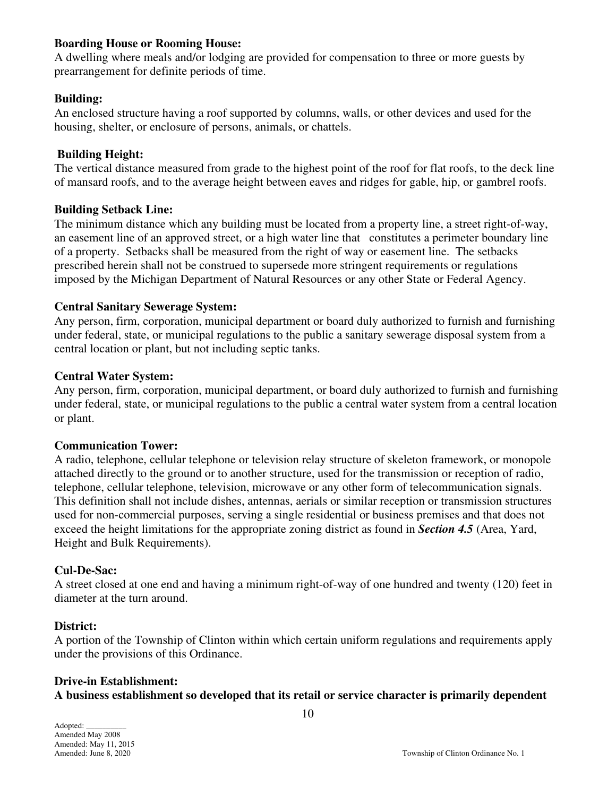#### **Boarding House or Rooming House:**

A dwelling where meals and/or lodging are provided for compensation to three or more guests by prearrangement for definite periods of time.

#### **Building:**

An enclosed structure having a roof supported by columns, walls, or other devices and used for the housing, shelter, or enclosure of persons, animals, or chattels.

#### **Building Height:**

The vertical distance measured from grade to the highest point of the roof for flat roofs, to the deck line of mansard roofs, and to the average height between eaves and ridges for gable, hip, or gambrel roofs.

#### **Building Setback Line:**

The minimum distance which any building must be located from a property line, a street right-of-way, an easement line of an approved street, or a high water line that constitutes a perimeter boundary line of a property. Setbacks shall be measured from the right of way or easement line. The setbacks prescribed herein shall not be construed to supersede more stringent requirements or regulations imposed by the Michigan Department of Natural Resources or any other State or Federal Agency.

## **Central Sanitary Sewerage System:**

Any person, firm, corporation, municipal department or board duly authorized to furnish and furnishing under federal, state, or municipal regulations to the public a sanitary sewerage disposal system from a central location or plant, but not including septic tanks.

#### **Central Water System:**

Any person, firm, corporation, municipal department, or board duly authorized to furnish and furnishing under federal, state, or municipal regulations to the public a central water system from a central location or plant.

#### **Communication Tower:**

A radio, telephone, cellular telephone or television relay structure of skeleton framework, or monopole attached directly to the ground or to another structure, used for the transmission or reception of radio, telephone, cellular telephone, television, microwave or any other form of telecommunication signals. This definition shall not include dishes, antennas, aerials or similar reception or transmission structures used for non-commercial purposes, serving a single residential or business premises and that does not exceed the height limitations for the appropriate zoning district as found in *Section 4.5* (Area, Yard, Height and Bulk Requirements).

#### **Cul-De-Sac:**

A street closed at one end and having a minimum right-of-way of one hundred and twenty (120) feet in diameter at the turn around.

#### **District:**

A portion of the Township of Clinton within which certain uniform regulations and requirements apply under the provisions of this Ordinance.

## **Drive-in Establishment:**

**A business establishment so developed that its retail or service character is primarily dependent**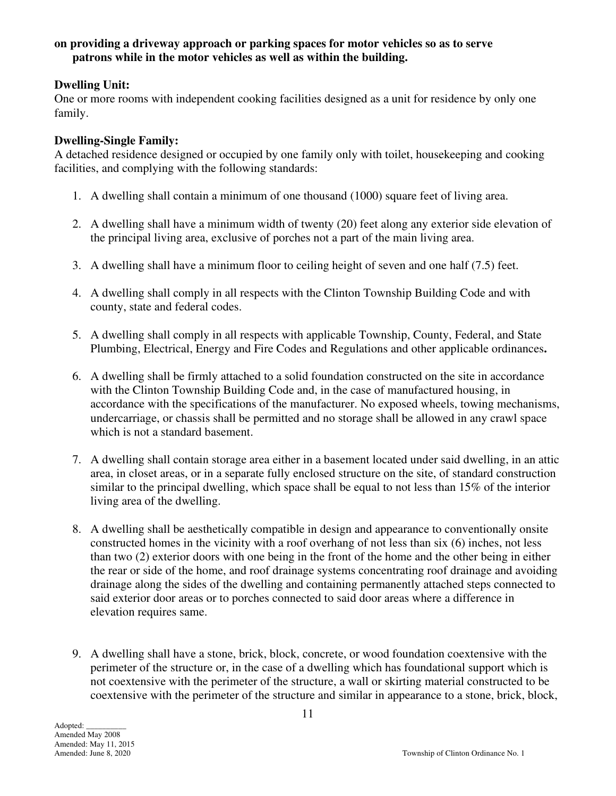#### **on providing a driveway approach or parking spaces for motor vehicles so as to serve patrons while in the motor vehicles as well as within the building.**

## **Dwelling Unit:**

One or more rooms with independent cooking facilities designed as a unit for residence by only one family.

## **Dwelling-Single Family:**

A detached residence designed or occupied by one family only with toilet, housekeeping and cooking facilities, and complying with the following standards:

- 1. A dwelling shall contain a minimum of one thousand (1000) square feet of living area.
- 2. A dwelling shall have a minimum width of twenty (20) feet along any exterior side elevation of the principal living area, exclusive of porches not a part of the main living area.
- 3. A dwelling shall have a minimum floor to ceiling height of seven and one half (7.5) feet.
- 4. A dwelling shall comply in all respects with the Clinton Township Building Code and with county, state and federal codes.
- 5. A dwelling shall comply in all respects with applicable Township, County, Federal, and State Plumbing, Electrical, Energy and Fire Codes and Regulations and other applicable ordinances**.**
- 6. A dwelling shall be firmly attached to a solid foundation constructed on the site in accordance with the Clinton Township Building Code and, in the case of manufactured housing, in accordance with the specifications of the manufacturer. No exposed wheels, towing mechanisms, undercarriage, or chassis shall be permitted and no storage shall be allowed in any crawl space which is not a standard basement.
- 7. A dwelling shall contain storage area either in a basement located under said dwelling, in an attic area, in closet areas, or in a separate fully enclosed structure on the site, of standard construction similar to the principal dwelling, which space shall be equal to not less than 15% of the interior living area of the dwelling.
- 8. A dwelling shall be aesthetically compatible in design and appearance to conventionally onsite constructed homes in the vicinity with a roof overhang of not less than six (6) inches, not less than two (2) exterior doors with one being in the front of the home and the other being in either the rear or side of the home, and roof drainage systems concentrating roof drainage and avoiding drainage along the sides of the dwelling and containing permanently attached steps connected to said exterior door areas or to porches connected to said door areas where a difference in elevation requires same.
- 9. A dwelling shall have a stone, brick, block, concrete, or wood foundation coextensive with the perimeter of the structure or, in the case of a dwelling which has foundational support which is not coextensive with the perimeter of the structure, a wall or skirting material constructed to be coextensive with the perimeter of the structure and similar in appearance to a stone, brick, block,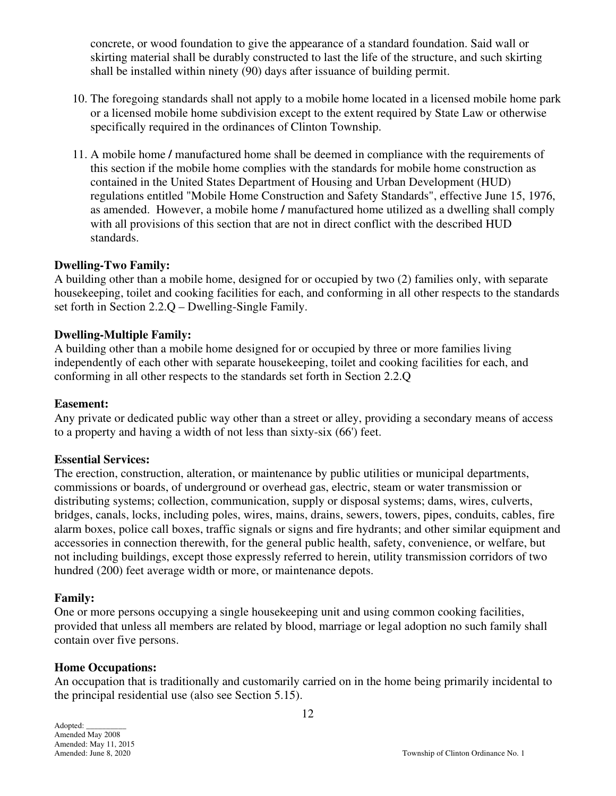concrete, or wood foundation to give the appearance of a standard foundation. Said wall or skirting material shall be durably constructed to last the life of the structure, and such skirting shall be installed within ninety (90) days after issuance of building permit.

- 10. The foregoing standards shall not apply to a mobile home located in a licensed mobile home park or a licensed mobile home subdivision except to the extent required by State Law or otherwise specifically required in the ordinances of Clinton Township.
- 11. A mobile home **/** manufactured home shall be deemed in compliance with the requirements of this section if the mobile home complies with the standards for mobile home construction as contained in the United States Department of Housing and Urban Development (HUD) regulations entitled "Mobile Home Construction and Safety Standards", effective June 15, 1976, as amended. However, a mobile home **/** manufactured home utilized as a dwelling shall comply with all provisions of this section that are not in direct conflict with the described HUD standards.

#### **Dwelling-Two Family:**

A building other than a mobile home, designed for or occupied by two (2) families only, with separate housekeeping, toilet and cooking facilities for each, and conforming in all other respects to the standards set forth in Section 2.2.Q – Dwelling-Single Family.

#### **Dwelling-Multiple Family:**

A building other than a mobile home designed for or occupied by three or more families living independently of each other with separate housekeeping, toilet and cooking facilities for each, and conforming in all other respects to the standards set forth in Section 2.2.Q

#### **Easement:**

Any private or dedicated public way other than a street or alley, providing a secondary means of access to a property and having a width of not less than sixty-six (66') feet.

#### **Essential Services:**

The erection, construction, alteration, or maintenance by public utilities or municipal departments, commissions or boards, of underground or overhead gas, electric, steam or water transmission or distributing systems; collection, communication, supply or disposal systems; dams, wires, culverts, bridges, canals, locks, including poles, wires, mains, drains, sewers, towers, pipes, conduits, cables, fire alarm boxes, police call boxes, traffic signals or signs and fire hydrants; and other similar equipment and accessories in connection therewith, for the general public health, safety, convenience, or welfare, but not including buildings, except those expressly referred to herein, utility transmission corridors of two hundred (200) feet average width or more, or maintenance depots.

#### **Family:**

One or more persons occupying a single housekeeping unit and using common cooking facilities, provided that unless all members are related by blood, marriage or legal adoption no such family shall contain over five persons.

#### **Home Occupations:**

An occupation that is traditionally and customarily carried on in the home being primarily incidental to the principal residential use (also see Section 5.15).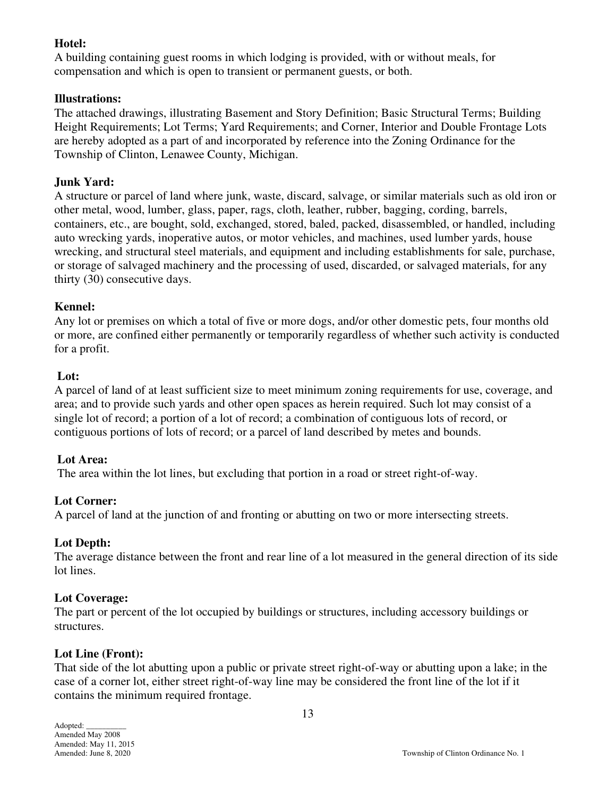## **Hotel:**

A building containing guest rooms in which lodging is provided, with or without meals, for compensation and which is open to transient or permanent guests, or both.

## **Illustrations:**

The attached drawings, illustrating Basement and Story Definition; Basic Structural Terms; Building Height Requirements; Lot Terms; Yard Requirements; and Corner, Interior and Double Frontage Lots are hereby adopted as a part of and incorporated by reference into the Zoning Ordinance for the Township of Clinton, Lenawee County, Michigan.

## **Junk Yard:**

A structure or parcel of land where junk, waste, discard, salvage, or similar materials such as old iron or other metal, wood, lumber, glass, paper, rags, cloth, leather, rubber, bagging, cording, barrels, containers, etc., are bought, sold, exchanged, stored, baled, packed, disassembled, or handled, including auto wrecking yards, inoperative autos, or motor vehicles, and machines, used lumber yards, house wrecking, and structural steel materials, and equipment and including establishments for sale, purchase, or storage of salvaged machinery and the processing of used, discarded, or salvaged materials, for any thirty (30) consecutive days.

## **Kennel:**

Any lot or premises on which a total of five or more dogs, and/or other domestic pets, four months old or more, are confined either permanently or temporarily regardless of whether such activity is conducted for a profit.

## **Lot:**

A parcel of land of at least sufficient size to meet minimum zoning requirements for use, coverage, and area; and to provide such yards and other open spaces as herein required. Such lot may consist of a single lot of record; a portion of a lot of record; a combination of contiguous lots of record, or contiguous portions of lots of record; or a parcel of land described by metes and bounds.

## **Lot Area:**

The area within the lot lines, but excluding that portion in a road or street right-of-way.

## **Lot Corner:**

A parcel of land at the junction of and fronting or abutting on two or more intersecting streets.

## **Lot Depth:**

The average distance between the front and rear line of a lot measured in the general direction of its side lot lines.

## **Lot Coverage:**

The part or percent of the lot occupied by buildings or structures, including accessory buildings or structures.

## **Lot Line (Front):**

That side of the lot abutting upon a public or private street right-of-way or abutting upon a lake; in the case of a corner lot, either street right-of-way line may be considered the front line of the lot if it contains the minimum required frontage.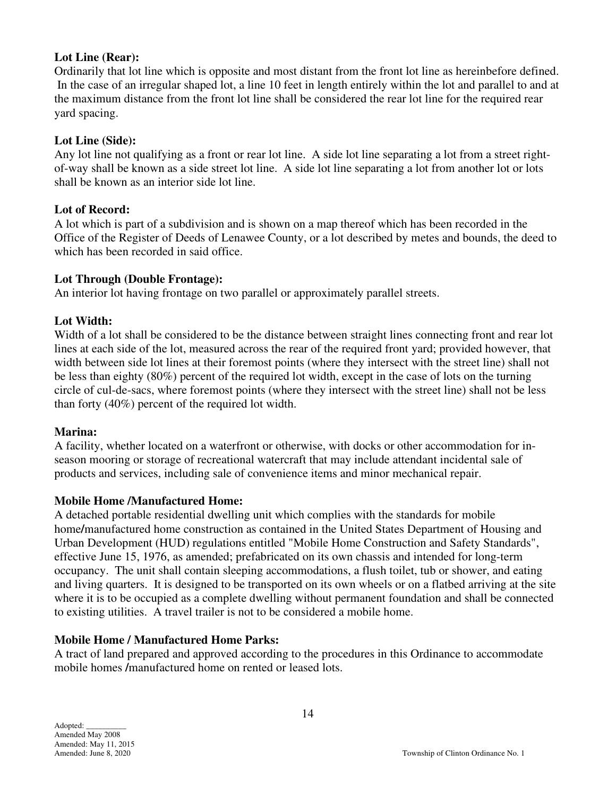#### **Lot Line (Rear):**

Ordinarily that lot line which is opposite and most distant from the front lot line as hereinbefore defined. In the case of an irregular shaped lot, a line 10 feet in length entirely within the lot and parallel to and at the maximum distance from the front lot line shall be considered the rear lot line for the required rear yard spacing.

#### **Lot Line (Side):**

Any lot line not qualifying as a front or rear lot line. A side lot line separating a lot from a street rightof-way shall be known as a side street lot line. A side lot line separating a lot from another lot or lots shall be known as an interior side lot line.

#### **Lot of Record:**

A lot which is part of a subdivision and is shown on a map thereof which has been recorded in the Office of the Register of Deeds of Lenawee County, or a lot described by metes and bounds, the deed to which has been recorded in said office.

#### **Lot Through (Double Frontage):**

An interior lot having frontage on two parallel or approximately parallel streets.

#### **Lot Width:**

Width of a lot shall be considered to be the distance between straight lines connecting front and rear lot lines at each side of the lot, measured across the rear of the required front yard; provided however, that width between side lot lines at their foremost points (where they intersect with the street line) shall not be less than eighty (80%) percent of the required lot width, except in the case of lots on the turning circle of cul-de-sacs, where foremost points (where they intersect with the street line) shall not be less than forty (40%) percent of the required lot width.

#### **Marina:**

A facility, whether located on a waterfront or otherwise, with docks or other accommodation for inseason mooring or storage of recreational watercraft that may include attendant incidental sale of products and services, including sale of convenience items and minor mechanical repair.

#### **Mobile Home /Manufactured Home:**

A detached portable residential dwelling unit which complies with the standards for mobile home**/**manufactured home construction as contained in the United States Department of Housing and Urban Development (HUD) regulations entitled "Mobile Home Construction and Safety Standards", effective June 15, 1976, as amended; prefabricated on its own chassis and intended for long-term occupancy. The unit shall contain sleeping accommodations, a flush toilet, tub or shower, and eating and living quarters. It is designed to be transported on its own wheels or on a flatbed arriving at the site where it is to be occupied as a complete dwelling without permanent foundation and shall be connected to existing utilities. A travel trailer is not to be considered a mobile home.

#### **Mobile Home / Manufactured Home Parks:**

A tract of land prepared and approved according to the procedures in this Ordinance to accommodate mobile homes **/**manufactured home on rented or leased lots.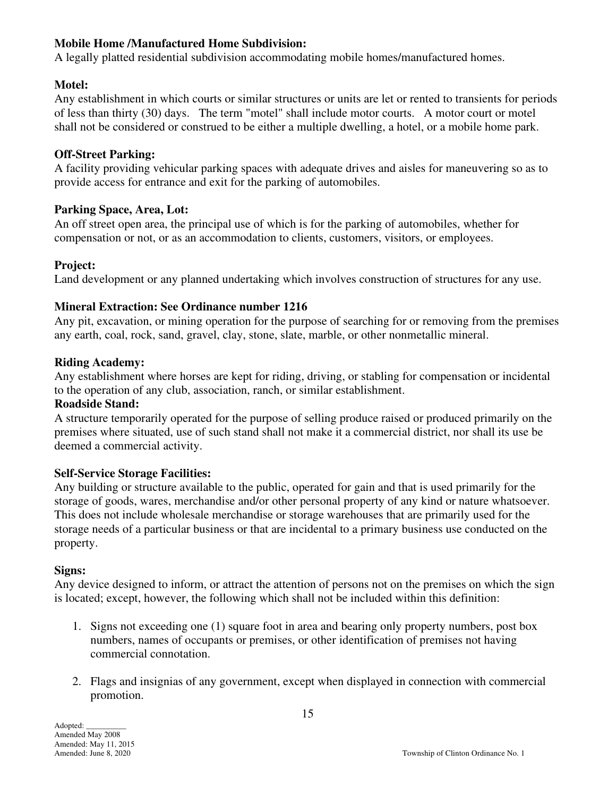## **Mobile Home /Manufactured Home Subdivision:**

A legally platted residential subdivision accommodating mobile homes/manufactured homes.

## **Motel:**

Any establishment in which courts or similar structures or units are let or rented to transients for periods of less than thirty (30) days. The term "motel" shall include motor courts. A motor court or motel shall not be considered or construed to be either a multiple dwelling, a hotel, or a mobile home park.

## **Off-Street Parking:**

A facility providing vehicular parking spaces with adequate drives and aisles for maneuvering so as to provide access for entrance and exit for the parking of automobiles.

#### **Parking Space, Area, Lot:**

An off street open area, the principal use of which is for the parking of automobiles, whether for compensation or not, or as an accommodation to clients, customers, visitors, or employees.

## **Project:**

Land development or any planned undertaking which involves construction of structures for any use.

## **Mineral Extraction: See Ordinance number 1216**

Any pit, excavation, or mining operation for the purpose of searching for or removing from the premises any earth, coal, rock, sand, gravel, clay, stone, slate, marble, or other nonmetallic mineral.

#### **Riding Academy:**

Any establishment where horses are kept for riding, driving, or stabling for compensation or incidental to the operation of any club, association, ranch, or similar establishment.

#### **Roadside Stand:**

A structure temporarily operated for the purpose of selling produce raised or produced primarily on the premises where situated, use of such stand shall not make it a commercial district, nor shall its use be deemed a commercial activity.

## **Self-Service Storage Facilities:**

Any building or structure available to the public, operated for gain and that is used primarily for the storage of goods, wares, merchandise and/or other personal property of any kind or nature whatsoever. This does not include wholesale merchandise or storage warehouses that are primarily used for the storage needs of a particular business or that are incidental to a primary business use conducted on the property.

#### **Signs:**

Any device designed to inform, or attract the attention of persons not on the premises on which the sign is located; except, however, the following which shall not be included within this definition:

- 1. Signs not exceeding one (1) square foot in area and bearing only property numbers, post box numbers, names of occupants or premises, or other identification of premises not having commercial connotation.
- 2. Flags and insignias of any government, except when displayed in connection with commercial promotion.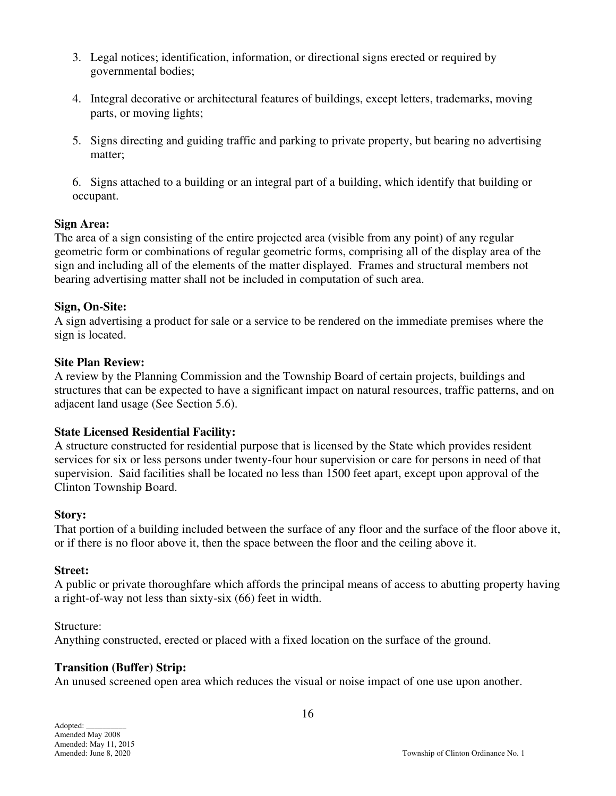- 3. Legal notices; identification, information, or directional signs erected or required by governmental bodies;
- 4. Integral decorative or architectural features of buildings, except letters, trademarks, moving parts, or moving lights;
- 5. Signs directing and guiding traffic and parking to private property, but bearing no advertising matter;

 6. Signs attached to a building or an integral part of a building, which identify that building or occupant.

#### **Sign Area:**

The area of a sign consisting of the entire projected area (visible from any point) of any regular geometric form or combinations of regular geometric forms, comprising all of the display area of the sign and including all of the elements of the matter displayed. Frames and structural members not bearing advertising matter shall not be included in computation of such area.

## **Sign, On-Site:**

A sign advertising a product for sale or a service to be rendered on the immediate premises where the sign is located.

## **Site Plan Review:**

A review by the Planning Commission and the Township Board of certain projects, buildings and structures that can be expected to have a significant impact on natural resources, traffic patterns, and on adjacent land usage (See Section 5.6).

## **State Licensed Residential Facility:**

A structure constructed for residential purpose that is licensed by the State which provides resident services for six or less persons under twenty-four hour supervision or care for persons in need of that supervision. Said facilities shall be located no less than 1500 feet apart, except upon approval of the Clinton Township Board.

#### **Story:**

That portion of a building included between the surface of any floor and the surface of the floor above it, or if there is no floor above it, then the space between the floor and the ceiling above it.

## **Street:**

A public or private thoroughfare which affords the principal means of access to abutting property having a right-of-way not less than sixty-six (66) feet in width.

Structure:

Anything constructed, erected or placed with a fixed location on the surface of the ground.

## **Transition (Buffer) Strip:**

An unused screened open area which reduces the visual or noise impact of one use upon another.

Adopted: \_\_\_\_\_\_\_\_\_\_ Amended May 2008 Amended: May 11, 2015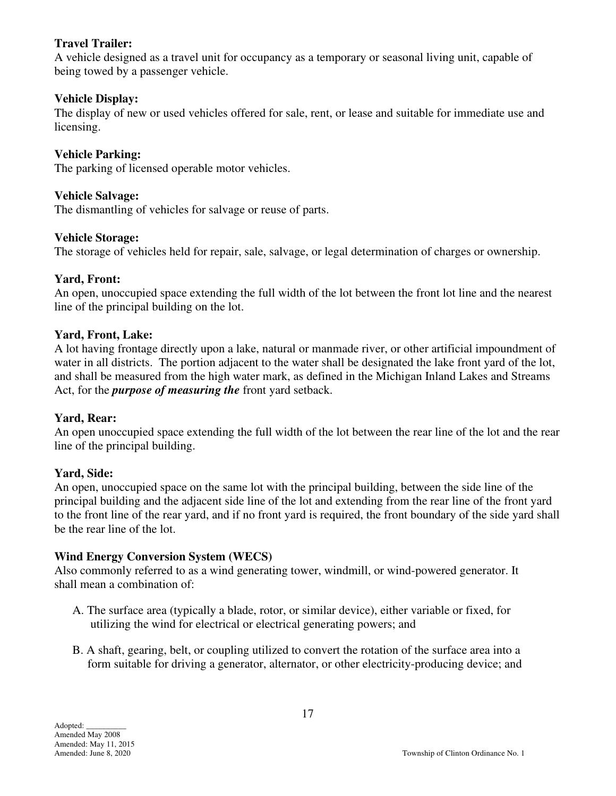## **Travel Trailer:**

A vehicle designed as a travel unit for occupancy as a temporary or seasonal living unit, capable of being towed by a passenger vehicle.

## **Vehicle Display:**

The display of new or used vehicles offered for sale, rent, or lease and suitable for immediate use and licensing.

## **Vehicle Parking:**

The parking of licensed operable motor vehicles.

## **Vehicle Salvage:**

The dismantling of vehicles for salvage or reuse of parts.

## **Vehicle Storage:**

The storage of vehicles held for repair, sale, salvage, or legal determination of charges or ownership.

## **Yard, Front:**

An open, unoccupied space extending the full width of the lot between the front lot line and the nearest line of the principal building on the lot.

## **Yard, Front, Lake:**

A lot having frontage directly upon a lake, natural or manmade river, or other artificial impoundment of water in all districts. The portion adjacent to the water shall be designated the lake front yard of the lot, and shall be measured from the high water mark, as defined in the Michigan Inland Lakes and Streams Act, for the *purpose of measuring the* front yard setback.

## **Yard, Rear:**

An open unoccupied space extending the full width of the lot between the rear line of the lot and the rear line of the principal building.

## **Yard, Side:**

An open, unoccupied space on the same lot with the principal building, between the side line of the principal building and the adjacent side line of the lot and extending from the rear line of the front yard to the front line of the rear yard, and if no front yard is required, the front boundary of the side yard shall be the rear line of the lot.

## **Wind Energy Conversion System (WECS)**

Also commonly referred to as a wind generating tower, windmill, or wind-powered generator. It shall mean a combination of:

- A. The surface area (typically a blade, rotor, or similar device), either variable or fixed, for utilizing the wind for electrical or electrical generating powers; and
- B. A shaft, gearing, belt, or coupling utilized to convert the rotation of the surface area into a form suitable for driving a generator, alternator, or other electricity-producing device; and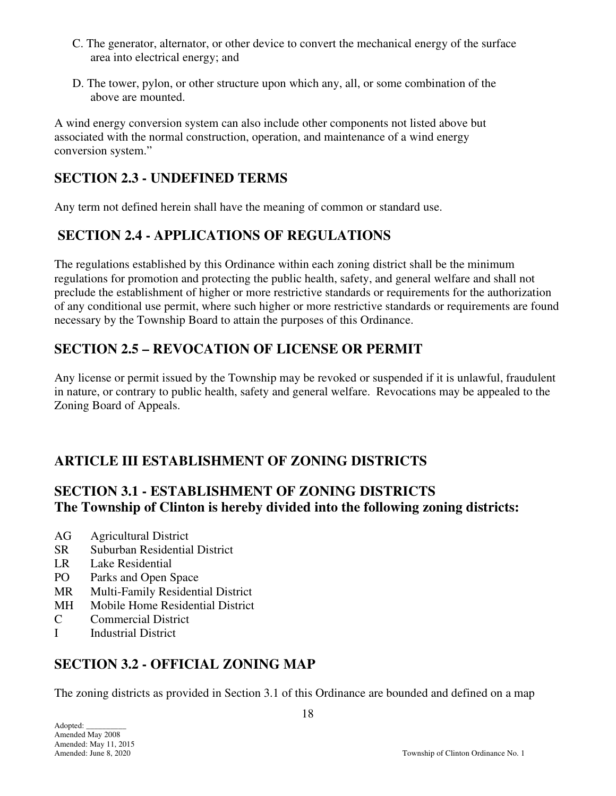- C. The generator, alternator, or other device to convert the mechanical energy of the surface area into electrical energy; and
- D. The tower, pylon, or other structure upon which any, all, or some combination of the above are mounted.

A wind energy conversion system can also include other components not listed above but associated with the normal construction, operation, and maintenance of a wind energy conversion system."

# **SECTION 2.3 - UNDEFINED TERMS**

Any term not defined herein shall have the meaning of common or standard use.

# **SECTION 2.4 - APPLICATIONS OF REGULATIONS**

The regulations established by this Ordinance within each zoning district shall be the minimum regulations for promotion and protecting the public health, safety, and general welfare and shall not preclude the establishment of higher or more restrictive standards or requirements for the authorization of any conditional use permit, where such higher or more restrictive standards or requirements are found necessary by the Township Board to attain the purposes of this Ordinance.

# **SECTION 2.5 – REVOCATION OF LICENSE OR PERMIT**

Any license or permit issued by the Township may be revoked or suspended if it is unlawful, fraudulent in nature, or contrary to public health, safety and general welfare. Revocations may be appealed to the Zoning Board of Appeals.

# **ARTICLE III ESTABLISHMENT OF ZONING DISTRICTS**

# **SECTION 3.1 - ESTABLISHMENT OF ZONING DISTRICTS The Township of Clinton is hereby divided into the following zoning districts:**

- AG Agricultural District
- SR Suburban Residential District
- LR Lake Residential
- PO Parks and Open Space
- MR Multi-Family Residential District
- MH Mobile Home Residential District
- C Commercial District
- I Industrial District

# **SECTION 3.2 - OFFICIAL ZONING MAP**

The zoning districts as provided in Section 3.1 of this Ordinance are bounded and defined on a map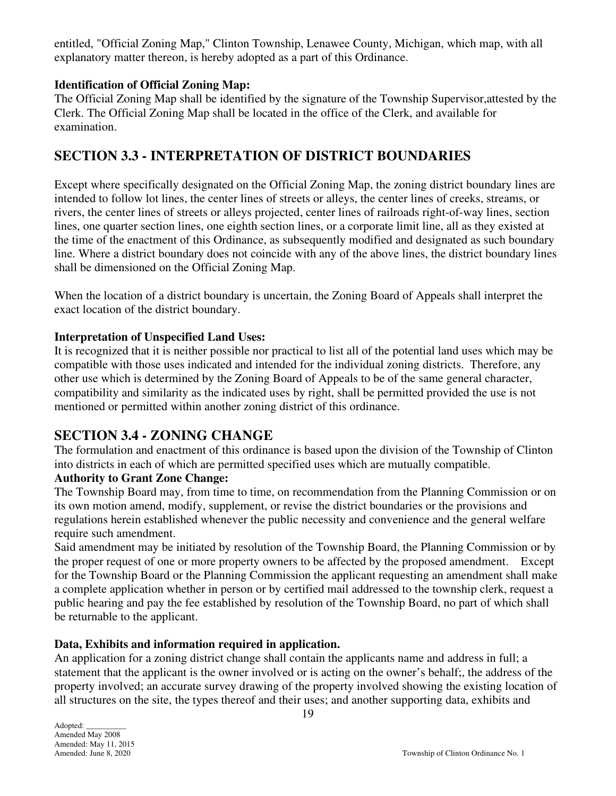entitled, "Official Zoning Map," Clinton Township, Lenawee County, Michigan, which map, with all explanatory matter thereon, is hereby adopted as a part of this Ordinance.

## **Identification of Official Zoning Map:**

The Official Zoning Map shall be identified by the signature of the Township Supervisor,attested by the Clerk. The Official Zoning Map shall be located in the office of the Clerk, and available for examination.

## **SECTION 3.3 - INTERPRETATION OF DISTRICT BOUNDARIES**

Except where specifically designated on the Official Zoning Map, the zoning district boundary lines are intended to follow lot lines, the center lines of streets or alleys, the center lines of creeks, streams, or rivers, the center lines of streets or alleys projected, center lines of railroads right-of-way lines, section lines, one quarter section lines, one eighth section lines, or a corporate limit line, all as they existed at the time of the enactment of this Ordinance, as subsequently modified and designated as such boundary line. Where a district boundary does not coincide with any of the above lines, the district boundary lines shall be dimensioned on the Official Zoning Map.

When the location of a district boundary is uncertain, the Zoning Board of Appeals shall interpret the exact location of the district boundary.

## **Interpretation of Unspecified Land Uses:**

It is recognized that it is neither possible nor practical to list all of the potential land uses which may be compatible with those uses indicated and intended for the individual zoning districts. Therefore, any other use which is determined by the Zoning Board of Appeals to be of the same general character, compatibility and similarity as the indicated uses by right, shall be permitted provided the use is not mentioned or permitted within another zoning district of this ordinance.

## **SECTION 3.4 - ZONING CHANGE**

The formulation and enactment of this ordinance is based upon the division of the Township of Clinton into districts in each of which are permitted specified uses which are mutually compatible.

## **Authority to Grant Zone Change:**

The Township Board may, from time to time, on recommendation from the Planning Commission or on its own motion amend, modify, supplement, or revise the district boundaries or the provisions and regulations herein established whenever the public necessity and convenience and the general welfare require such amendment.

Said amendment may be initiated by resolution of the Township Board, the Planning Commission or by the proper request of one or more property owners to be affected by the proposed amendment. Except for the Township Board or the Planning Commission the applicant requesting an amendment shall make a complete application whether in person or by certified mail addressed to the township clerk, request a public hearing and pay the fee established by resolution of the Township Board, no part of which shall be returnable to the applicant.

## **Data, Exhibits and information required in application.**

An application for a zoning district change shall contain the applicants name and address in full; a statement that the applicant is the owner involved or is acting on the owner's behalf;, the address of the property involved; an accurate survey drawing of the property involved showing the existing location of all structures on the site, the types thereof and their uses; and another supporting data, exhibits and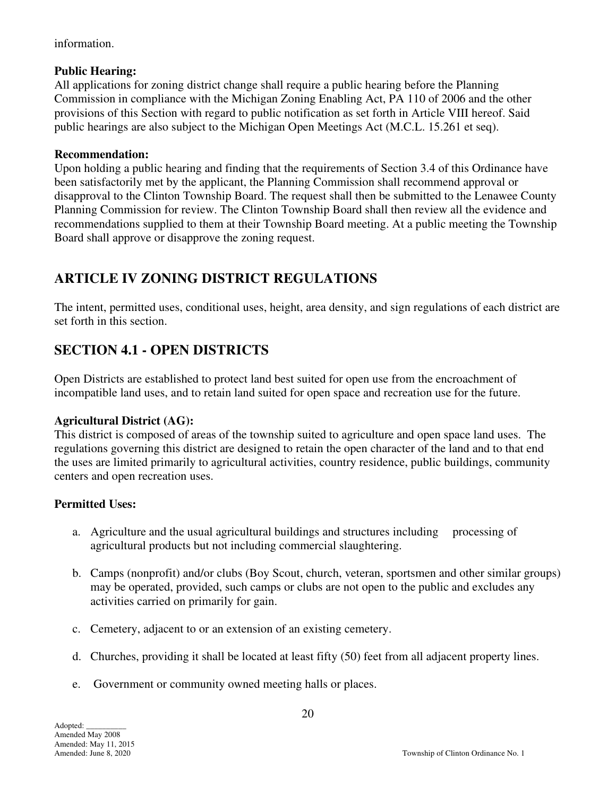information.

## **Public Hearing:**

All applications for zoning district change shall require a public hearing before the Planning Commission in compliance with the Michigan Zoning Enabling Act, PA 110 of 2006 and the other provisions of this Section with regard to public notification as set forth in Article VIII hereof. Said public hearings are also subject to the Michigan Open Meetings Act (M.C.L. 15.261 et seq).

## **Recommendation:**

Upon holding a public hearing and finding that the requirements of Section 3.4 of this Ordinance have been satisfactorily met by the applicant, the Planning Commission shall recommend approval or disapproval to the Clinton Township Board. The request shall then be submitted to the Lenawee County Planning Commission for review. The Clinton Township Board shall then review all the evidence and recommendations supplied to them at their Township Board meeting. At a public meeting the Township Board shall approve or disapprove the zoning request.

# **ARTICLE IV ZONING DISTRICT REGULATIONS**

The intent, permitted uses, conditional uses, height, area density, and sign regulations of each district are set forth in this section.

# **SECTION 4.1 - OPEN DISTRICTS**

Open Districts are established to protect land best suited for open use from the encroachment of incompatible land uses, and to retain land suited for open space and recreation use for the future.

## **Agricultural District (AG):**

This district is composed of areas of the township suited to agriculture and open space land uses. The regulations governing this district are designed to retain the open character of the land and to that end the uses are limited primarily to agricultural activities, country residence, public buildings, community centers and open recreation uses.

## **Permitted Uses:**

- a. Agriculture and the usual agricultural buildings and structures including processing of agricultural products but not including commercial slaughtering.
- b. Camps (nonprofit) and/or clubs (Boy Scout, church, veteran, sportsmen and other similar groups) may be operated, provided, such camps or clubs are not open to the public and excludes any activities carried on primarily for gain.
- c. Cemetery, adjacent to or an extension of an existing cemetery.
- d. Churches, providing it shall be located at least fifty (50) feet from all adjacent property lines.
- e. Government or community owned meeting halls or places.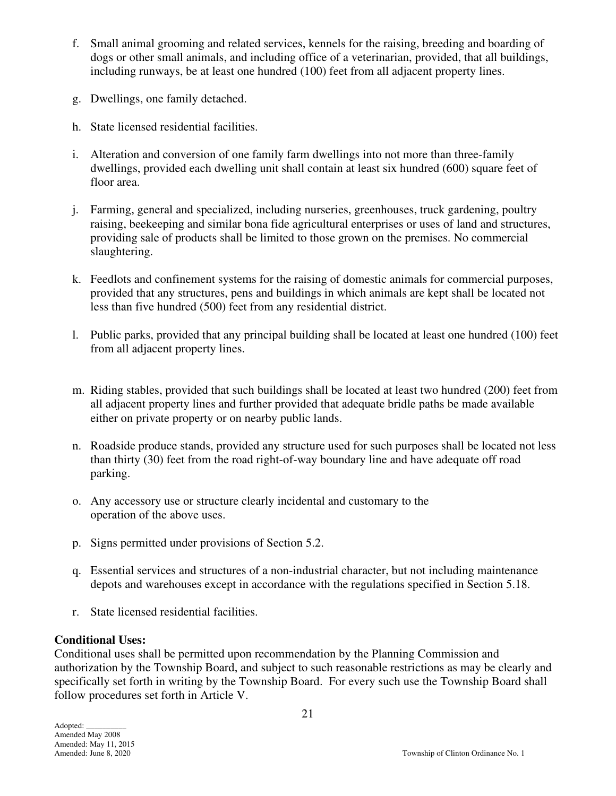- f. Small animal grooming and related services, kennels for the raising, breeding and boarding of dogs or other small animals, and including office of a veterinarian, provided, that all buildings, including runways, be at least one hundred (100) feet from all adjacent property lines.
- g. Dwellings, one family detached.
- h. State licensed residential facilities.
- i. Alteration and conversion of one family farm dwellings into not more than three-family dwellings, provided each dwelling unit shall contain at least six hundred (600) square feet of floor area.
- j. Farming, general and specialized, including nurseries, greenhouses, truck gardening, poultry raising, beekeeping and similar bona fide agricultural enterprises or uses of land and structures, providing sale of products shall be limited to those grown on the premises. No commercial slaughtering.
- k. Feedlots and confinement systems for the raising of domestic animals for commercial purposes, provided that any structures, pens and buildings in which animals are kept shall be located not less than five hundred (500) feet from any residential district.
- l. Public parks, provided that any principal building shall be located at least one hundred (100) feet from all adjacent property lines.
- m. Riding stables, provided that such buildings shall be located at least two hundred (200) feet from all adjacent property lines and further provided that adequate bridle paths be made available either on private property or on nearby public lands.
- n. Roadside produce stands, provided any structure used for such purposes shall be located not less than thirty (30) feet from the road right-of-way boundary line and have adequate off road parking.
- o. Any accessory use or structure clearly incidental and customary to the operation of the above uses.
- p. Signs permitted under provisions of Section 5.2.
- q. Essential services and structures of a non-industrial character, but not including maintenance depots and warehouses except in accordance with the regulations specified in Section 5.18.
- r. State licensed residential facilities.

## **Conditional Uses:**

Conditional uses shall be permitted upon recommendation by the Planning Commission and authorization by the Township Board, and subject to such reasonable restrictions as may be clearly and specifically set forth in writing by the Township Board. For every such use the Township Board shall follow procedures set forth in Article V.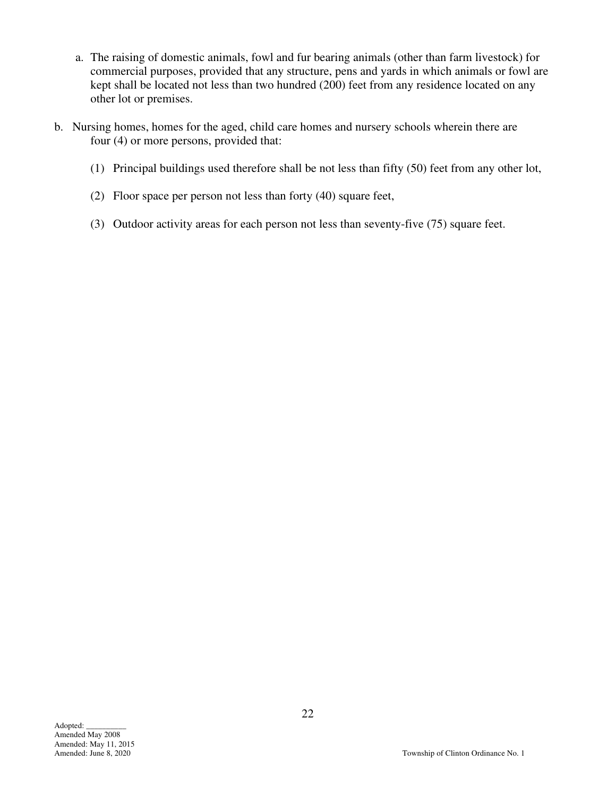- a. The raising of domestic animals, fowl and fur bearing animals (other than farm livestock) for commercial purposes, provided that any structure, pens and yards in which animals or fowl are kept shall be located not less than two hundred (200) feet from any residence located on any other lot or premises.
- b. Nursing homes, homes for the aged, child care homes and nursery schools wherein there are four (4) or more persons, provided that:
	- (1) Principal buildings used therefore shall be not less than fifty (50) feet from any other lot,
	- (2) Floor space per person not less than forty (40) square feet,
	- (3) Outdoor activity areas for each person not less than seventy-five (75) square feet.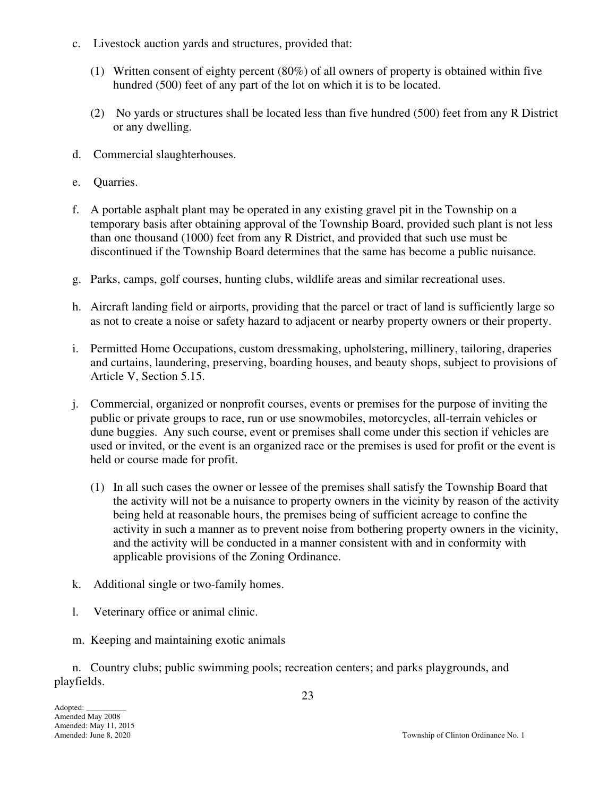- c. Livestock auction yards and structures, provided that:
	- (1) Written consent of eighty percent (80%) of all owners of property is obtained within five hundred (500) feet of any part of the lot on which it is to be located.
	- (2) No yards or structures shall be located less than five hundred (500) feet from any R District or any dwelling.
- d. Commercial slaughterhouses.
- e. Quarries.
- f. A portable asphalt plant may be operated in any existing gravel pit in the Township on a temporary basis after obtaining approval of the Township Board, provided such plant is not less than one thousand (1000) feet from any R District, and provided that such use must be discontinued if the Township Board determines that the same has become a public nuisance.
- g. Parks, camps, golf courses, hunting clubs, wildlife areas and similar recreational uses.
- h. Aircraft landing field or airports, providing that the parcel or tract of land is sufficiently large so as not to create a noise or safety hazard to adjacent or nearby property owners or their property.
- i. Permitted Home Occupations, custom dressmaking, upholstering, millinery, tailoring, draperies and curtains, laundering, preserving, boarding houses, and beauty shops, subject to provisions of Article V, Section 5.15.
- j. Commercial, organized or nonprofit courses, events or premises for the purpose of inviting the public or private groups to race, run or use snowmobiles, motorcycles, all-terrain vehicles or dune buggies. Any such course, event or premises shall come under this section if vehicles are used or invited, or the event is an organized race or the premises is used for profit or the event is held or course made for profit.
	- (1) In all such cases the owner or lessee of the premises shall satisfy the Township Board that the activity will not be a nuisance to property owners in the vicinity by reason of the activity being held at reasonable hours, the premises being of sufficient acreage to confine the activity in such a manner as to prevent noise from bothering property owners in the vicinity, and the activity will be conducted in a manner consistent with and in conformity with applicable provisions of the Zoning Ordinance.
- k. Additional single or two-family homes.
- l. Veterinary office or animal clinic.
- m. Keeping and maintaining exotic animals

 n. Country clubs; public swimming pools; recreation centers; and parks playgrounds, and playfields.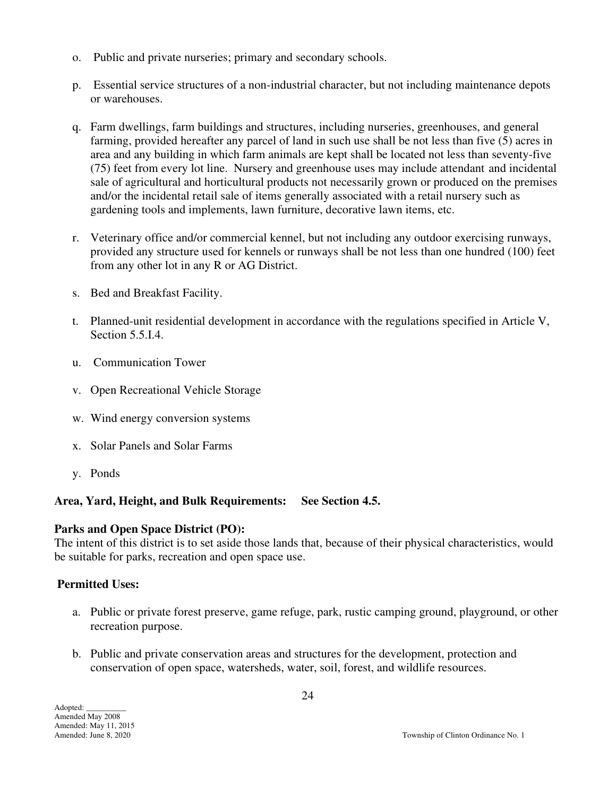- o. Public and private nurseries; primary and secondary schools.
- p. Essential service structures of a non-industrial character, but not including maintenance depots or warehouses.
- q. Farm dwellings, farm buildings and structures, including nurseries, greenhouses, and general farming, provided hereafter any parcel of land in such use shall be not less than five (5) acres in area and any building in which farm animals are kept shall be located not less than seventy-five (75) feet from every lot line. Nursery and greenhouse uses may include attendant and incidental sale of agricultural and horticultural products not necessarily grown or produced on the premises and/or the incidental retail sale of items generally associated with a retail nursery such as gardening tools and implements, lawn furniture, decorative lawn items, etc.
- r. Veterinary office and/or commercial kennel, but not including any outdoor exercising runways, provided any structure used for kennels or runways shall be not less than one hundred (100) feet from any other lot in any R or AG District.
- s. Bed and Breakfast Facility.
- t. Planned-unit residential development in accordance with the regulations specified in Article V, Section 5.5.I.4.
- u. Communication Tower
- v. Open Recreational Vehicle Storage
- w. Wind energy conversion systems
- x. Solar Panels and Solar Farms
- y. Ponds

## **Area, Yard, Height, and Bulk Requirements: See Section 4.5.**

## **Parks and Open Space District (PO):**

The intent of this district is to set aside those lands that, because of their physical characteristics, would be suitable for parks, recreation and open space use.

## **Permitted Uses:**

- a. Public or private forest preserve, game refuge, park, rustic camping ground, playground, or other recreation purpose.
- b. Public and private conservation areas and structures for the development, protection and conservation of open space, watersheds, water, soil, forest, and wildlife resources.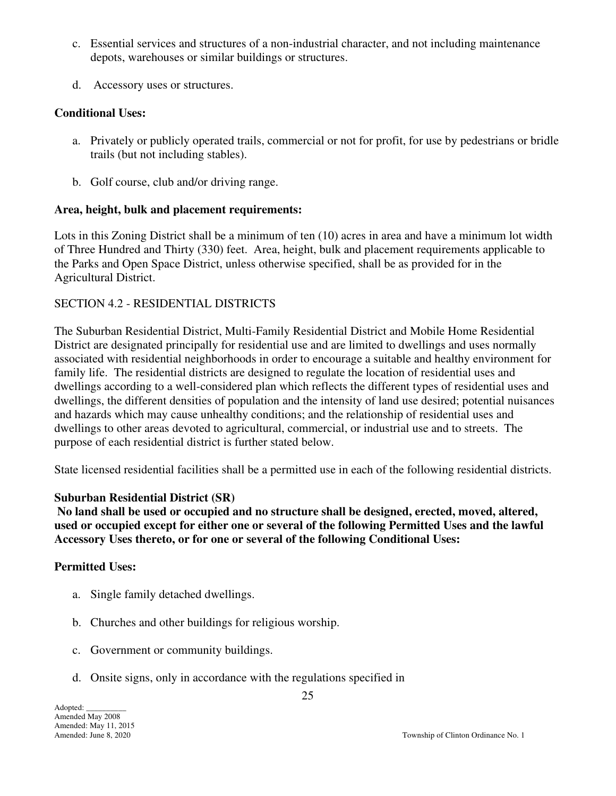- c. Essential services and structures of a non-industrial character, and not including maintenance depots, warehouses or similar buildings or structures.
- d. Accessory uses or structures.

#### **Conditional Uses:**

- a. Privately or publicly operated trails, commercial or not for profit, for use by pedestrians or bridle trails (but not including stables).
- b. Golf course, club and/or driving range.

#### **Area, height, bulk and placement requirements:**

Lots in this Zoning District shall be a minimum of ten (10) acres in area and have a minimum lot width of Three Hundred and Thirty (330) feet. Area, height, bulk and placement requirements applicable to the Parks and Open Space District, unless otherwise specified, shall be as provided for in the Agricultural District.

#### SECTION 4.2 - RESIDENTIAL DISTRICTS

The Suburban Residential District, Multi-Family Residential District and Mobile Home Residential District are designated principally for residential use and are limited to dwellings and uses normally associated with residential neighborhoods in order to encourage a suitable and healthy environment for family life. The residential districts are designed to regulate the location of residential uses and dwellings according to a well-considered plan which reflects the different types of residential uses and dwellings, the different densities of population and the intensity of land use desired; potential nuisances and hazards which may cause unhealthy conditions; and the relationship of residential uses and dwellings to other areas devoted to agricultural, commercial, or industrial use and to streets. The purpose of each residential district is further stated below.

State licensed residential facilities shall be a permitted use in each of the following residential districts.

## **Suburban Residential District (SR)**

 **No land shall be used or occupied and no structure shall be designed, erected, moved, altered, used or occupied except for either one or several of the following Permitted Uses and the lawful Accessory Uses thereto, or for one or several of the following Conditional Uses:** 

#### **Permitted Uses:**

- a. Single family detached dwellings.
- b. Churches and other buildings for religious worship.
- c. Government or community buildings.
- d. Onsite signs, only in accordance with the regulations specified in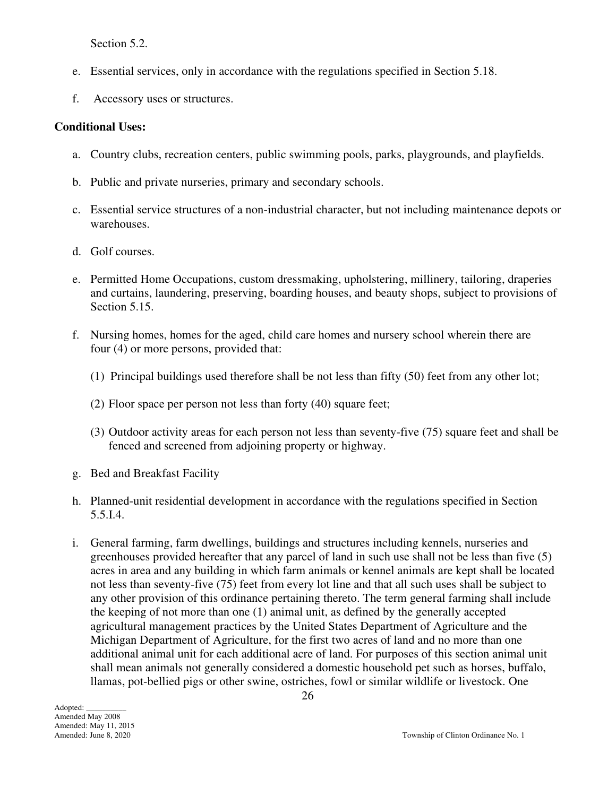Section 5.2.

- e. Essential services, only in accordance with the regulations specified in Section 5.18.
- f. Accessory uses or structures.

#### **Conditional Uses:**

- a. Country clubs, recreation centers, public swimming pools, parks, playgrounds, and playfields.
- b. Public and private nurseries, primary and secondary schools.
- c. Essential service structures of a non-industrial character, but not including maintenance depots or warehouses.
- d. Golf courses.
- e. Permitted Home Occupations, custom dressmaking, upholstering, millinery, tailoring, draperies and curtains, laundering, preserving, boarding houses, and beauty shops, subject to provisions of Section 5.15.
- f. Nursing homes, homes for the aged, child care homes and nursery school wherein there are four (4) or more persons, provided that:
	- (1) Principal buildings used therefore shall be not less than fifty (50) feet from any other lot;
	- (2) Floor space per person not less than forty (40) square feet;
	- (3) Outdoor activity areas for each person not less than seventy-five (75) square feet and shall be fenced and screened from adjoining property or highway.
- g. Bed and Breakfast Facility
- h. Planned-unit residential development in accordance with the regulations specified in Section 5.5.I.4.
- i. General farming, farm dwellings, buildings and structures including kennels, nurseries and greenhouses provided hereafter that any parcel of land in such use shall not be less than five (5) acres in area and any building in which farm animals or kennel animals are kept shall be located not less than seventy-five (75) feet from every lot line and that all such uses shall be subject to any other provision of this ordinance pertaining thereto. The term general farming shall include the keeping of not more than one (1) animal unit, as defined by the generally accepted agricultural management practices by the United States Department of Agriculture and the Michigan Department of Agriculture, for the first two acres of land and no more than one additional animal unit for each additional acre of land. For purposes of this section animal unit shall mean animals not generally considered a domestic household pet such as horses, buffalo, llamas, pot-bellied pigs or other swine, ostriches, fowl or similar wildlife or livestock. One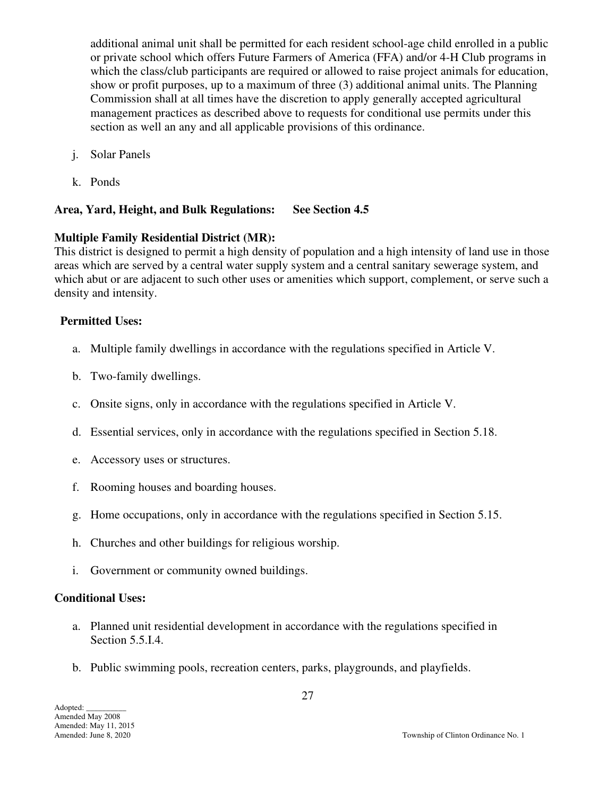additional animal unit shall be permitted for each resident school-age child enrolled in a public or private school which offers Future Farmers of America (FFA) and/or 4-H Club programs in which the class/club participants are required or allowed to raise project animals for education, show or profit purposes, up to a maximum of three (3) additional animal units. The Planning Commission shall at all times have the discretion to apply generally accepted agricultural management practices as described above to requests for conditional use permits under this section as well an any and all applicable provisions of this ordinance.

- j. Solar Panels
- k. Ponds

## **Area, Yard, Height, and Bulk Regulations: See Section 4.5**

## **Multiple Family Residential District (MR):**

This district is designed to permit a high density of population and a high intensity of land use in those areas which are served by a central water supply system and a central sanitary sewerage system, and which abut or are adjacent to such other uses or amenities which support, complement, or serve such a density and intensity.

## **Permitted Uses:**

- a. Multiple family dwellings in accordance with the regulations specified in Article V.
- b. Two-family dwellings.
- c. Onsite signs, only in accordance with the regulations specified in Article V.
- d. Essential services, only in accordance with the regulations specified in Section 5.18.
- e. Accessory uses or structures.
- f. Rooming houses and boarding houses.
- g. Home occupations, only in accordance with the regulations specified in Section 5.15.
- h. Churches and other buildings for religious worship.
- i. Government or community owned buildings.

## **Conditional Uses:**

- a. Planned unit residential development in accordance with the regulations specified in Section 5.5.I.4.
- b. Public swimming pools, recreation centers, parks, playgrounds, and playfields.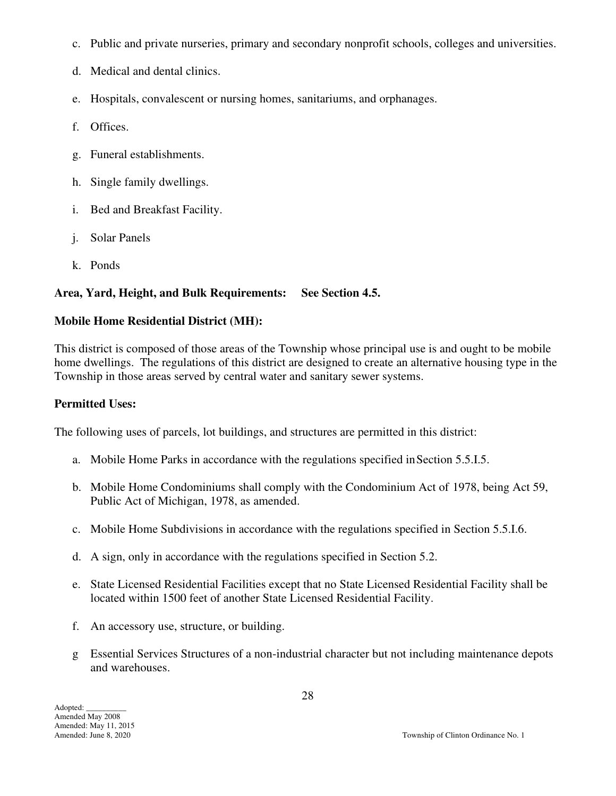- c. Public and private nurseries, primary and secondary nonprofit schools, colleges and universities.
- d. Medical and dental clinics.
- e. Hospitals, convalescent or nursing homes, sanitariums, and orphanages.
- f. Offices.
- g. Funeral establishments.
- h. Single family dwellings.
- i. Bed and Breakfast Facility.
- j. Solar Panels
- k. Ponds

## **Area, Yard, Height, and Bulk Requirements: See Section 4.5.**

## **Mobile Home Residential District (MH):**

This district is composed of those areas of the Township whose principal use is and ought to be mobile home dwellings. The regulations of this district are designed to create an alternative housing type in the Township in those areas served by central water and sanitary sewer systems.

#### **Permitted Uses:**

The following uses of parcels, lot buildings, and structures are permitted in this district:

- a. Mobile Home Parks in accordance with the regulations specified inSection 5.5.I.5.
- b. Mobile Home Condominiums shall comply with the Condominium Act of 1978, being Act 59, Public Act of Michigan, 1978, as amended.
- c. Mobile Home Subdivisions in accordance with the regulations specified in Section 5.5.I.6.
- d. A sign, only in accordance with the regulations specified in Section 5.2.
- e. State Licensed Residential Facilities except that no State Licensed Residential Facility shall be located within 1500 feet of another State Licensed Residential Facility.
- f. An accessory use, structure, or building.
- g Essential Services Structures of a non-industrial character but not including maintenance depots and warehouses.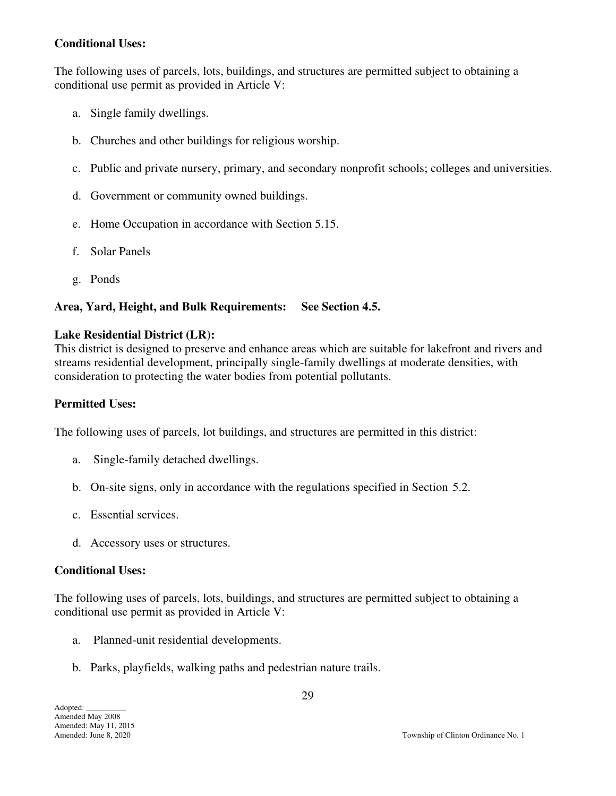## **Conditional Uses:**

The following uses of parcels, lots, buildings, and structures are permitted subject to obtaining a conditional use permit as provided in Article V:

- a. Single family dwellings.
- b. Churches and other buildings for religious worship.
- c. Public and private nursery, primary, and secondary nonprofit schools; colleges and universities.
- d. Government or community owned buildings.
- e. Home Occupation in accordance with Section 5.15.
- f. Solar Panels
- g. Ponds

## **Area, Yard, Height, and Bulk Requirements: See Section 4.5.**

## **Lake Residential District (LR):**

This district is designed to preserve and enhance areas which are suitable for lakefront and rivers and streams residential development, principally single-family dwellings at moderate densities, with consideration to protecting the water bodies from potential pollutants.

## **Permitted Uses:**

The following uses of parcels, lot buildings, and structures are permitted in this district:

- a. Single-family detached dwellings.
- b. On-site signs, only in accordance with the regulations specified in Section 5.2.
- c. Essential services.
- d. Accessory uses or structures.

## **Conditional Uses:**

The following uses of parcels, lots, buildings, and structures are permitted subject to obtaining a conditional use permit as provided in Article V:

- a. Planned-unit residential developments.
- b. Parks, playfields, walking paths and pedestrian nature trails.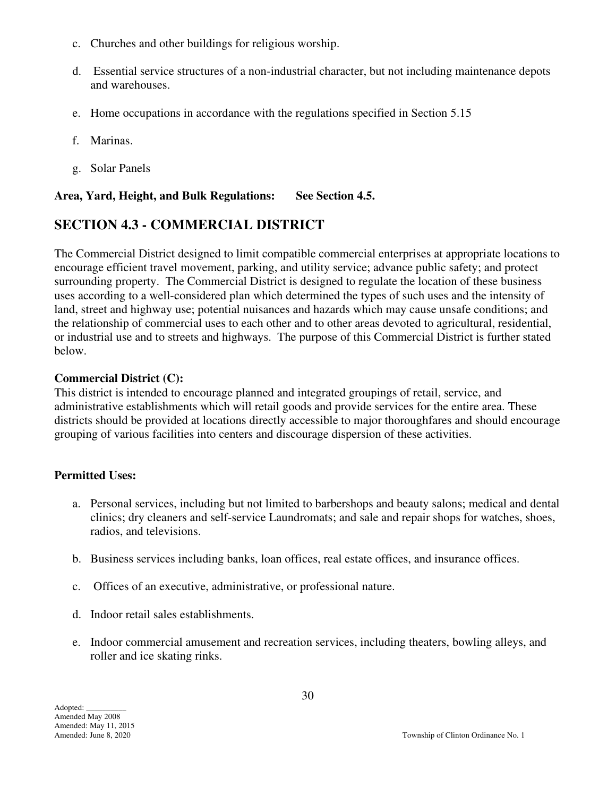- c. Churches and other buildings for religious worship.
- d. Essential service structures of a non-industrial character, but not including maintenance depots and warehouses.
- e. Home occupations in accordance with the regulations specified in Section 5.15
- f. Marinas.
- g. Solar Panels

#### **Area, Yard, Height, and Bulk Regulations: See Section 4.5.**

## **SECTION 4.3 - COMMERCIAL DISTRICT**

The Commercial District designed to limit compatible commercial enterprises at appropriate locations to encourage efficient travel movement, parking, and utility service; advance public safety; and protect surrounding property. The Commercial District is designed to regulate the location of these business uses according to a well-considered plan which determined the types of such uses and the intensity of land, street and highway use; potential nuisances and hazards which may cause unsafe conditions; and the relationship of commercial uses to each other and to other areas devoted to agricultural, residential, or industrial use and to streets and highways. The purpose of this Commercial District is further stated below.

#### **Commercial District (C):**

This district is intended to encourage planned and integrated groupings of retail, service, and administrative establishments which will retail goods and provide services for the entire area. These districts should be provided at locations directly accessible to major thoroughfares and should encourage grouping of various facilities into centers and discourage dispersion of these activities.

## **Permitted Uses:**

- a. Personal services, including but not limited to barbershops and beauty salons; medical and dental clinics; dry cleaners and self-service Laundromats; and sale and repair shops for watches, shoes, radios, and televisions.
- b. Business services including banks, loan offices, real estate offices, and insurance offices.
- c. Offices of an executive, administrative, or professional nature.
- d. Indoor retail sales establishments.
- e. Indoor commercial amusement and recreation services, including theaters, bowling alleys, and roller and ice skating rinks.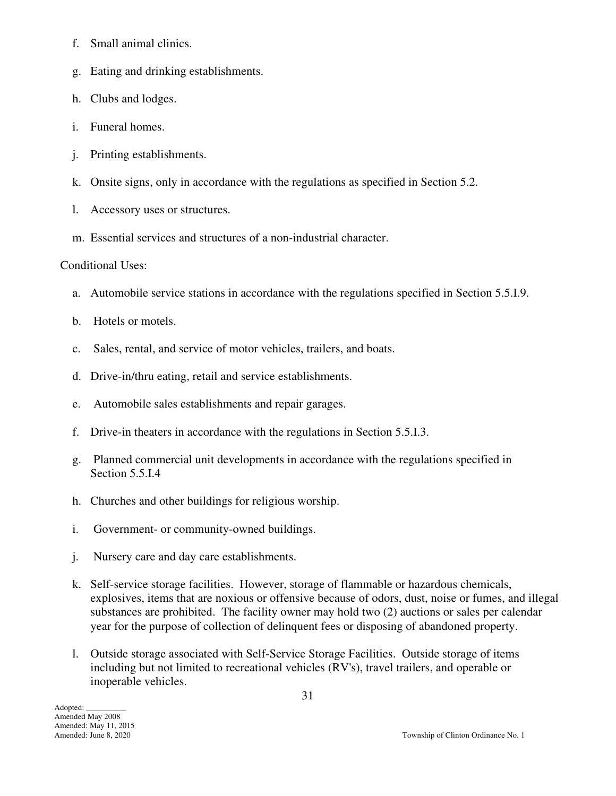- f. Small animal clinics.
- g. Eating and drinking establishments.
- h. Clubs and lodges.
- i. Funeral homes.
- j. Printing establishments.
- k. Onsite signs, only in accordance with the regulations as specified in Section 5.2.
- l. Accessory uses or structures.
- m. Essential services and structures of a non-industrial character.

## Conditional Uses:

- a. Automobile service stations in accordance with the regulations specified in Section 5.5.I.9.
- b. Hotels or motels.
- c. Sales, rental, and service of motor vehicles, trailers, and boats.
- d. Drive-in/thru eating, retail and service establishments.
- e. Automobile sales establishments and repair garages.
- f. Drive-in theaters in accordance with the regulations in Section 5.5.I.3.
- g. Planned commercial unit developments in accordance with the regulations specified in Section 5.5.I.4
- h. Churches and other buildings for religious worship.
- i. Government- or community-owned buildings.
- j. Nursery care and day care establishments.
- k. Self-service storage facilities. However, storage of flammable or hazardous chemicals, explosives, items that are noxious or offensive because of odors, dust, noise or fumes, and illegal substances are prohibited. The facility owner may hold two (2) auctions or sales per calendar year for the purpose of collection of delinquent fees or disposing of abandoned property.
- l. Outside storage associated with Self-Service Storage Facilities. Outside storage of items including but not limited to recreational vehicles (RV's), travel trailers, and operable or inoperable vehicles.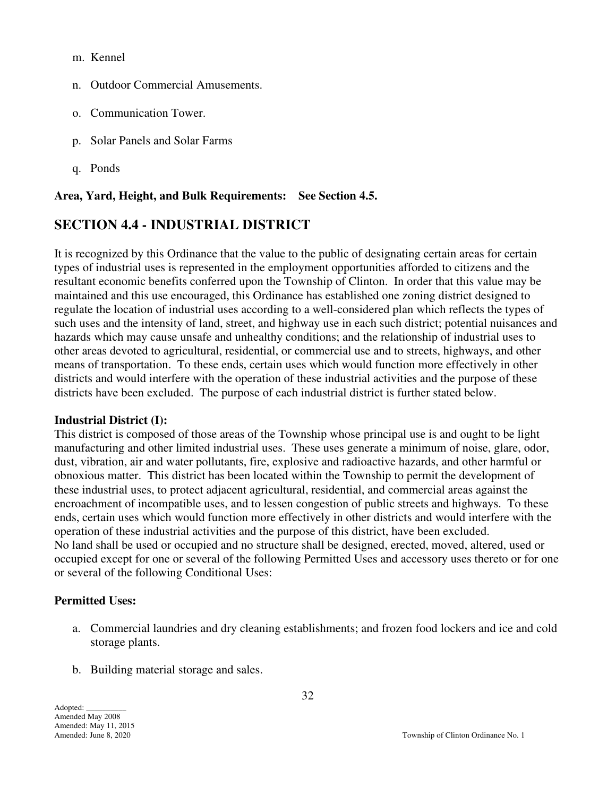m. Kennel

- n. Outdoor Commercial Amusements.
- o. Communication Tower.
- p. Solar Panels and Solar Farms
- q. Ponds

#### **Area, Yard, Height, and Bulk Requirements: See Section 4.5.**

## **SECTION 4.4 - INDUSTRIAL DISTRICT**

It is recognized by this Ordinance that the value to the public of designating certain areas for certain types of industrial uses is represented in the employment opportunities afforded to citizens and the resultant economic benefits conferred upon the Township of Clinton. In order that this value may be maintained and this use encouraged, this Ordinance has established one zoning district designed to regulate the location of industrial uses according to a well-considered plan which reflects the types of such uses and the intensity of land, street, and highway use in each such district; potential nuisances and hazards which may cause unsafe and unhealthy conditions; and the relationship of industrial uses to other areas devoted to agricultural, residential, or commercial use and to streets, highways, and other means of transportation. To these ends, certain uses which would function more effectively in other districts and would interfere with the operation of these industrial activities and the purpose of these districts have been excluded. The purpose of each industrial district is further stated below.

#### **Industrial District (I):**

This district is composed of those areas of the Township whose principal use is and ought to be light manufacturing and other limited industrial uses. These uses generate a minimum of noise, glare, odor, dust, vibration, air and water pollutants, fire, explosive and radioactive hazards, and other harmful or obnoxious matter. This district has been located within the Township to permit the development of these industrial uses, to protect adjacent agricultural, residential, and commercial areas against the encroachment of incompatible uses, and to lessen congestion of public streets and highways. To these ends, certain uses which would function more effectively in other districts and would interfere with the operation of these industrial activities and the purpose of this district, have been excluded. No land shall be used or occupied and no structure shall be designed, erected, moved, altered, used or occupied except for one or several of the following Permitted Uses and accessory uses thereto or for one or several of the following Conditional Uses:

#### **Permitted Uses:**

- a. Commercial laundries and dry cleaning establishments; and frozen food lockers and ice and cold storage plants.
- b. Building material storage and sales.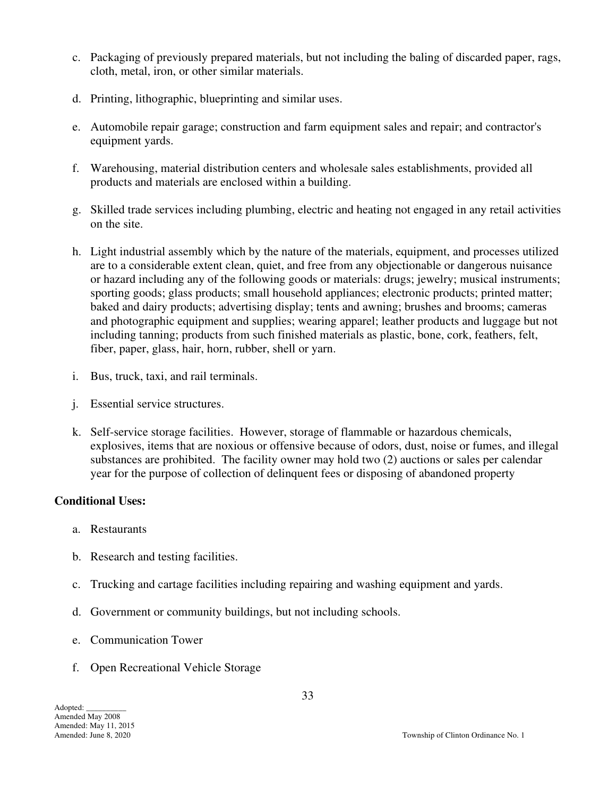- c. Packaging of previously prepared materials, but not including the baling of discarded paper, rags, cloth, metal, iron, or other similar materials.
- d. Printing, lithographic, blueprinting and similar uses.
- e. Automobile repair garage; construction and farm equipment sales and repair; and contractor's equipment yards.
- f. Warehousing, material distribution centers and wholesale sales establishments, provided all products and materials are enclosed within a building.
- g. Skilled trade services including plumbing, electric and heating not engaged in any retail activities on the site.
- h. Light industrial assembly which by the nature of the materials, equipment, and processes utilized are to a considerable extent clean, quiet, and free from any objectionable or dangerous nuisance or hazard including any of the following goods or materials: drugs; jewelry; musical instruments; sporting goods; glass products; small household appliances; electronic products; printed matter; baked and dairy products; advertising display; tents and awning; brushes and brooms; cameras and photographic equipment and supplies; wearing apparel; leather products and luggage but not including tanning; products from such finished materials as plastic, bone, cork, feathers, felt, fiber, paper, glass, hair, horn, rubber, shell or yarn.
- i. Bus, truck, taxi, and rail terminals.
- j. Essential service structures.
- k. Self-service storage facilities. However, storage of flammable or hazardous chemicals, explosives, items that are noxious or offensive because of odors, dust, noise or fumes, and illegal substances are prohibited. The facility owner may hold two (2) auctions or sales per calendar year for the purpose of collection of delinquent fees or disposing of abandoned property

#### **Conditional Uses:**

- a. Restaurants
- b. Research and testing facilities.
- c. Trucking and cartage facilities including repairing and washing equipment and yards.
- d. Government or community buildings, but not including schools.
- e. Communication Tower
- f. Open Recreational Vehicle Storage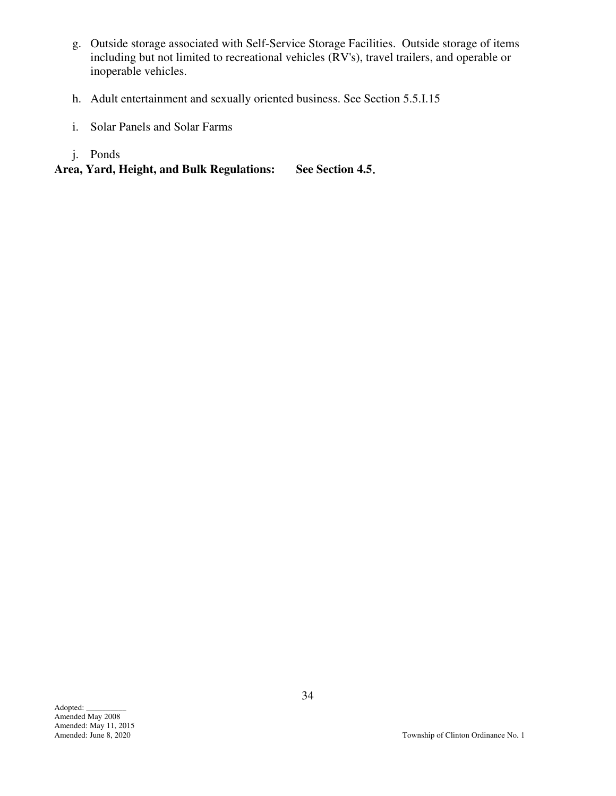- g. Outside storage associated with Self-Service Storage Facilities. Outside storage of items including but not limited to recreational vehicles (RV's), travel trailers, and operable or inoperable vehicles.
- h. Adult entertainment and sexually oriented business. See Section 5.5.I.15
- i. Solar Panels and Solar Farms
- j. Ponds

**Area, Yard, Height, and Bulk Regulations: See Section 4.5**.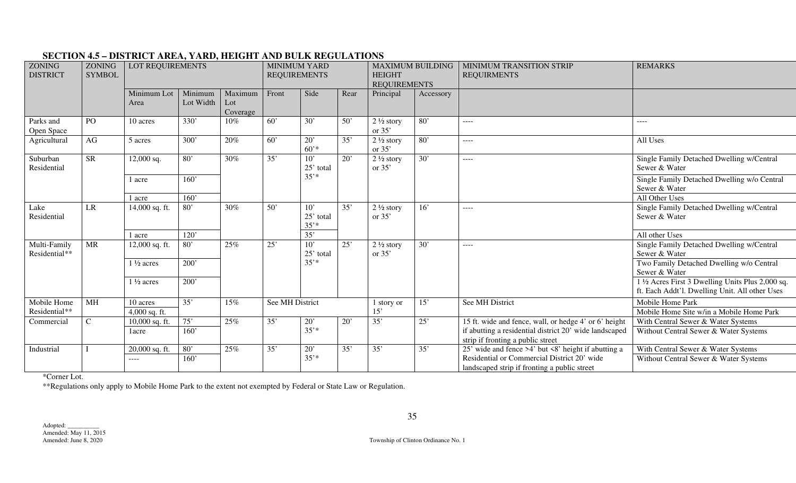| ZONING<br><b>DISTRICT</b>     | <b>ZONING</b><br><b>SYMBOL</b> | LOT REQUIREMENTS                          |                      | <b>MINIMUM YARD</b><br><b>REQUIREMENTS</b> |                  |                             | <b>MAXIMUM BUILDING</b><br><b>HEIGHT</b><br><b>REQUIREMENTS</b> |                                  | MINIMUM TRANSITION STRIP<br><b>REQUIRMENTS</b>            | <b>REMARKS</b>                                                                              |                                                                                                     |      |                                                            |
|-------------------------------|--------------------------------|-------------------------------------------|----------------------|--------------------------------------------|------------------|-----------------------------|-----------------------------------------------------------------|----------------------------------|-----------------------------------------------------------|---------------------------------------------------------------------------------------------|-----------------------------------------------------------------------------------------------------|------|------------------------------------------------------------|
|                               |                                | Minimum Lot<br>Area                       | Minimum<br>Lot Width | Maximum<br>Lot<br>Coverage                 | Front            | Side                        | Rear                                                            | Principal                        | Accessory                                                 |                                                                                             |                                                                                                     |      |                                                            |
| Parks and<br>Open Space       | PO                             | 10 acres                                  | 330'                 | 10%                                        | $\overline{60}$  | $\overline{30'}$            | 50'                                                             | $2\frac{1}{2}$ story<br>or $35'$ | $\overline{80}$                                           | ----                                                                                        | $\frac{1}{2}$                                                                                       |      |                                                            |
| Agricultural                  | AG                             | 5 acres                                   | 300'                 | 20%                                        | $\overline{60}$  | 20'<br>$60'$ *              | 35'                                                             | $2\frac{1}{2}$ story<br>or $35'$ | 80'                                                       | ----                                                                                        | All Uses                                                                                            |      |                                                            |
| Suburban<br>Residential       | <b>SR</b>                      | 12,000 sq.                                | 80'<br>30%           | 35'                                        | 10'<br>25' total | 20'                         | $2\frac{1}{2}$ story<br>or $35'$                                | 30'                              | ----                                                      | Single Family Detached Dwelling w/Central<br>Sewer & Water                                  |                                                                                                     |      |                                                            |
|                               |                                | 1 acre                                    | 160'                 |                                            |                  | $35'$ *                     |                                                                 |                                  |                                                           |                                                                                             | Single Family Detached Dwelling w/o Central<br>Sewer & Water                                        |      |                                                            |
|                               |                                | 1 acre                                    | 160'                 |                                            |                  |                             |                                                                 |                                  |                                                           |                                                                                             | All Other Uses                                                                                      |      |                                                            |
| Lake<br>Residential           | LR                             | 14,000 sq. ft.                            | 80'                  | 30%                                        | 50'              | 10'<br>25' total<br>$35'$ * | 35'                                                             | $2\frac{1}{2}$ story<br>or $35'$ | 16'                                                       | ----                                                                                        | Single Family Detached Dwelling w/Central<br>Sewer & Water                                          |      |                                                            |
|                               |                                | 1 acre                                    | 120'                 |                                            |                  | 35'                         |                                                                 |                                  |                                                           |                                                                                             | All other Uses                                                                                      |      |                                                            |
| Multi-Family<br>Residential** | <b>MR</b>                      | 12,000 sq. ft.                            | 80'                  | 25%                                        |                  | 25'                         |                                                                 | 10'<br>25' total                 | 25'                                                       | $2\frac{1}{2}$ story<br>or $35'$                                                            | 30'                                                                                                 | ---- | Single Family Detached Dwelling w/Central<br>Sewer & Water |
|                               |                                | $\overline{200'}$<br>$1\frac{1}{2}$ acres |                      | $35'$ *                                    |                  |                             |                                                                 |                                  | Two Family Detached Dwelling w/o Central<br>Sewer & Water |                                                                                             |                                                                                                     |      |                                                            |
|                               |                                | $1\frac{1}{2}$ acres                      | 200'                 |                                            |                  |                             |                                                                 |                                  |                                                           |                                                                                             | 1 1/2 Acres First 3 Dwelling Units Plus 2,000 sq.<br>ft. Each Addt'l. Dwelling Unit. All other Uses |      |                                                            |
| Mobile Home                   | <b>MH</b>                      | 10 acres                                  | 35'                  | 15%                                        | See MH District  |                             |                                                                 | story or                         | 15'                                                       | See MH District                                                                             | Mobile Home Park                                                                                    |      |                                                            |
| Residential**                 |                                | 4,000 sq. ft.                             |                      |                                            |                  |                             |                                                                 | 15'                              |                                                           |                                                                                             | Mobile Home Site w/in a Mobile Home Park                                                            |      |                                                            |
| Commercial                    | $\mathsf{C}$                   | 75'<br>25%<br>10,000 sq. ft.              |                      | $\overline{35}$                            | $\overline{20}$  | $\overline{20}$             | 35'                                                             | 25'                              | 15 ft. wide and fence, wall, or hedge 4' or 6' height     | With Central Sewer & Water Systems                                                          |                                                                                                     |      |                                                            |
|                               |                                | 1 <sub>acre</sub>                         | 160'                 |                                            |                  | $35'$ *                     |                                                                 |                                  |                                                           | if abutting a residential district 20' wide landscaped<br>strip if fronting a public street | Without Central Sewer & Water Systems                                                               |      |                                                            |
| Industrial                    |                                | 20,000 sq. ft.                            | 80'                  | 25%                                        | 35'              | 20'                         | 35'                                                             | 35'                              | 35'                                                       | 25' wide and fence >4' but <8' height if abutting a                                         | With Central Sewer & Water Systems                                                                  |      |                                                            |
|                               |                                | $---$                                     | 160'                 |                                            |                  | $35'$ *                     |                                                                 |                                  |                                                           | Residential or Commercial District 20' wide<br>landscaped strip if fronting a public street | Without Central Sewer & Water Systems                                                               |      |                                                            |

## **SECTION 4.5 – DISTRICT AREA, YARD, HEIGHT AND BULK REGULATIONS**

\*Corner Lot.

\*\*Regulations only apply to Mobile Home Park to the extent not exempted by Federal or State Law or Regulation.

Amended: June 8, 2020 Township of Clinton Ordinance No. 1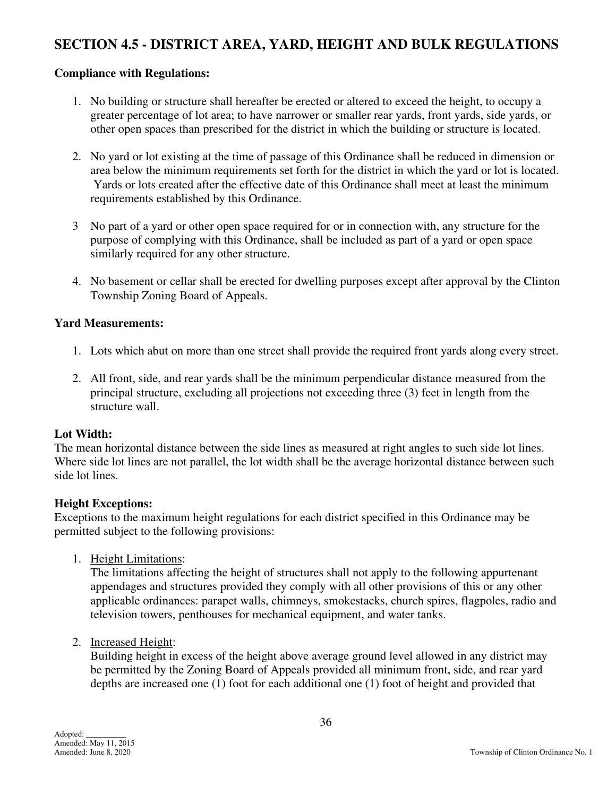## **SECTION 4.5 - DISTRICT AREA, YARD, HEIGHT AND BULK REGULATIONS**

#### **Compliance with Regulations:**

- 1. No building or structure shall hereafter be erected or altered to exceed the height, to occupy a greater percentage of lot area; to have narrower or smaller rear yards, front yards, side yards, or other open spaces than prescribed for the district in which the building or structure is located.
- 2. No yard or lot existing at the time of passage of this Ordinance shall be reduced in dimension or area below the minimum requirements set forth for the district in which the yard or lot is located. Yards or lots created after the effective date of this Ordinance shall meet at least the minimum requirements established by this Ordinance.
- 3 No part of a yard or other open space required for or in connection with, any structure for the purpose of complying with this Ordinance, shall be included as part of a yard or open space similarly required for any other structure.
- 4. No basement or cellar shall be erected for dwelling purposes except after approval by the Clinton Township Zoning Board of Appeals.

#### **Yard Measurements:**

- 1. Lots which abut on more than one street shall provide the required front yards along every street.
- 2. All front, side, and rear yards shall be the minimum perpendicular distance measured from the principal structure, excluding all projections not exceeding three (3) feet in length from the structure wall.

#### **Lot Width:**

The mean horizontal distance between the side lines as measured at right angles to such side lot lines. Where side lot lines are not parallel, the lot width shall be the average horizontal distance between such side lot lines.

#### **Height Exceptions:**

Exceptions to the maximum height regulations for each district specified in this Ordinance may be permitted subject to the following provisions:

1. Height Limitations:

The limitations affecting the height of structures shall not apply to the following appurtenant appendages and structures provided they comply with all other provisions of this or any other applicable ordinances: parapet walls, chimneys, smokestacks, church spires, flagpoles, radio and television towers, penthouses for mechanical equipment, and water tanks.

2. Increased Height:

Building height in excess of the height above average ground level allowed in any district may be permitted by the Zoning Board of Appeals provided all minimum front, side, and rear yard depths are increased one (1) foot for each additional one (1) foot of height and provided that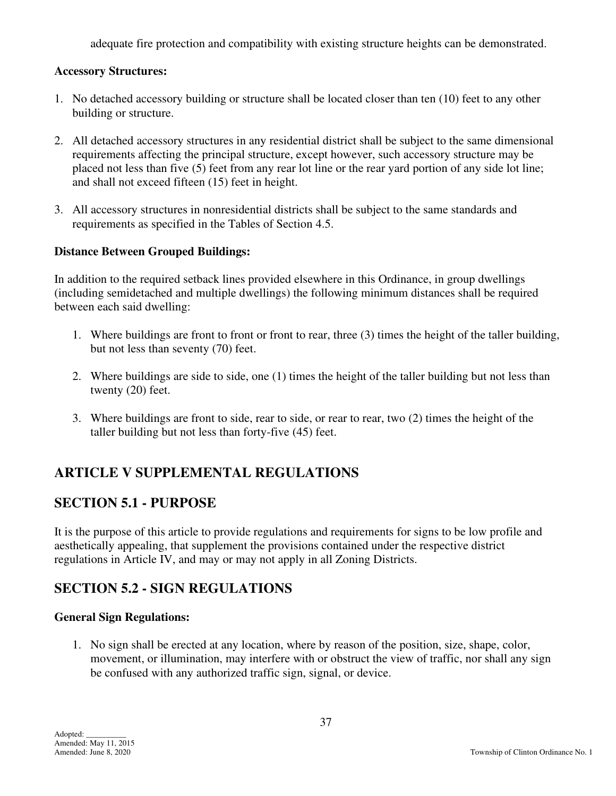adequate fire protection and compatibility with existing structure heights can be demonstrated.

#### **Accessory Structures:**

- 1. No detached accessory building or structure shall be located closer than ten (10) feet to any other building or structure.
- 2. All detached accessory structures in any residential district shall be subject to the same dimensional requirements affecting the principal structure, except however, such accessory structure may be placed not less than five (5) feet from any rear lot line or the rear yard portion of any side lot line; and shall not exceed fifteen (15) feet in height.
- 3. All accessory structures in nonresidential districts shall be subject to the same standards and requirements as specified in the Tables of Section 4.5.

#### **Distance Between Grouped Buildings:**

In addition to the required setback lines provided elsewhere in this Ordinance, in group dwellings (including semidetached and multiple dwellings) the following minimum distances shall be required between each said dwelling:

- 1. Where buildings are front to front or front to rear, three (3) times the height of the taller building, but not less than seventy (70) feet.
- 2. Where buildings are side to side, one (1) times the height of the taller building but not less than twenty (20) feet.
- 3. Where buildings are front to side, rear to side, or rear to rear, two (2) times the height of the taller building but not less than forty-five (45) feet.

# **ARTICLE V SUPPLEMENTAL REGULATIONS**

# **SECTION 5.1 - PURPOSE**

It is the purpose of this article to provide regulations and requirements for signs to be low profile and aesthetically appealing, that supplement the provisions contained under the respective district regulations in Article IV, and may or may not apply in all Zoning Districts.

# **SECTION 5.2 - SIGN REGULATIONS**

#### **General Sign Regulations:**

 1. No sign shall be erected at any location, where by reason of the position, size, shape, color, movement, or illumination, may interfere with or obstruct the view of traffic, nor shall any sign be confused with any authorized traffic sign, signal, or device.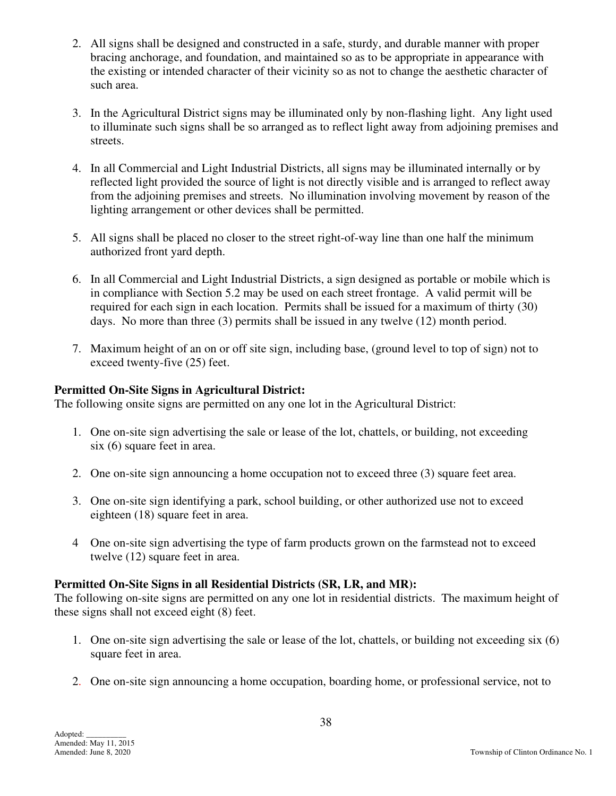- 2. All signs shall be designed and constructed in a safe, sturdy, and durable manner with proper bracing anchorage, and foundation, and maintained so as to be appropriate in appearance with the existing or intended character of their vicinity so as not to change the aesthetic character of such area.
- 3. In the Agricultural District signs may be illuminated only by non-flashing light. Any light used to illuminate such signs shall be so arranged as to reflect light away from adjoining premises and streets.
- 4. In all Commercial and Light Industrial Districts, all signs may be illuminated internally or by reflected light provided the source of light is not directly visible and is arranged to reflect away from the adjoining premises and streets. No illumination involving movement by reason of the lighting arrangement or other devices shall be permitted.
- 5. All signs shall be placed no closer to the street right-of-way line than one half the minimum authorized front yard depth.
- 6. In all Commercial and Light Industrial Districts, a sign designed as portable or mobile which is in compliance with Section 5.2 may be used on each street frontage. A valid permit will be required for each sign in each location. Permits shall be issued for a maximum of thirty (30) days. No more than three (3) permits shall be issued in any twelve (12) month period.
- 7. Maximum height of an on or off site sign, including base, (ground level to top of sign) not to exceed twenty-five (25) feet.

# **Permitted On-Site Signs in Agricultural District:**

The following onsite signs are permitted on any one lot in the Agricultural District:

- 1. One on-site sign advertising the sale or lease of the lot, chattels, or building, not exceeding six (6) square feet in area.
- 2. One on-site sign announcing a home occupation not to exceed three (3) square feet area.
- 3. One on-site sign identifying a park, school building, or other authorized use not to exceed eighteen (18) square feet in area.
- 4 One on-site sign advertising the type of farm products grown on the farmstead not to exceed twelve (12) square feet in area.

# **Permitted On-Site Signs in all Residential Districts (SR, LR, and MR):**

The following on-site signs are permitted on any one lot in residential districts. The maximum height of these signs shall not exceed eight (8) feet.

- 1. One on-site sign advertising the sale or lease of the lot, chattels, or building not exceeding six (6) square feet in area.
- 2. One on-site sign announcing a home occupation, boarding home, or professional service, not to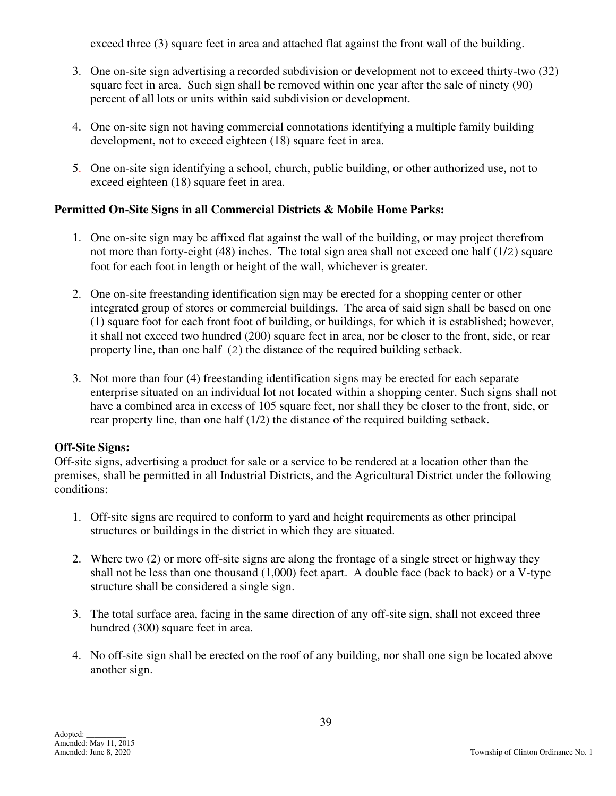exceed three (3) square feet in area and attached flat against the front wall of the building.

- 3. One on-site sign advertising a recorded subdivision or development not to exceed thirty-two (32) square feet in area. Such sign shall be removed within one year after the sale of ninety (90) percent of all lots or units within said subdivision or development.
- 4. One on-site sign not having commercial connotations identifying a multiple family building development, not to exceed eighteen (18) square feet in area.
- 5. One on-site sign identifying a school, church, public building, or other authorized use, not to exceed eighteen (18) square feet in area.

# **Permitted On-Site Signs in all Commercial Districts & Mobile Home Parks:**

- 1. One on-site sign may be affixed flat against the wall of the building, or may project therefrom not more than forty-eight (48) inches. The total sign area shall not exceed one half (1/2) square foot for each foot in length or height of the wall, whichever is greater.
- 2. One on-site freestanding identification sign may be erected for a shopping center or other integrated group of stores or commercial buildings. The area of said sign shall be based on one (1) square foot for each front foot of building, or buildings, for which it is established; however, it shall not exceed two hundred (200) square feet in area, nor be closer to the front, side, or rear property line, than one half (2) the distance of the required building setback.
- 3. Not more than four (4) freestanding identification signs may be erected for each separate enterprise situated on an individual lot not located within a shopping center. Such signs shall not have a combined area in excess of 105 square feet, nor shall they be closer to the front, side, or rear property line, than one half (1/2) the distance of the required building setback.

#### **Off-Site Signs:**

Off-site signs, advertising a product for sale or a service to be rendered at a location other than the premises, shall be permitted in all Industrial Districts, and the Agricultural District under the following conditions:

- 1. Off-site signs are required to conform to yard and height requirements as other principal structures or buildings in the district in which they are situated.
- 2. Where two (2) or more off-site signs are along the frontage of a single street or highway they shall not be less than one thousand (1,000) feet apart. A double face (back to back) or a V-type structure shall be considered a single sign.
- 3. The total surface area, facing in the same direction of any off-site sign, shall not exceed three hundred (300) square feet in area.
- 4. No off-site sign shall be erected on the roof of any building, nor shall one sign be located above another sign.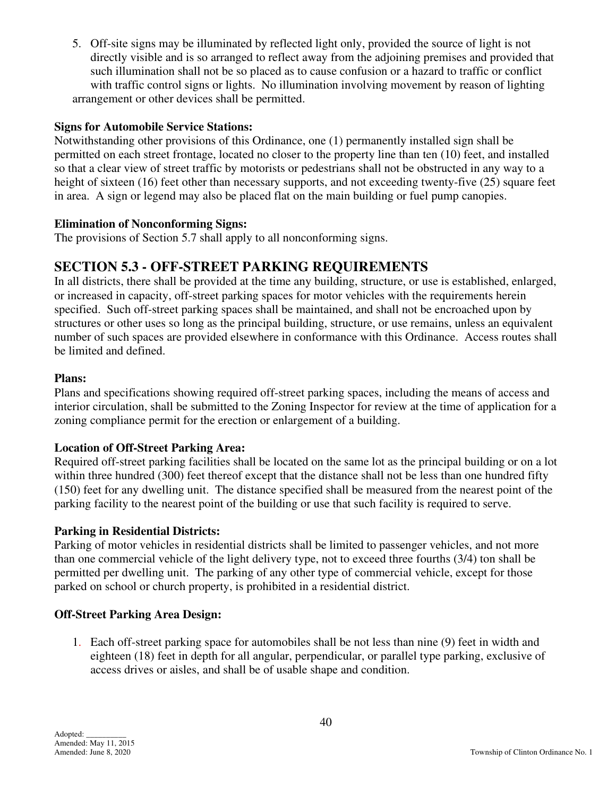5. Off-site signs may be illuminated by reflected light only, provided the source of light is not directly visible and is so arranged to reflect away from the adjoining premises and provided that such illumination shall not be so placed as to cause confusion or a hazard to traffic or conflict with traffic control signs or lights. No illumination involving movement by reason of lighting arrangement or other devices shall be permitted.

### **Signs for Automobile Service Stations:**

Notwithstanding other provisions of this Ordinance, one (1) permanently installed sign shall be permitted on each street frontage, located no closer to the property line than ten (10) feet, and installed so that a clear view of street traffic by motorists or pedestrians shall not be obstructed in any way to a height of sixteen (16) feet other than necessary supports, and not exceeding twenty-five (25) square feet in area. A sign or legend may also be placed flat on the main building or fuel pump canopies.

#### **Elimination of Nonconforming Signs:**

The provisions of Section 5.7 shall apply to all nonconforming signs.

# **SECTION 5.3 - OFF-STREET PARKING REQUIREMENTS**

In all districts, there shall be provided at the time any building, structure, or use is established, enlarged, or increased in capacity, off-street parking spaces for motor vehicles with the requirements herein specified. Such off-street parking spaces shall be maintained, and shall not be encroached upon by structures or other uses so long as the principal building, structure, or use remains, unless an equivalent number of such spaces are provided elsewhere in conformance with this Ordinance. Access routes shall be limited and defined.

#### **Plans:**

Plans and specifications showing required off-street parking spaces, including the means of access and interior circulation, shall be submitted to the Zoning Inspector for review at the time of application for a zoning compliance permit for the erection or enlargement of a building.

#### **Location of Off-Street Parking Area:**

Required off-street parking facilities shall be located on the same lot as the principal building or on a lot within three hundred (300) feet thereof except that the distance shall not be less than one hundred fifty (150) feet for any dwelling unit. The distance specified shall be measured from the nearest point of the parking facility to the nearest point of the building or use that such facility is required to serve.

#### **Parking in Residential Districts:**

Parking of motor vehicles in residential districts shall be limited to passenger vehicles, and not more than one commercial vehicle of the light delivery type, not to exceed three fourths (3/4) ton shall be permitted per dwelling unit. The parking of any other type of commercial vehicle, except for those parked on school or church property, is prohibited in a residential district.

# **Off-Street Parking Area Design:**

 1. Each off-street parking space for automobiles shall be not less than nine (9) feet in width and eighteen (18) feet in depth for all angular, perpendicular, or parallel type parking, exclusive of access drives or aisles, and shall be of usable shape and condition.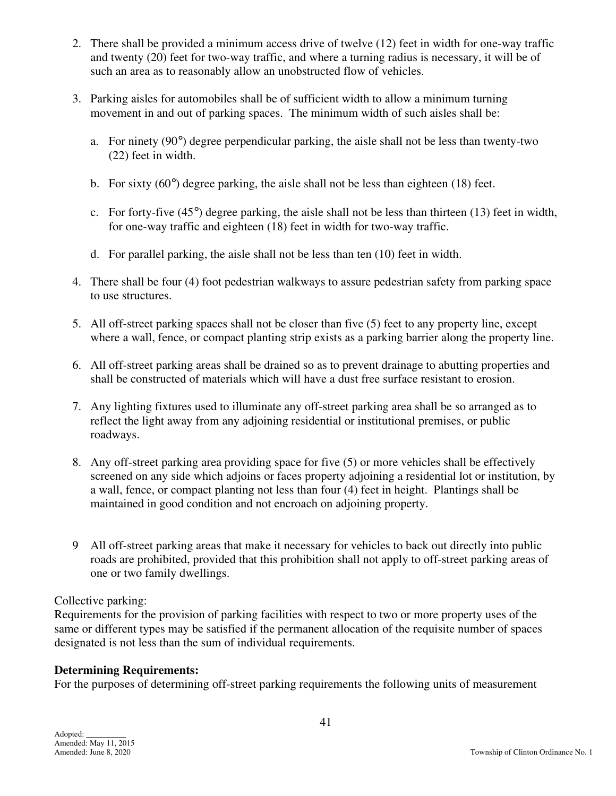- 2. There shall be provided a minimum access drive of twelve (12) feet in width for one-way traffic and twenty (20) feet for two-way traffic, and where a turning radius is necessary, it will be of such an area as to reasonably allow an unobstructed flow of vehicles.
- 3. Parking aisles for automobiles shall be of sufficient width to allow a minimum turning movement in and out of parking spaces. The minimum width of such aisles shall be:
	- a. For ninety (90°) degree perpendicular parking, the aisle shall not be less than twenty-two (22) feet in width.
	- b. For sixty  $(60^{\circ})$  degree parking, the aisle shall not be less than eighteen  $(18)$  feet.
	- c. For forty-five (45°) degree parking, the aisle shall not be less than thirteen (13) feet in width, for one-way traffic and eighteen (18) feet in width for two-way traffic.
	- d. For parallel parking, the aisle shall not be less than ten (10) feet in width.
- 4. There shall be four (4) foot pedestrian walkways to assure pedestrian safety from parking space to use structures.
- 5. All off-street parking spaces shall not be closer than five (5) feet to any property line, except where a wall, fence, or compact planting strip exists as a parking barrier along the property line.
- 6. All off-street parking areas shall be drained so as to prevent drainage to abutting properties and shall be constructed of materials which will have a dust free surface resistant to erosion.
- 7. Any lighting fixtures used to illuminate any off-street parking area shall be so arranged as to reflect the light away from any adjoining residential or institutional premises, or public roadways.
- 8. Any off-street parking area providing space for five (5) or more vehicles shall be effectively screened on any side which adjoins or faces property adjoining a residential lot or institution, by a wall, fence, or compact planting not less than four (4) feet in height. Plantings shall be maintained in good condition and not encroach on adjoining property.
- 9 All off-street parking areas that make it necessary for vehicles to back out directly into public roads are prohibited, provided that this prohibition shall not apply to off-street parking areas of one or two family dwellings.

# Collective parking:

Requirements for the provision of parking facilities with respect to two or more property uses of the same or different types may be satisfied if the permanent allocation of the requisite number of spaces designated is not less than the sum of individual requirements.

# **Determining Requirements:**

For the purposes of determining off-street parking requirements the following units of measurement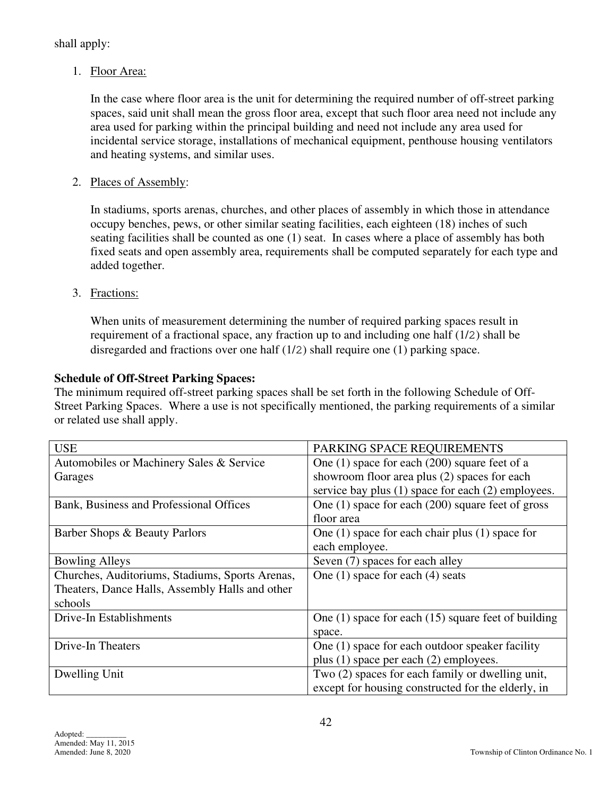shall apply:

1. Floor Area:

In the case where floor area is the unit for determining the required number of off-street parking spaces, said unit shall mean the gross floor area, except that such floor area need not include any area used for parking within the principal building and need not include any area used for incidental service storage, installations of mechanical equipment, penthouse housing ventilators and heating systems, and similar uses.

2. Places of Assembly:

In stadiums, sports arenas, churches, and other places of assembly in which those in attendance occupy benches, pews, or other similar seating facilities, each eighteen (18) inches of such seating facilities shall be counted as one (1) seat. In cases where a place of assembly has both fixed seats and open assembly area, requirements shall be computed separately for each type and added together.

3. Fractions:

When units of measurement determining the number of required parking spaces result in requirement of a fractional space, any fraction up to and including one half (1/2) shall be disregarded and fractions over one half (1/2) shall require one (1) parking space.

# **Schedule of Off-Street Parking Spaces:**

The minimum required off-street parking spaces shall be set forth in the following Schedule of Off-Street Parking Spaces. Where a use is not specifically mentioned, the parking requirements of a similar or related use shall apply.

| <b>USE</b>                                      | PARKING SPACE REQUIREMENTS                              |
|-------------------------------------------------|---------------------------------------------------------|
| Automobiles or Machinery Sales & Service        | One $(1)$ space for each $(200)$ square feet of a       |
| Garages                                         | showroom floor area plus (2) spaces for each            |
|                                                 | service bay plus (1) space for each (2) employees.      |
| Bank, Business and Professional Offices         | One $(1)$ space for each $(200)$ square feet of gross   |
|                                                 | floor area                                              |
| Barber Shops & Beauty Parlors                   | One $(1)$ space for each chair plus $(1)$ space for     |
|                                                 | each employee.                                          |
| <b>Bowling Alleys</b>                           | Seven (7) spaces for each alley                         |
| Churches, Auditoriums, Stadiums, Sports Arenas, | One $(1)$ space for each $(4)$ seats                    |
| Theaters, Dance Halls, Assembly Halls and other |                                                         |
| schools                                         |                                                         |
| Drive-In Establishments                         | One $(1)$ space for each $(15)$ square feet of building |
|                                                 | space.                                                  |
| Drive-In Theaters                               | One (1) space for each outdoor speaker facility         |
|                                                 | plus (1) space per each (2) employees.                  |
| Dwelling Unit                                   | Two (2) spaces for each family or dwelling unit,        |
|                                                 | except for housing constructed for the elderly, in      |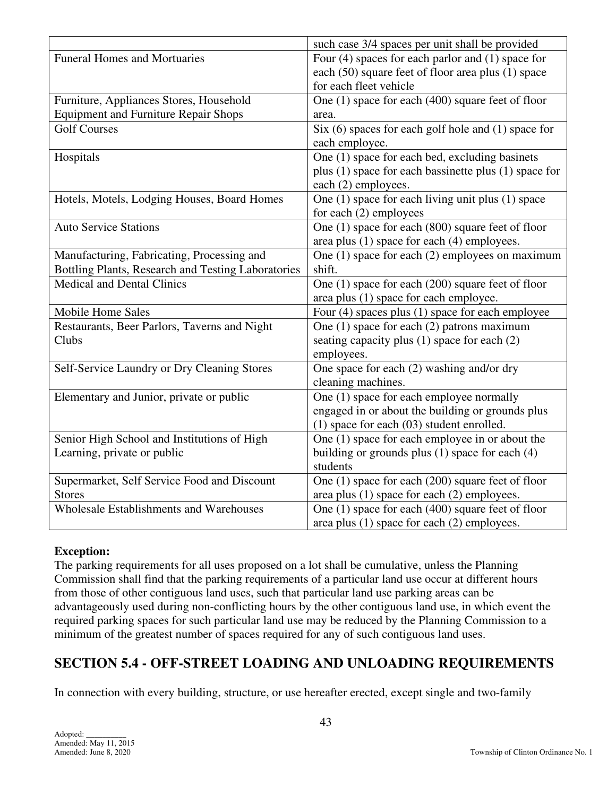|                                                    | such case 3/4 spaces per unit shall be provided                           |  |  |
|----------------------------------------------------|---------------------------------------------------------------------------|--|--|
| <b>Funeral Homes and Mortuaries</b>                | Four $(4)$ spaces for each parlor and $(1)$ space for                     |  |  |
|                                                    | each (50) square feet of floor area plus (1) space                        |  |  |
|                                                    | for each fleet vehicle                                                    |  |  |
| Furniture, Appliances Stores, Household            | One (1) space for each (400) square feet of floor                         |  |  |
| <b>Equipment and Furniture Repair Shops</b>        | area.                                                                     |  |  |
| <b>Golf Courses</b>                                | Six $(6)$ spaces for each golf hole and $(1)$ space for<br>each employee. |  |  |
| Hospitals                                          | One (1) space for each bed, excluding basinets                            |  |  |
|                                                    | plus (1) space for each bassinette plus (1) space for                     |  |  |
|                                                    | each (2) employees.                                                       |  |  |
| Hotels, Motels, Lodging Houses, Board Homes        | One (1) space for each living unit plus (1) space                         |  |  |
|                                                    | for each $(2)$ employees                                                  |  |  |
| <b>Auto Service Stations</b>                       | One (1) space for each (800) square feet of floor                         |  |  |
|                                                    | area plus (1) space for each (4) employees.                               |  |  |
| Manufacturing, Fabricating, Processing and         | One $(1)$ space for each $(2)$ employees on maximum                       |  |  |
| Bottling Plants, Research and Testing Laboratories | shift.                                                                    |  |  |
| <b>Medical and Dental Clinics</b>                  | One (1) space for each (200) square feet of floor                         |  |  |
|                                                    | area plus (1) space for each employee.                                    |  |  |
| <b>Mobile Home Sales</b>                           | Four (4) spaces plus (1) space for each employee                          |  |  |
| Restaurants, Beer Parlors, Taverns and Night       | One (1) space for each (2) patrons maximum                                |  |  |
| Clubs                                              | seating capacity plus $(1)$ space for each $(2)$                          |  |  |
|                                                    | employees.                                                                |  |  |
| Self-Service Laundry or Dry Cleaning Stores        | One space for each (2) washing and/or dry                                 |  |  |
|                                                    | cleaning machines.                                                        |  |  |
| Elementary and Junior, private or public           | One (1) space for each employee normally                                  |  |  |
|                                                    | engaged in or about the building or grounds plus                          |  |  |
|                                                    | (1) space for each (03) student enrolled.                                 |  |  |
| Senior High School and Institutions of High        | One (1) space for each employee in or about the                           |  |  |
| Learning, private or public                        | building or grounds plus $(1)$ space for each $(4)$                       |  |  |
|                                                    | students                                                                  |  |  |
| Supermarket, Self Service Food and Discount        | One $(1)$ space for each $(200)$ square feet of floor                     |  |  |
| <b>Stores</b>                                      | area plus (1) space for each (2) employees.                               |  |  |
| <b>Wholesale Establishments and Warehouses</b>     | One (1) space for each (400) square feet of floor                         |  |  |
|                                                    | area plus $(1)$ space for each $(2)$ employees.                           |  |  |

# **Exception:**

The parking requirements for all uses proposed on a lot shall be cumulative, unless the Planning Commission shall find that the parking requirements of a particular land use occur at different hours from those of other contiguous land uses, such that particular land use parking areas can be advantageously used during non-conflicting hours by the other contiguous land use, in which event the required parking spaces for such particular land use may be reduced by the Planning Commission to a minimum of the greatest number of spaces required for any of such contiguous land uses.

# **SECTION 5.4 - OFF-STREET LOADING AND UNLOADING REQUIREMENTS**

In connection with every building, structure, or use hereafter erected, except single and two-family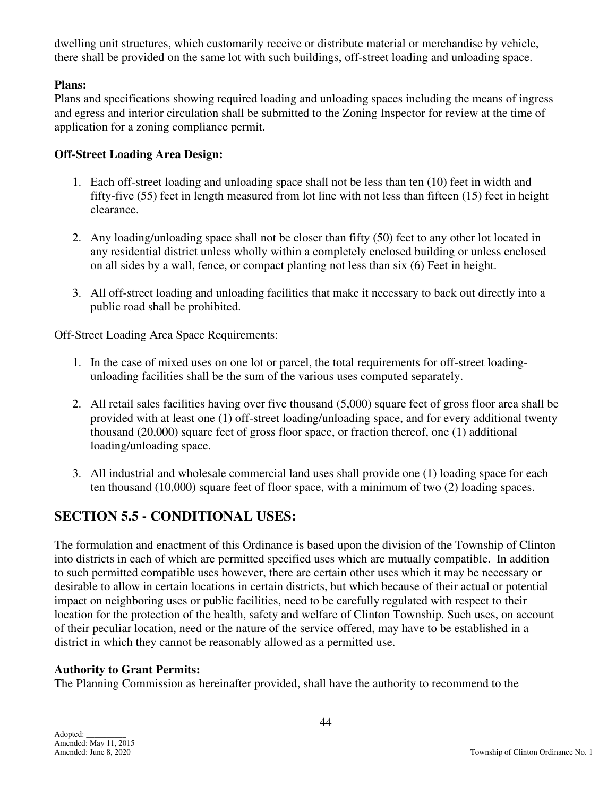dwelling unit structures, which customarily receive or distribute material or merchandise by vehicle, there shall be provided on the same lot with such buildings, off-street loading and unloading space.

### **Plans:**

Plans and specifications showing required loading and unloading spaces including the means of ingress and egress and interior circulation shall be submitted to the Zoning Inspector for review at the time of application for a zoning compliance permit.

### **Off-Street Loading Area Design:**

- 1. Each off-street loading and unloading space shall not be less than ten (10) feet in width and fifty-five (55) feet in length measured from lot line with not less than fifteen (15) feet in height clearance.
- 2. Any loading/unloading space shall not be closer than fifty (50) feet to any other lot located in any residential district unless wholly within a completely enclosed building or unless enclosed on all sides by a wall, fence, or compact planting not less than six (6) Feet in height.
- 3. All off-street loading and unloading facilities that make it necessary to back out directly into a public road shall be prohibited.

Off-Street Loading Area Space Requirements:

- 1. In the case of mixed uses on one lot or parcel, the total requirements for off-street loadingunloading facilities shall be the sum of the various uses computed separately.
- 2. All retail sales facilities having over five thousand (5,000) square feet of gross floor area shall be provided with at least one (1) off-street loading/unloading space, and for every additional twenty thousand (20,000) square feet of gross floor space, or fraction thereof, one (1) additional loading/unloading space.
- 3. All industrial and wholesale commercial land uses shall provide one (1) loading space for each ten thousand (10,000) square feet of floor space, with a minimum of two (2) loading spaces.

# **SECTION 5.5 - CONDITIONAL USES:**

The formulation and enactment of this Ordinance is based upon the division of the Township of Clinton into districts in each of which are permitted specified uses which are mutually compatible. In addition to such permitted compatible uses however, there are certain other uses which it may be necessary or desirable to allow in certain locations in certain districts, but which because of their actual or potential impact on neighboring uses or public facilities, need to be carefully regulated with respect to their location for the protection of the health, safety and welfare of Clinton Township. Such uses, on account of their peculiar location, need or the nature of the service offered, may have to be established in a district in which they cannot be reasonably allowed as a permitted use.

# **Authority to Grant Permits:**

The Planning Commission as hereinafter provided, shall have the authority to recommend to the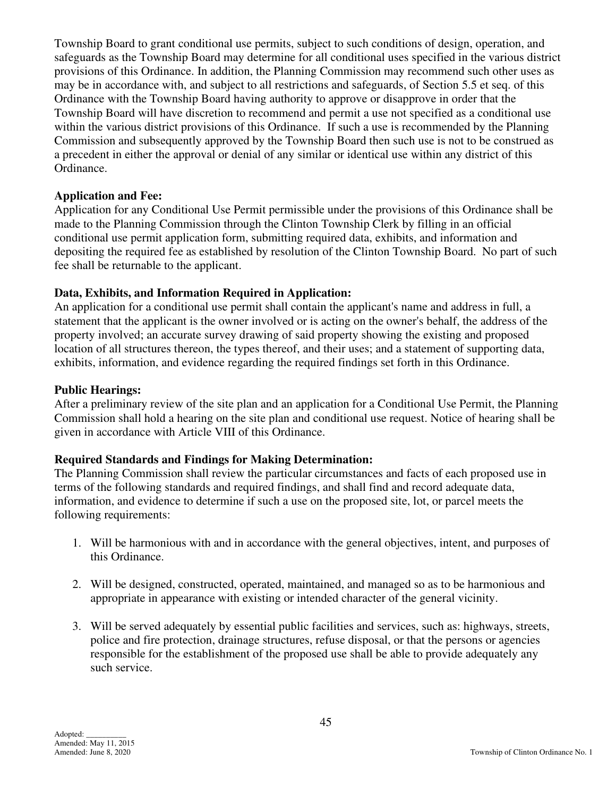Township Board to grant conditional use permits, subject to such conditions of design, operation, and safeguards as the Township Board may determine for all conditional uses specified in the various district provisions of this Ordinance. In addition, the Planning Commission may recommend such other uses as may be in accordance with, and subject to all restrictions and safeguards, of Section 5.5 et seq. of this Ordinance with the Township Board having authority to approve or disapprove in order that the Township Board will have discretion to recommend and permit a use not specified as a conditional use within the various district provisions of this Ordinance. If such a use is recommended by the Planning Commission and subsequently approved by the Township Board then such use is not to be construed as a precedent in either the approval or denial of any similar or identical use within any district of this Ordinance.

#### **Application and Fee:**

Application for any Conditional Use Permit permissible under the provisions of this Ordinance shall be made to the Planning Commission through the Clinton Township Clerk by filling in an official conditional use permit application form, submitting required data, exhibits, and information and depositing the required fee as established by resolution of the Clinton Township Board. No part of such fee shall be returnable to the applicant.

#### **Data, Exhibits, and Information Required in Application:**

An application for a conditional use permit shall contain the applicant's name and address in full, a statement that the applicant is the owner involved or is acting on the owner's behalf, the address of the property involved; an accurate survey drawing of said property showing the existing and proposed location of all structures thereon, the types thereof, and their uses; and a statement of supporting data, exhibits, information, and evidence regarding the required findings set forth in this Ordinance.

#### **Public Hearings:**

After a preliminary review of the site plan and an application for a Conditional Use Permit, the Planning Commission shall hold a hearing on the site plan and conditional use request. Notice of hearing shall be given in accordance with Article VIII of this Ordinance.

# **Required Standards and Findings for Making Determination:**

The Planning Commission shall review the particular circumstances and facts of each proposed use in terms of the following standards and required findings, and shall find and record adequate data, information, and evidence to determine if such a use on the proposed site, lot, or parcel meets the following requirements:

- 1. Will be harmonious with and in accordance with the general objectives, intent, and purposes of this Ordinance.
- 2. Will be designed, constructed, operated, maintained, and managed so as to be harmonious and appropriate in appearance with existing or intended character of the general vicinity.
- 3. Will be served adequately by essential public facilities and services, such as: highways, streets, police and fire protection, drainage structures, refuse disposal, or that the persons or agencies responsible for the establishment of the proposed use shall be able to provide adequately any such service.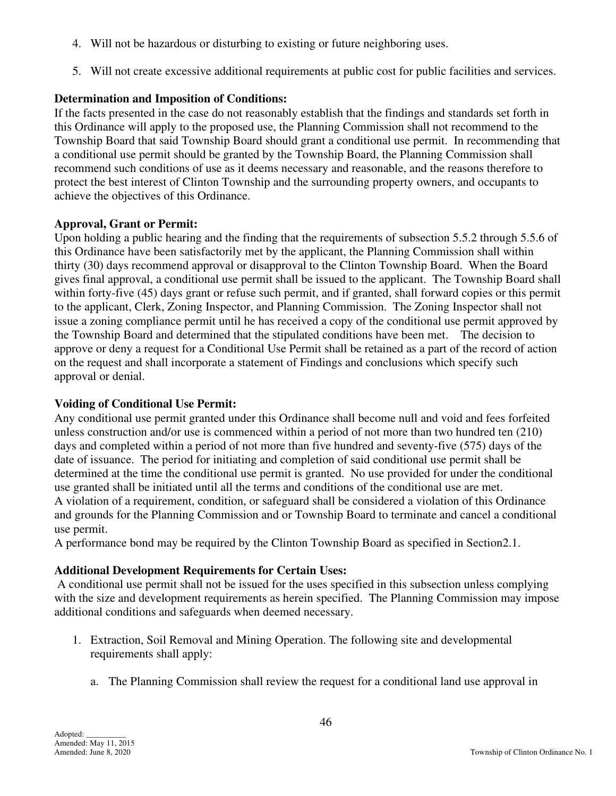- 4. Will not be hazardous or disturbing to existing or future neighboring uses.
- 5. Will not create excessive additional requirements at public cost for public facilities and services.

# **Determination and Imposition of Conditions:**

If the facts presented in the case do not reasonably establish that the findings and standards set forth in this Ordinance will apply to the proposed use, the Planning Commission shall not recommend to the Township Board that said Township Board should grant a conditional use permit. In recommending that a conditional use permit should be granted by the Township Board, the Planning Commission shall recommend such conditions of use as it deems necessary and reasonable, and the reasons therefore to protect the best interest of Clinton Township and the surrounding property owners, and occupants to achieve the objectives of this Ordinance.

# **Approval, Grant or Permit:**

Upon holding a public hearing and the finding that the requirements of subsection 5.5.2 through 5.5.6 of this Ordinance have been satisfactorily met by the applicant, the Planning Commission shall within thirty (30) days recommend approval or disapproval to the Clinton Township Board. When the Board gives final approval, a conditional use permit shall be issued to the applicant. The Township Board shall within forty-five (45) days grant or refuse such permit, and if granted, shall forward copies or this permit to the applicant, Clerk, Zoning Inspector, and Planning Commission. The Zoning Inspector shall not issue a zoning compliance permit until he has received a copy of the conditional use permit approved by the Township Board and determined that the stipulated conditions have been met. The decision to approve or deny a request for a Conditional Use Permit shall be retained as a part of the record of action on the request and shall incorporate a statement of Findings and conclusions which specify such approval or denial.

# **Voiding of Conditional Use Permit:**

Any conditional use permit granted under this Ordinance shall become null and void and fees forfeited unless construction and/or use is commenced within a period of not more than two hundred ten (210) days and completed within a period of not more than five hundred and seventy-five (575) days of the date of issuance. The period for initiating and completion of said conditional use permit shall be determined at the time the conditional use permit is granted. No use provided for under the conditional use granted shall be initiated until all the terms and conditions of the conditional use are met. A violation of a requirement, condition, or safeguard shall be considered a violation of this Ordinance and grounds for the Planning Commission and or Township Board to terminate and cancel a conditional use permit.

A performance bond may be required by the Clinton Township Board as specified in Section2.1.

# **Additional Development Requirements for Certain Uses:**

 A conditional use permit shall not be issued for the uses specified in this subsection unless complying with the size and development requirements as herein specified. The Planning Commission may impose additional conditions and safeguards when deemed necessary.

- 1. Extraction, Soil Removal and Mining Operation. The following site and developmental requirements shall apply:
	- a. The Planning Commission shall review the request for a conditional land use approval in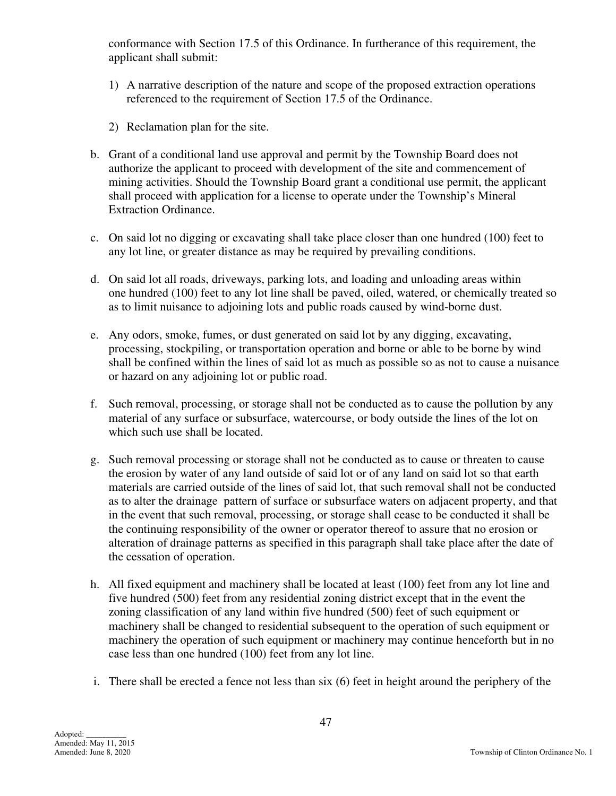conformance with Section 17.5 of this Ordinance. In furtherance of this requirement, the applicant shall submit:

- 1) A narrative description of the nature and scope of the proposed extraction operations referenced to the requirement of Section 17.5 of the Ordinance.
- 2) Reclamation plan for the site.
- b. Grant of a conditional land use approval and permit by the Township Board does not authorize the applicant to proceed with development of the site and commencement of mining activities. Should the Township Board grant a conditional use permit, the applicant shall proceed with application for a license to operate under the Township's Mineral Extraction Ordinance.
- c. On said lot no digging or excavating shall take place closer than one hundred (100) feet to any lot line, or greater distance as may be required by prevailing conditions.
- d. On said lot all roads, driveways, parking lots, and loading and unloading areas within one hundred (100) feet to any lot line shall be paved, oiled, watered, or chemically treated so as to limit nuisance to adjoining lots and public roads caused by wind-borne dust.
- e. Any odors, smoke, fumes, or dust generated on said lot by any digging, excavating, processing, stockpiling, or transportation operation and borne or able to be borne by wind shall be confined within the lines of said lot as much as possible so as not to cause a nuisance or hazard on any adjoining lot or public road.
- f. Such removal, processing, or storage shall not be conducted as to cause the pollution by any material of any surface or subsurface, watercourse, or body outside the lines of the lot on which such use shall be located.
- g. Such removal processing or storage shall not be conducted as to cause or threaten to cause the erosion by water of any land outside of said lot or of any land on said lot so that earth materials are carried outside of the lines of said lot, that such removal shall not be conducted as to alter the drainage pattern of surface or subsurface waters on adjacent property, and that in the event that such removal, processing, or storage shall cease to be conducted it shall be the continuing responsibility of the owner or operator thereof to assure that no erosion or alteration of drainage patterns as specified in this paragraph shall take place after the date of the cessation of operation.
- h. All fixed equipment and machinery shall be located at least (100) feet from any lot line and five hundred (500) feet from any residential zoning district except that in the event the zoning classification of any land within five hundred (500) feet of such equipment or machinery shall be changed to residential subsequent to the operation of such equipment or machinery the operation of such equipment or machinery may continue henceforth but in no case less than one hundred (100) feet from any lot line.
- i. There shall be erected a fence not less than six (6) feet in height around the periphery of the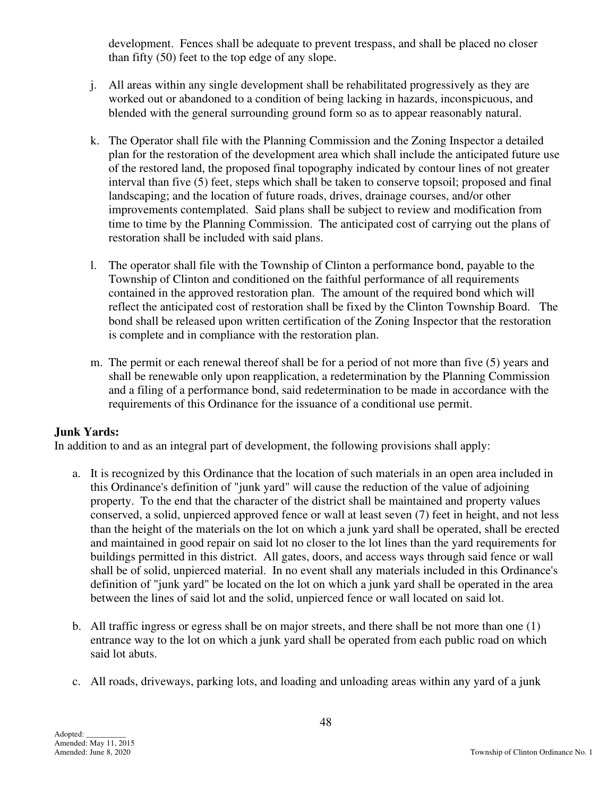development. Fences shall be adequate to prevent trespass, and shall be placed no closer than fifty (50) feet to the top edge of any slope.

- j. All areas within any single development shall be rehabilitated progressively as they are worked out or abandoned to a condition of being lacking in hazards, inconspicuous, and blended with the general surrounding ground form so as to appear reasonably natural.
- k. The Operator shall file with the Planning Commission and the Zoning Inspector a detailed plan for the restoration of the development area which shall include the anticipated future use of the restored land, the proposed final topography indicated by contour lines of not greater interval than five (5) feet, steps which shall be taken to conserve topsoil; proposed and final landscaping; and the location of future roads, drives, drainage courses, and/or other improvements contemplated. Said plans shall be subject to review and modification from time to time by the Planning Commission. The anticipated cost of carrying out the plans of restoration shall be included with said plans.
- l. The operator shall file with the Township of Clinton a performance bond, payable to the Township of Clinton and conditioned on the faithful performance of all requirements contained in the approved restoration plan. The amount of the required bond which will reflect the anticipated cost of restoration shall be fixed by the Clinton Township Board. The bond shall be released upon written certification of the Zoning Inspector that the restoration is complete and in compliance with the restoration plan.
- m. The permit or each renewal thereof shall be for a period of not more than five (5) years and shall be renewable only upon reapplication, a redetermination by the Planning Commission and a filing of a performance bond, said redetermination to be made in accordance with the requirements of this Ordinance for the issuance of a conditional use permit.

# **Junk Yards:**

In addition to and as an integral part of development, the following provisions shall apply:

- a. It is recognized by this Ordinance that the location of such materials in an open area included in this Ordinance's definition of "junk yard" will cause the reduction of the value of adjoining property. To the end that the character of the district shall be maintained and property values conserved, a solid, unpierced approved fence or wall at least seven (7) feet in height, and not less than the height of the materials on the lot on which a junk yard shall be operated, shall be erected and maintained in good repair on said lot no closer to the lot lines than the yard requirements for buildings permitted in this district. All gates, doors, and access ways through said fence or wall shall be of solid, unpierced material. In no event shall any materials included in this Ordinance's definition of "junk yard" be located on the lot on which a junk yard shall be operated in the area between the lines of said lot and the solid, unpierced fence or wall located on said lot.
- b. All traffic ingress or egress shall be on major streets, and there shall be not more than one (1) entrance way to the lot on which a junk yard shall be operated from each public road on which said lot abuts.
- c. All roads, driveways, parking lots, and loading and unloading areas within any yard of a junk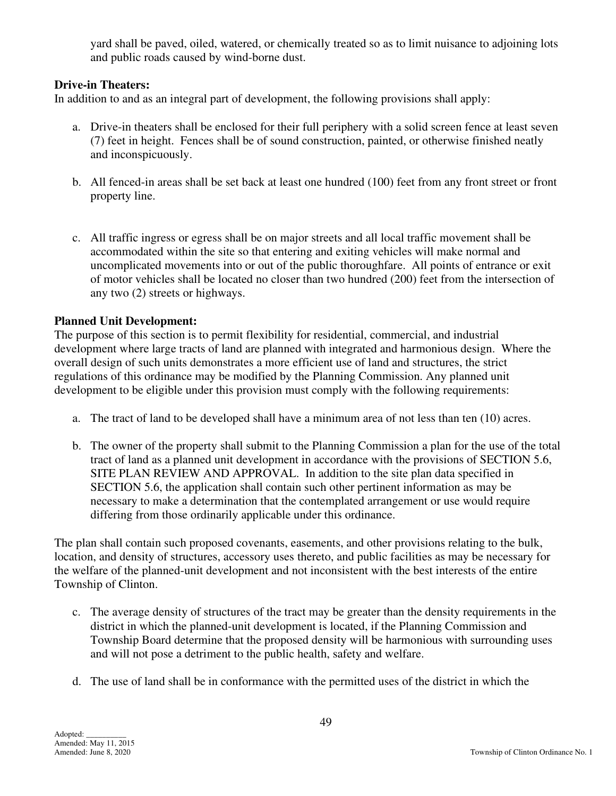yard shall be paved, oiled, watered, or chemically treated so as to limit nuisance to adjoining lots and public roads caused by wind-borne dust.

# **Drive-in Theaters:**

In addition to and as an integral part of development, the following provisions shall apply:

- a. Drive-in theaters shall be enclosed for their full periphery with a solid screen fence at least seven (7) feet in height. Fences shall be of sound construction, painted, or otherwise finished neatly and inconspicuously.
- b. All fenced-in areas shall be set back at least one hundred (100) feet from any front street or front property line.
- c. All traffic ingress or egress shall be on major streets and all local traffic movement shall be accommodated within the site so that entering and exiting vehicles will make normal and uncomplicated movements into or out of the public thoroughfare. All points of entrance or exit of motor vehicles shall be located no closer than two hundred (200) feet from the intersection of any two (2) streets or highways.

# **Planned Unit Development:**

The purpose of this section is to permit flexibility for residential, commercial, and industrial development where large tracts of land are planned with integrated and harmonious design. Where the overall design of such units demonstrates a more efficient use of land and structures, the strict regulations of this ordinance may be modified by the Planning Commission. Any planned unit development to be eligible under this provision must comply with the following requirements:

- a. The tract of land to be developed shall have a minimum area of not less than ten (10) acres.
- b. The owner of the property shall submit to the Planning Commission a plan for the use of the total tract of land as a planned unit development in accordance with the provisions of SECTION 5.6, SITE PLAN REVIEW AND APPROVAL. In addition to the site plan data specified in SECTION 5.6, the application shall contain such other pertinent information as may be necessary to make a determination that the contemplated arrangement or use would require differing from those ordinarily applicable under this ordinance.

The plan shall contain such proposed covenants, easements, and other provisions relating to the bulk, location, and density of structures, accessory uses thereto, and public facilities as may be necessary for the welfare of the planned-unit development and not inconsistent with the best interests of the entire Township of Clinton.

- c. The average density of structures of the tract may be greater than the density requirements in the district in which the planned-unit development is located, if the Planning Commission and Township Board determine that the proposed density will be harmonious with surrounding uses and will not pose a detriment to the public health, safety and welfare.
- d. The use of land shall be in conformance with the permitted uses of the district in which the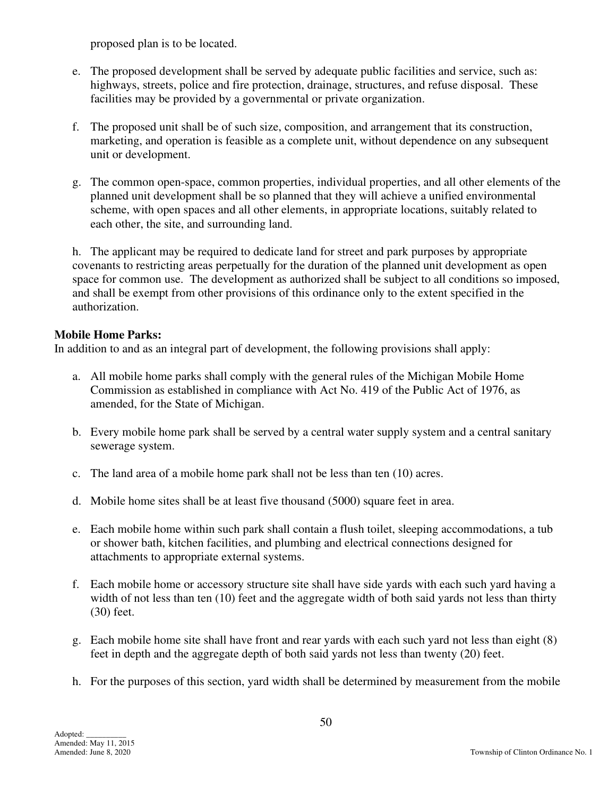proposed plan is to be located.

- e. The proposed development shall be served by adequate public facilities and service, such as: highways, streets, police and fire protection, drainage, structures, and refuse disposal. These facilities may be provided by a governmental or private organization.
- f. The proposed unit shall be of such size, composition, and arrangement that its construction, marketing, and operation is feasible as a complete unit, without dependence on any subsequent unit or development.
- g. The common open-space, common properties, individual properties, and all other elements of the planned unit development shall be so planned that they will achieve a unified environmental scheme, with open spaces and all other elements, in appropriate locations, suitably related to each other, the site, and surrounding land.

 h. The applicant may be required to dedicate land for street and park purposes by appropriate covenants to restricting areas perpetually for the duration of the planned unit development as open space for common use. The development as authorized shall be subject to all conditions so imposed, and shall be exempt from other provisions of this ordinance only to the extent specified in the authorization.

# **Mobile Home Parks:**

In addition to and as an integral part of development, the following provisions shall apply:

- a. All mobile home parks shall comply with the general rules of the Michigan Mobile Home Commission as established in compliance with Act No. 419 of the Public Act of 1976, as amended, for the State of Michigan.
- b. Every mobile home park shall be served by a central water supply system and a central sanitary sewerage system.
- c. The land area of a mobile home park shall not be less than ten (10) acres.
- d. Mobile home sites shall be at least five thousand (5000) square feet in area.
- e. Each mobile home within such park shall contain a flush toilet, sleeping accommodations, a tub or shower bath, kitchen facilities, and plumbing and electrical connections designed for attachments to appropriate external systems.
- f. Each mobile home or accessory structure site shall have side yards with each such yard having a width of not less than ten (10) feet and the aggregate width of both said yards not less than thirty (30) feet.
- g. Each mobile home site shall have front and rear yards with each such yard not less than eight (8) feet in depth and the aggregate depth of both said yards not less than twenty (20) feet.
- h. For the purposes of this section, yard width shall be determined by measurement from the mobile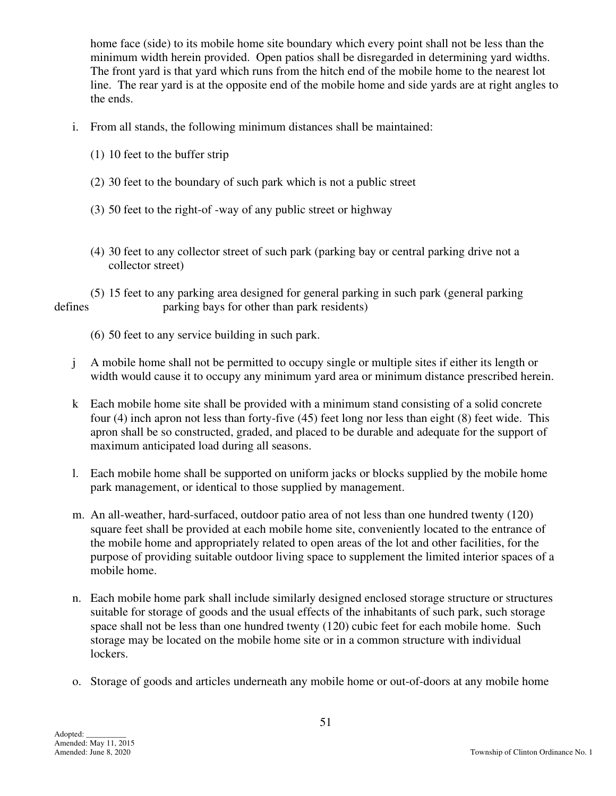home face (side) to its mobile home site boundary which every point shall not be less than the minimum width herein provided. Open patios shall be disregarded in determining yard widths. The front yard is that yard which runs from the hitch end of the mobile home to the nearest lot line. The rear yard is at the opposite end of the mobile home and side yards are at right angles to the ends.

- i. From all stands, the following minimum distances shall be maintained:
	- (1) 10 feet to the buffer strip
	- (2) 30 feet to the boundary of such park which is not a public street
	- (3) 50 feet to the right-of -way of any public street or highway
	- (4) 30 feet to any collector street of such park (parking bay or central parking drive not a collector street)

 (5) 15 feet to any parking area designed for general parking in such park (general parking defines parking bays for other than park residents)

- (6) 50 feet to any service building in such park.
- j A mobile home shall not be permitted to occupy single or multiple sites if either its length or width would cause it to occupy any minimum yard area or minimum distance prescribed herein.
- k Each mobile home site shall be provided with a minimum stand consisting of a solid concrete four (4) inch apron not less than forty-five (45) feet long nor less than eight (8) feet wide. This apron shall be so constructed, graded, and placed to be durable and adequate for the support of maximum anticipated load during all seasons.
- l. Each mobile home shall be supported on uniform jacks or blocks supplied by the mobile home park management, or identical to those supplied by management.
- m. An all-weather, hard-surfaced, outdoor patio area of not less than one hundred twenty (120) square feet shall be provided at each mobile home site, conveniently located to the entrance of the mobile home and appropriately related to open areas of the lot and other facilities, for the purpose of providing suitable outdoor living space to supplement the limited interior spaces of a mobile home.
- n. Each mobile home park shall include similarly designed enclosed storage structure or structures suitable for storage of goods and the usual effects of the inhabitants of such park, such storage space shall not be less than one hundred twenty (120) cubic feet for each mobile home. Such storage may be located on the mobile home site or in a common structure with individual lockers.
- o. Storage of goods and articles underneath any mobile home or out-of-doors at any mobile home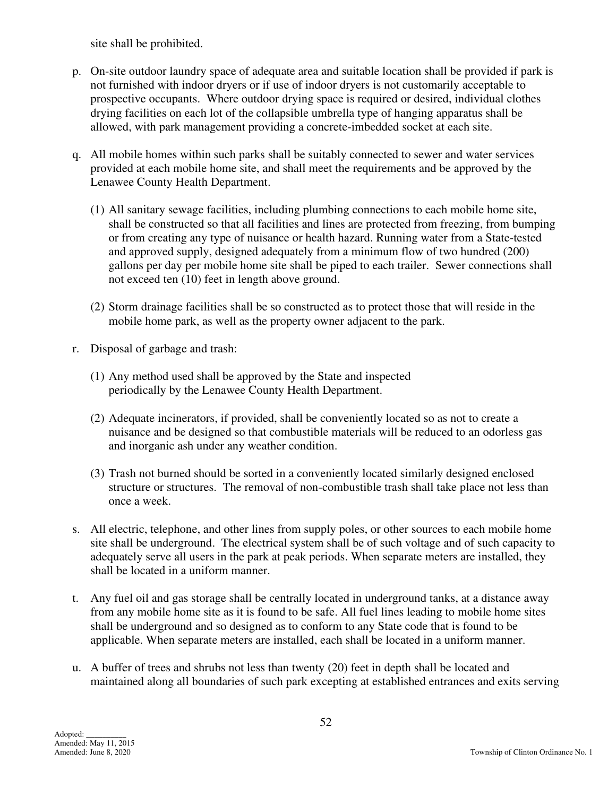site shall be prohibited.

- p. On-site outdoor laundry space of adequate area and suitable location shall be provided if park is not furnished with indoor dryers or if use of indoor dryers is not customarily acceptable to prospective occupants. Where outdoor drying space is required or desired, individual clothes drying facilities on each lot of the collapsible umbrella type of hanging apparatus shall be allowed, with park management providing a concrete-imbedded socket at each site.
- q. All mobile homes within such parks shall be suitably connected to sewer and water services provided at each mobile home site, and shall meet the requirements and be approved by the Lenawee County Health Department.
	- (1) All sanitary sewage facilities, including plumbing connections to each mobile home site, shall be constructed so that all facilities and lines are protected from freezing, from bumping or from creating any type of nuisance or health hazard. Running water from a State-tested and approved supply, designed adequately from a minimum flow of two hundred (200) gallons per day per mobile home site shall be piped to each trailer. Sewer connections shall not exceed ten (10) feet in length above ground.
	- (2) Storm drainage facilities shall be so constructed as to protect those that will reside in the mobile home park, as well as the property owner adjacent to the park.
- r. Disposal of garbage and trash:
	- (1) Any method used shall be approved by the State and inspected periodically by the Lenawee County Health Department.
	- (2) Adequate incinerators, if provided, shall be conveniently located so as not to create a nuisance and be designed so that combustible materials will be reduced to an odorless gas and inorganic ash under any weather condition.
	- (3) Trash not burned should be sorted in a conveniently located similarly designed enclosed structure or structures. The removal of non-combustible trash shall take place not less than once a week.
- s. All electric, telephone, and other lines from supply poles, or other sources to each mobile home site shall be underground. The electrical system shall be of such voltage and of such capacity to adequately serve all users in the park at peak periods. When separate meters are installed, they shall be located in a uniform manner.
- t. Any fuel oil and gas storage shall be centrally located in underground tanks, at a distance away from any mobile home site as it is found to be safe. All fuel lines leading to mobile home sites shall be underground and so designed as to conform to any State code that is found to be applicable. When separate meters are installed, each shall be located in a uniform manner.
- u. A buffer of trees and shrubs not less than twenty (20) feet in depth shall be located and maintained along all boundaries of such park excepting at established entrances and exits serving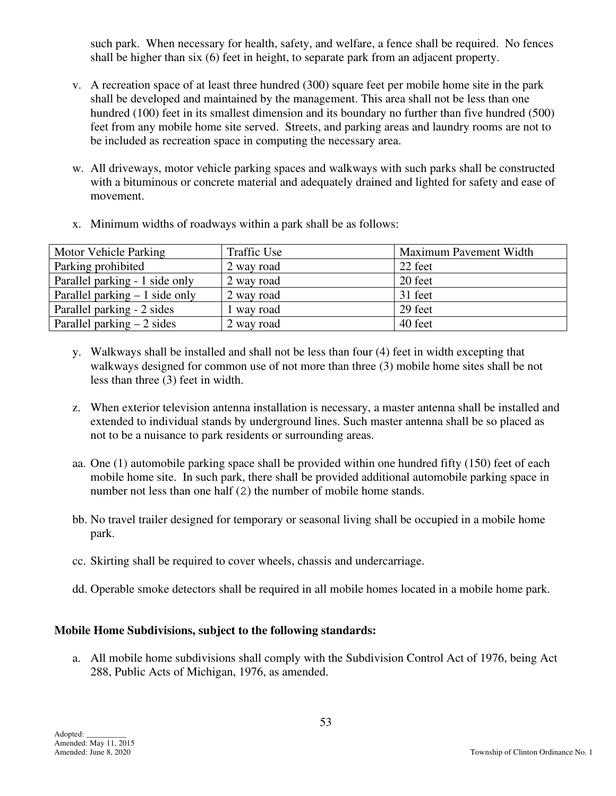such park. When necessary for health, safety, and welfare, a fence shall be required. No fences shall be higher than six (6) feet in height, to separate park from an adjacent property.

- v. A recreation space of at least three hundred (300) square feet per mobile home site in the park shall be developed and maintained by the management. This area shall not be less than one hundred (100) feet in its smallest dimension and its boundary no further than five hundred (500) feet from any mobile home site served. Streets, and parking areas and laundry rooms are not to be included as recreation space in computing the necessary area.
- w. All driveways, motor vehicle parking spaces and walkways with such parks shall be constructed with a bituminous or concrete material and adequately drained and lighted for safety and ease of movement.

|  |  |  |  | x. Minimum widths of roadways within a park shall be as follows: |
|--|--|--|--|------------------------------------------------------------------|
|--|--|--|--|------------------------------------------------------------------|

| Motor Vehicle Parking           | <b>Traffic Use</b> | Maximum Pavement Width |
|---------------------------------|--------------------|------------------------|
| Parking prohibited              | 2 way road         | 22 feet                |
| Parallel parking - 1 side only  | 2 way road         | 20 feet                |
| Parallel parking $-1$ side only | 2 way road         | 31 feet                |
| Parallel parking - 2 sides      | 1 way road         | 29 feet                |
| Parallel parking $-2$ sides     | 2 way road         | 40 feet                |

- y. Walkways shall be installed and shall not be less than four (4) feet in width excepting that walkways designed for common use of not more than three (3) mobile home sites shall be not less than three (3) feet in width.
- z. When exterior television antenna installation is necessary, a master antenna shall be installed and extended to individual stands by underground lines. Such master antenna shall be so placed as not to be a nuisance to park residents or surrounding areas.
- aa. One (1) automobile parking space shall be provided within one hundred fifty (150) feet of each mobile home site. In such park, there shall be provided additional automobile parking space in number not less than one half (2) the number of mobile home stands.
- bb. No travel trailer designed for temporary or seasonal living shall be occupied in a mobile home park.
- cc. Skirting shall be required to cover wheels, chassis and undercarriage.
- dd. Operable smoke detectors shall be required in all mobile homes located in a mobile home park.

# **Mobile Home Subdivisions, subject to the following standards:**

 a. All mobile home subdivisions shall comply with the Subdivision Control Act of 1976, being Act 288, Public Acts of Michigan, 1976, as amended.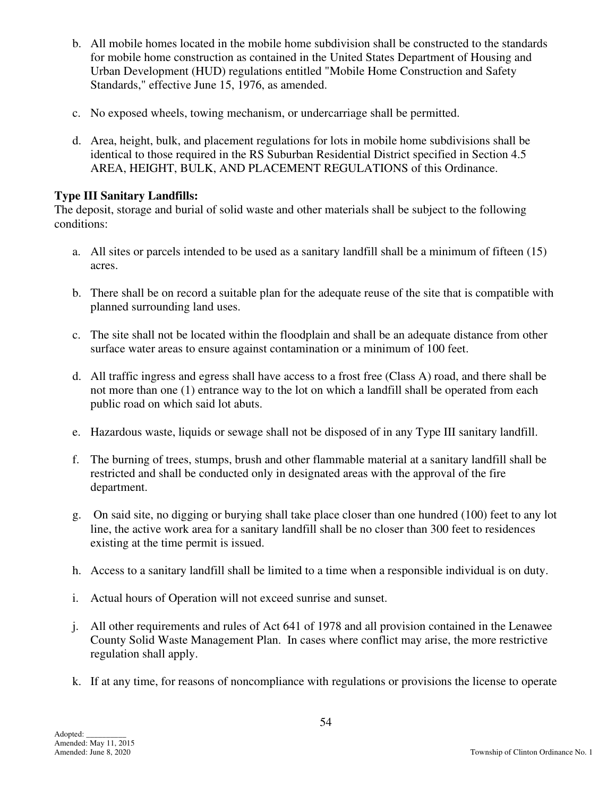- b. All mobile homes located in the mobile home subdivision shall be constructed to the standards for mobile home construction as contained in the United States Department of Housing and Urban Development (HUD) regulations entitled "Mobile Home Construction and Safety Standards," effective June 15, 1976, as amended.
- c. No exposed wheels, towing mechanism, or undercarriage shall be permitted.
- d. Area, height, bulk, and placement regulations for lots in mobile home subdivisions shall be identical to those required in the RS Suburban Residential District specified in Section 4.5 AREA, HEIGHT, BULK, AND PLACEMENT REGULATIONS of this Ordinance.

### **Type III Sanitary Landfills:**

The deposit, storage and burial of solid waste and other materials shall be subject to the following conditions:

- a. All sites or parcels intended to be used as a sanitary landfill shall be a minimum of fifteen (15) acres.
- b. There shall be on record a suitable plan for the adequate reuse of the site that is compatible with planned surrounding land uses.
- c. The site shall not be located within the floodplain and shall be an adequate distance from other surface water areas to ensure against contamination or a minimum of 100 feet.
- d. All traffic ingress and egress shall have access to a frost free (Class A) road, and there shall be not more than one (1) entrance way to the lot on which a landfill shall be operated from each public road on which said lot abuts.
- e. Hazardous waste, liquids or sewage shall not be disposed of in any Type III sanitary landfill.
- f. The burning of trees, stumps, brush and other flammable material at a sanitary landfill shall be restricted and shall be conducted only in designated areas with the approval of the fire department.
- g. On said site, no digging or burying shall take place closer than one hundred (100) feet to any lot line, the active work area for a sanitary landfill shall be no closer than 300 feet to residences existing at the time permit is issued.
- h. Access to a sanitary landfill shall be limited to a time when a responsible individual is on duty.
- i. Actual hours of Operation will not exceed sunrise and sunset.
- j. All other requirements and rules of Act 641 of 1978 and all provision contained in the Lenawee County Solid Waste Management Plan. In cases where conflict may arise, the more restrictive regulation shall apply.
- k. If at any time, for reasons of noncompliance with regulations or provisions the license to operate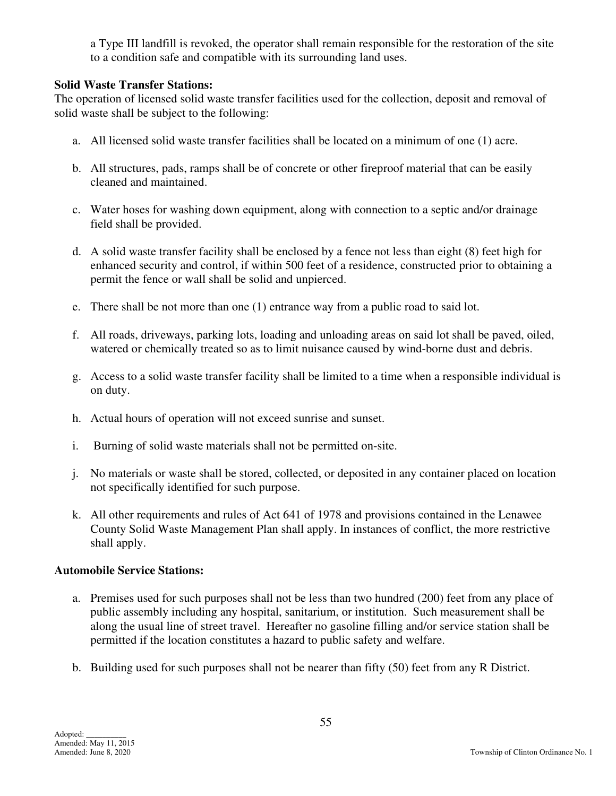a Type III landfill is revoked, the operator shall remain responsible for the restoration of the site to a condition safe and compatible with its surrounding land uses.

# **Solid Waste Transfer Stations:**

The operation of licensed solid waste transfer facilities used for the collection, deposit and removal of solid waste shall be subject to the following:

- a. All licensed solid waste transfer facilities shall be located on a minimum of one (1) acre.
- b. All structures, pads, ramps shall be of concrete or other fireproof material that can be easily cleaned and maintained.
- c. Water hoses for washing down equipment, along with connection to a septic and/or drainage field shall be provided.
- d. A solid waste transfer facility shall be enclosed by a fence not less than eight (8) feet high for enhanced security and control, if within 500 feet of a residence, constructed prior to obtaining a permit the fence or wall shall be solid and unpierced.
- e. There shall be not more than one (1) entrance way from a public road to said lot.
- f. All roads, driveways, parking lots, loading and unloading areas on said lot shall be paved, oiled, watered or chemically treated so as to limit nuisance caused by wind-borne dust and debris.
- g. Access to a solid waste transfer facility shall be limited to a time when a responsible individual is on duty.
- h. Actual hours of operation will not exceed sunrise and sunset.
- i. Burning of solid waste materials shall not be permitted on-site.
- j. No materials or waste shall be stored, collected, or deposited in any container placed on location not specifically identified for such purpose.
- k. All other requirements and rules of Act 641 of 1978 and provisions contained in the Lenawee County Solid Waste Management Plan shall apply. In instances of conflict, the more restrictive shall apply.

# **Automobile Service Stations:**

- a. Premises used for such purposes shall not be less than two hundred (200) feet from any place of public assembly including any hospital, sanitarium, or institution. Such measurement shall be along the usual line of street travel. Hereafter no gasoline filling and/or service station shall be permitted if the location constitutes a hazard to public safety and welfare.
- b. Building used for such purposes shall not be nearer than fifty (50) feet from any R District.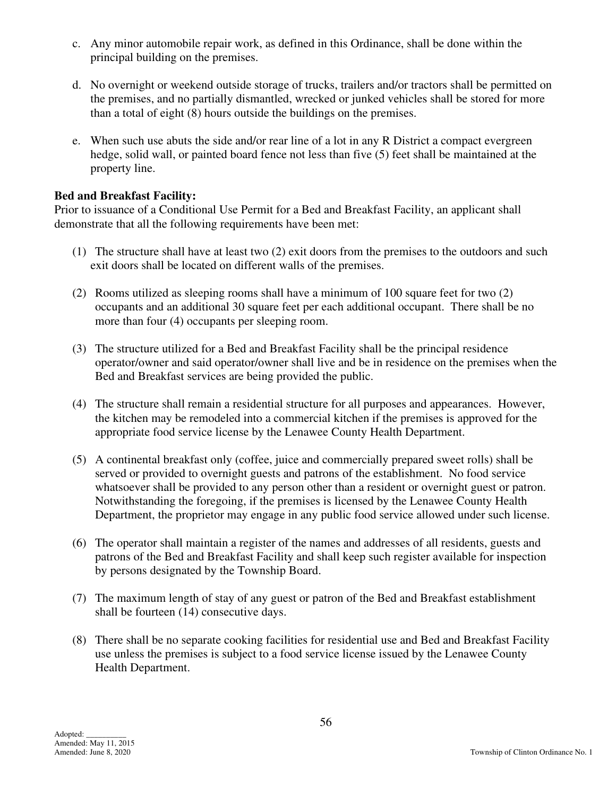- c. Any minor automobile repair work, as defined in this Ordinance, shall be done within the principal building on the premises.
- d. No overnight or weekend outside storage of trucks, trailers and/or tractors shall be permitted on the premises, and no partially dismantled, wrecked or junked vehicles shall be stored for more than a total of eight (8) hours outside the buildings on the premises.
- e. When such use abuts the side and/or rear line of a lot in any R District a compact evergreen hedge, solid wall, or painted board fence not less than five (5) feet shall be maintained at the property line.

#### **Bed and Breakfast Facility:**

Prior to issuance of a Conditional Use Permit for a Bed and Breakfast Facility, an applicant shall demonstrate that all the following requirements have been met:

- (1) The structure shall have at least two (2) exit doors from the premises to the outdoors and such exit doors shall be located on different walls of the premises.
- (2) Rooms utilized as sleeping rooms shall have a minimum of 100 square feet for two (2) occupants and an additional 30 square feet per each additional occupant. There shall be no more than four (4) occupants per sleeping room.
- (3) The structure utilized for a Bed and Breakfast Facility shall be the principal residence operator/owner and said operator/owner shall live and be in residence on the premises when the Bed and Breakfast services are being provided the public.
- (4) The structure shall remain a residential structure for all purposes and appearances. However, the kitchen may be remodeled into a commercial kitchen if the premises is approved for the appropriate food service license by the Lenawee County Health Department.
- (5) A continental breakfast only (coffee, juice and commercially prepared sweet rolls) shall be served or provided to overnight guests and patrons of the establishment. No food service whatsoever shall be provided to any person other than a resident or overnight guest or patron. Notwithstanding the foregoing, if the premises is licensed by the Lenawee County Health Department, the proprietor may engage in any public food service allowed under such license.
- (6) The operator shall maintain a register of the names and addresses of all residents, guests and patrons of the Bed and Breakfast Facility and shall keep such register available for inspection by persons designated by the Township Board.
- (7) The maximum length of stay of any guest or patron of the Bed and Breakfast establishment shall be fourteen (14) consecutive days.
- (8) There shall be no separate cooking facilities for residential use and Bed and Breakfast Facility use unless the premises is subject to a food service license issued by the Lenawee County Health Department.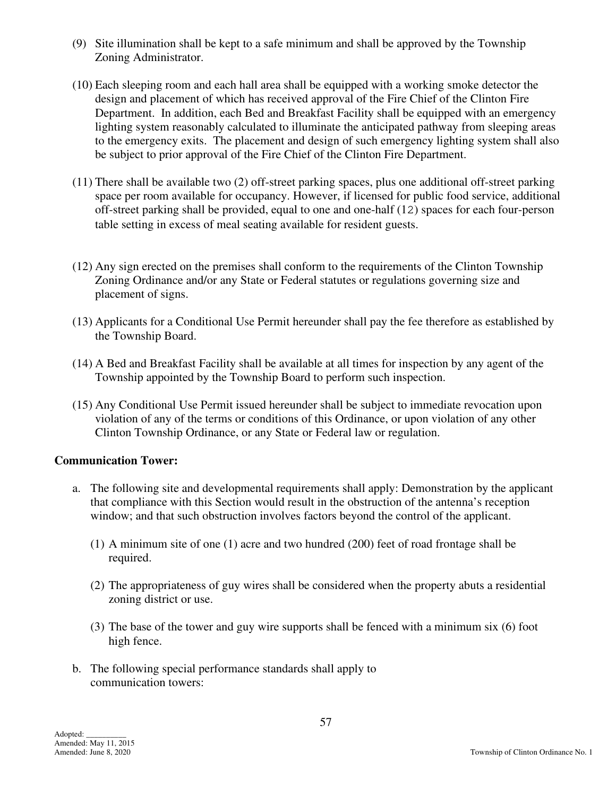- (9) Site illumination shall be kept to a safe minimum and shall be approved by the Township Zoning Administrator.
- (10) Each sleeping room and each hall area shall be equipped with a working smoke detector the design and placement of which has received approval of the Fire Chief of the Clinton Fire Department. In addition, each Bed and Breakfast Facility shall be equipped with an emergency lighting system reasonably calculated to illuminate the anticipated pathway from sleeping areas to the emergency exits. The placement and design of such emergency lighting system shall also be subject to prior approval of the Fire Chief of the Clinton Fire Department.
- (11) There shall be available two (2) off-street parking spaces, plus one additional off-street parking space per room available for occupancy. However, if licensed for public food service, additional off-street parking shall be provided, equal to one and one-half (12) spaces for each four-person table setting in excess of meal seating available for resident guests.
- (12) Any sign erected on the premises shall conform to the requirements of the Clinton Township Zoning Ordinance and/or any State or Federal statutes or regulations governing size and placement of signs.
- (13) Applicants for a Conditional Use Permit hereunder shall pay the fee therefore as established by the Township Board.
- (14) A Bed and Breakfast Facility shall be available at all times for inspection by any agent of the Township appointed by the Township Board to perform such inspection.
- (15) Any Conditional Use Permit issued hereunder shall be subject to immediate revocation upon violation of any of the terms or conditions of this Ordinance, or upon violation of any other Clinton Township Ordinance, or any State or Federal law or regulation.

# **Communication Tower:**

- a. The following site and developmental requirements shall apply: Demonstration by the applicant that compliance with this Section would result in the obstruction of the antenna's reception window; and that such obstruction involves factors beyond the control of the applicant.
	- (1) A minimum site of one (1) acre and two hundred (200) feet of road frontage shall be required.
	- (2) The appropriateness of guy wires shall be considered when the property abuts a residential zoning district or use.
	- (3) The base of the tower and guy wire supports shall be fenced with a minimum six (6) foot high fence.
- b. The following special performance standards shall apply to communication towers: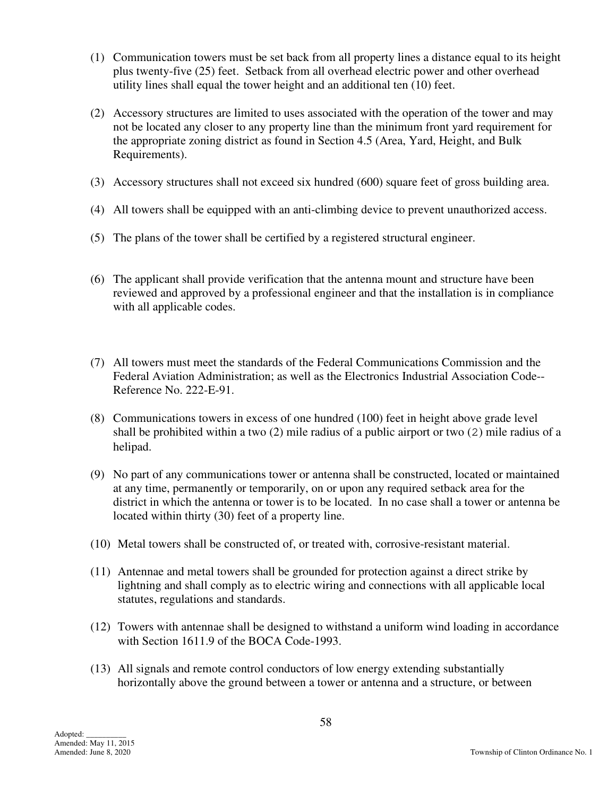- (1) Communication towers must be set back from all property lines a distance equal to its height plus twenty-five (25) feet. Setback from all overhead electric power and other overhead utility lines shall equal the tower height and an additional ten (10) feet.
- (2) Accessory structures are limited to uses associated with the operation of the tower and may not be located any closer to any property line than the minimum front yard requirement for the appropriate zoning district as found in Section 4.5 (Area, Yard, Height, and Bulk Requirements).
- (3) Accessory structures shall not exceed six hundred (600) square feet of gross building area.
- (4) All towers shall be equipped with an anti-climbing device to prevent unauthorized access.
- (5) The plans of the tower shall be certified by a registered structural engineer.
- (6) The applicant shall provide verification that the antenna mount and structure have been reviewed and approved by a professional engineer and that the installation is in compliance with all applicable codes.
- (7) All towers must meet the standards of the Federal Communications Commission and the Federal Aviation Administration; as well as the Electronics Industrial Association Code-- Reference No. 222-E-91.
- (8) Communications towers in excess of one hundred (100) feet in height above grade level shall be prohibited within a two (2) mile radius of a public airport or two (2) mile radius of a helipad.
- (9) No part of any communications tower or antenna shall be constructed, located or maintained at any time, permanently or temporarily, on or upon any required setback area for the district in which the antenna or tower is to be located. In no case shall a tower or antenna be located within thirty (30) feet of a property line.
- (10) Metal towers shall be constructed of, or treated with, corrosive-resistant material.
- (11) Antennae and metal towers shall be grounded for protection against a direct strike by lightning and shall comply as to electric wiring and connections with all applicable local statutes, regulations and standards.
- (12) Towers with antennae shall be designed to withstand a uniform wind loading in accordance with Section 1611.9 of the BOCA Code-1993.
- (13) All signals and remote control conductors of low energy extending substantially horizontally above the ground between a tower or antenna and a structure, or between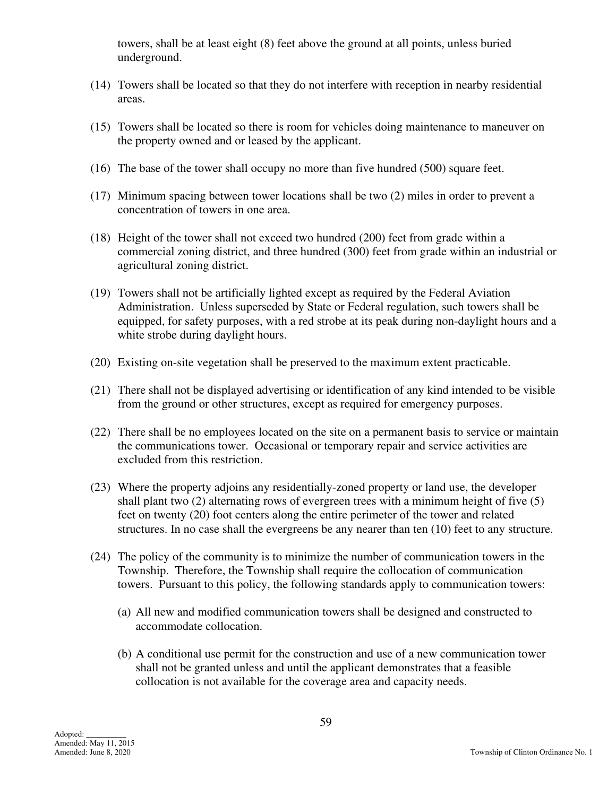towers, shall be at least eight (8) feet above the ground at all points, unless buried underground.

- (14) Towers shall be located so that they do not interfere with reception in nearby residential areas.
- (15) Towers shall be located so there is room for vehicles doing maintenance to maneuver on the property owned and or leased by the applicant.
- (16) The base of the tower shall occupy no more than five hundred (500) square feet.
- (17) Minimum spacing between tower locations shall be two (2) miles in order to prevent a concentration of towers in one area.
- (18) Height of the tower shall not exceed two hundred (200) feet from grade within a commercial zoning district, and three hundred (300) feet from grade within an industrial or agricultural zoning district.
- (19) Towers shall not be artificially lighted except as required by the Federal Aviation Administration. Unless superseded by State or Federal regulation, such towers shall be equipped, for safety purposes, with a red strobe at its peak during non-daylight hours and a white strobe during daylight hours.
- (20) Existing on-site vegetation shall be preserved to the maximum extent practicable.
- (21) There shall not be displayed advertising or identification of any kind intended to be visible from the ground or other structures, except as required for emergency purposes.
- (22) There shall be no employees located on the site on a permanent basis to service or maintain the communications tower. Occasional or temporary repair and service activities are excluded from this restriction.
- (23) Where the property adjoins any residentially-zoned property or land use, the developer shall plant two (2) alternating rows of evergreen trees with a minimum height of five (5) feet on twenty (20) foot centers along the entire perimeter of the tower and related structures. In no case shall the evergreens be any nearer than ten (10) feet to any structure.
- (24) The policy of the community is to minimize the number of communication towers in the Township. Therefore, the Township shall require the collocation of communication towers. Pursuant to this policy, the following standards apply to communication towers:
	- (a) All new and modified communication towers shall be designed and constructed to accommodate collocation.
	- (b) A conditional use permit for the construction and use of a new communication tower shall not be granted unless and until the applicant demonstrates that a feasible collocation is not available for the coverage area and capacity needs.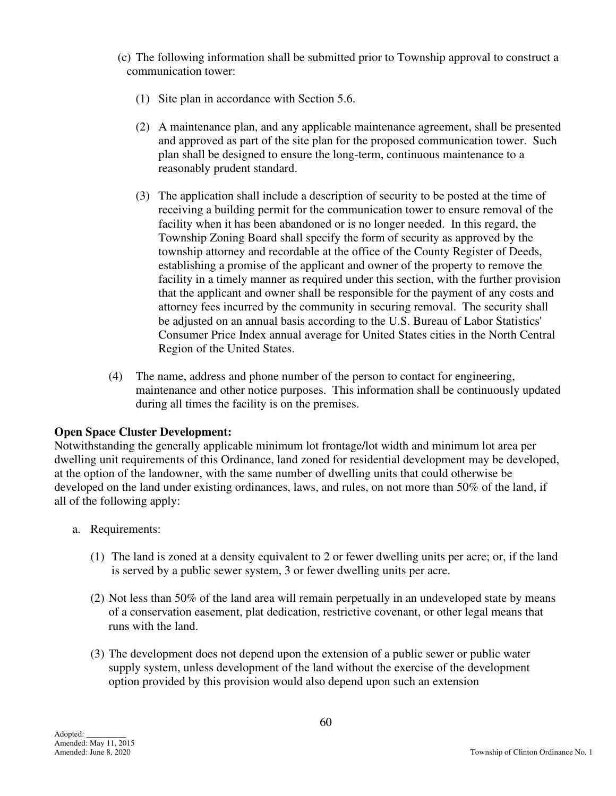(c) The following information shall be submitted prior to Township approval to construct a communication tower:

- (1) Site plan in accordance with Section 5.6.
- (2) A maintenance plan, and any applicable maintenance agreement, shall be presented and approved as part of the site plan for the proposed communication tower. Such plan shall be designed to ensure the long-term, continuous maintenance to a reasonably prudent standard.
- (3) The application shall include a description of security to be posted at the time of receiving a building permit for the communication tower to ensure removal of the facility when it has been abandoned or is no longer needed. In this regard, the Township Zoning Board shall specify the form of security as approved by the township attorney and recordable at the office of the County Register of Deeds, establishing a promise of the applicant and owner of the property to remove the facility in a timely manner as required under this section, with the further provision that the applicant and owner shall be responsible for the payment of any costs and attorney fees incurred by the community in securing removal. The security shall be adjusted on an annual basis according to the U.S. Bureau of Labor Statistics' Consumer Price Index annual average for United States cities in the North Central Region of the United States.
- (4) The name, address and phone number of the person to contact for engineering, maintenance and other notice purposes. This information shall be continuously updated during all times the facility is on the premises.

# **Open Space Cluster Development:**

Notwithstanding the generally applicable minimum lot frontage/lot width and minimum lot area per dwelling unit requirements of this Ordinance, land zoned for residential development may be developed, at the option of the landowner, with the same number of dwelling units that could otherwise be developed on the land under existing ordinances, laws, and rules, on not more than 50% of the land, if all of the following apply:

- a. Requirements:
	- (1) The land is zoned at a density equivalent to 2 or fewer dwelling units per acre; or, if the land is served by a public sewer system, 3 or fewer dwelling units per acre.
	- (2) Not less than 50% of the land area will remain perpetually in an undeveloped state by means of a conservation easement, plat dedication, restrictive covenant, or other legal means that runs with the land.
	- (3) The development does not depend upon the extension of a public sewer or public water supply system, unless development of the land without the exercise of the development option provided by this provision would also depend upon such an extension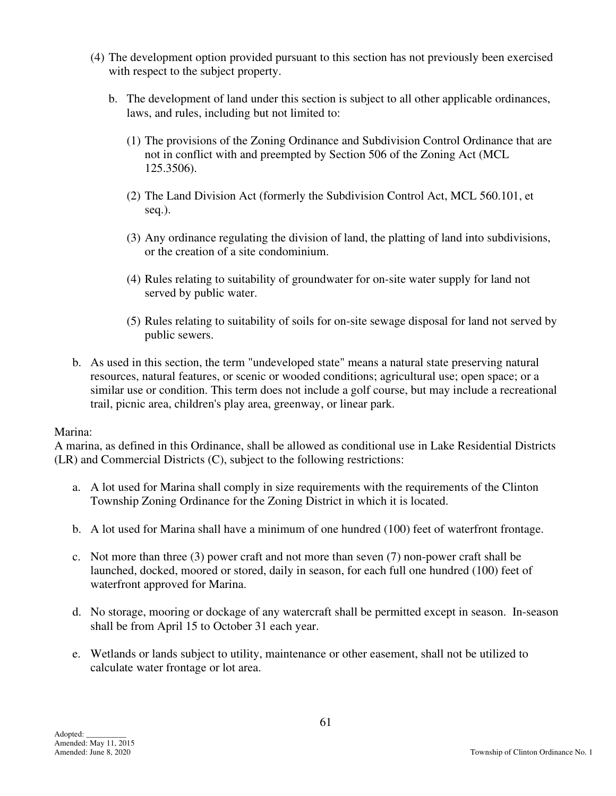- (4) The development option provided pursuant to this section has not previously been exercised with respect to the subject property.
	- b. The development of land under this section is subject to all other applicable ordinances, laws, and rules, including but not limited to:
		- (1) The provisions of the Zoning Ordinance and Subdivision Control Ordinance that are not in conflict with and preempted by Section 506 of the Zoning Act (MCL 125.3506).
		- (2) The Land Division Act (formerly the Subdivision Control Act, MCL 560.101, et seq.).
		- (3) Any ordinance regulating the division of land, the platting of land into subdivisions, or the creation of a site condominium.
		- (4) Rules relating to suitability of groundwater for on-site water supply for land not served by public water.
		- (5) Rules relating to suitability of soils for on-site sewage disposal for land not served by public sewers.
- b. As used in this section, the term "undeveloped state" means a natural state preserving natural resources, natural features, or scenic or wooded conditions; agricultural use; open space; or a similar use or condition. This term does not include a golf course, but may include a recreational trail, picnic area, children's play area, greenway, or linear park.

#### Marina:

A marina, as defined in this Ordinance, shall be allowed as conditional use in Lake Residential Districts (LR) and Commercial Districts (C), subject to the following restrictions:

- a. A lot used for Marina shall comply in size requirements with the requirements of the Clinton Township Zoning Ordinance for the Zoning District in which it is located.
- b. A lot used for Marina shall have a minimum of one hundred (100) feet of waterfront frontage.
- c. Not more than three (3) power craft and not more than seven (7) non-power craft shall be launched, docked, moored or stored, daily in season, for each full one hundred (100) feet of waterfront approved for Marina.
- d. No storage, mooring or dockage of any watercraft shall be permitted except in season. In-season shall be from April 15 to October 31 each year.
- e. Wetlands or lands subject to utility, maintenance or other easement, shall not be utilized to calculate water frontage or lot area.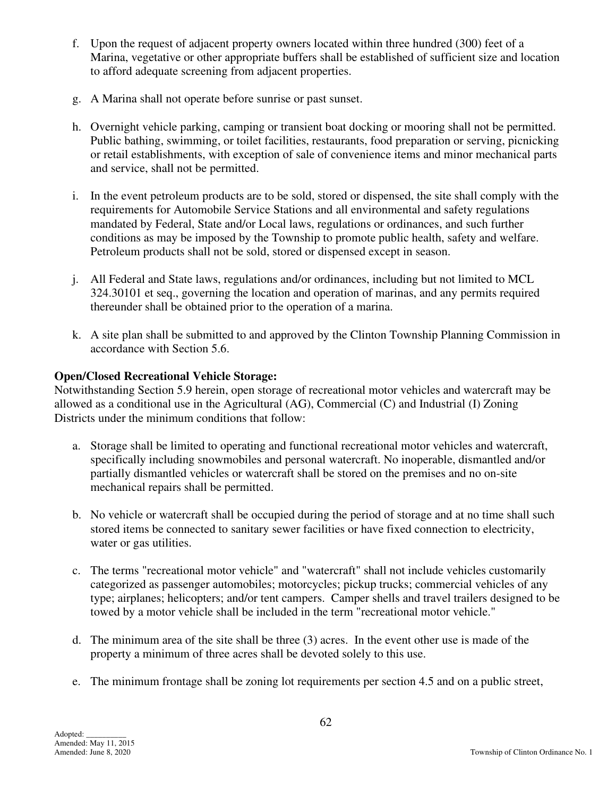- f. Upon the request of adjacent property owners located within three hundred (300) feet of a Marina, vegetative or other appropriate buffers shall be established of sufficient size and location to afford adequate screening from adjacent properties.
- g. A Marina shall not operate before sunrise or past sunset.
- h. Overnight vehicle parking, camping or transient boat docking or mooring shall not be permitted. Public bathing, swimming, or toilet facilities, restaurants, food preparation or serving, picnicking or retail establishments, with exception of sale of convenience items and minor mechanical parts and service, shall not be permitted.
- i. In the event petroleum products are to be sold, stored or dispensed, the site shall comply with the requirements for Automobile Service Stations and all environmental and safety regulations mandated by Federal, State and/or Local laws, regulations or ordinances, and such further conditions as may be imposed by the Township to promote public health, safety and welfare. Petroleum products shall not be sold, stored or dispensed except in season.
- j. All Federal and State laws, regulations and/or ordinances, including but not limited to MCL 324.30101 et seq., governing the location and operation of marinas, and any permits required thereunder shall be obtained prior to the operation of a marina.
- k. A site plan shall be submitted to and approved by the Clinton Township Planning Commission in accordance with Section 5.6.

# **Open/Closed Recreational Vehicle Storage:**

Notwithstanding Section 5.9 herein, open storage of recreational motor vehicles and watercraft may be allowed as a conditional use in the Agricultural (AG), Commercial (C) and Industrial (I) Zoning Districts under the minimum conditions that follow:

- a. Storage shall be limited to operating and functional recreational motor vehicles and watercraft, specifically including snowmobiles and personal watercraft. No inoperable, dismantled and/or partially dismantled vehicles or watercraft shall be stored on the premises and no on-site mechanical repairs shall be permitted.
- b. No vehicle or watercraft shall be occupied during the period of storage and at no time shall such stored items be connected to sanitary sewer facilities or have fixed connection to electricity, water or gas utilities.
- c. The terms "recreational motor vehicle" and "watercraft" shall not include vehicles customarily categorized as passenger automobiles; motorcycles; pickup trucks; commercial vehicles of any type; airplanes; helicopters; and/or tent campers. Camper shells and travel trailers designed to be towed by a motor vehicle shall be included in the term "recreational motor vehicle."
- d. The minimum area of the site shall be three (3) acres. In the event other use is made of the property a minimum of three acres shall be devoted solely to this use.
- e. The minimum frontage shall be zoning lot requirements per section 4.5 and on a public street,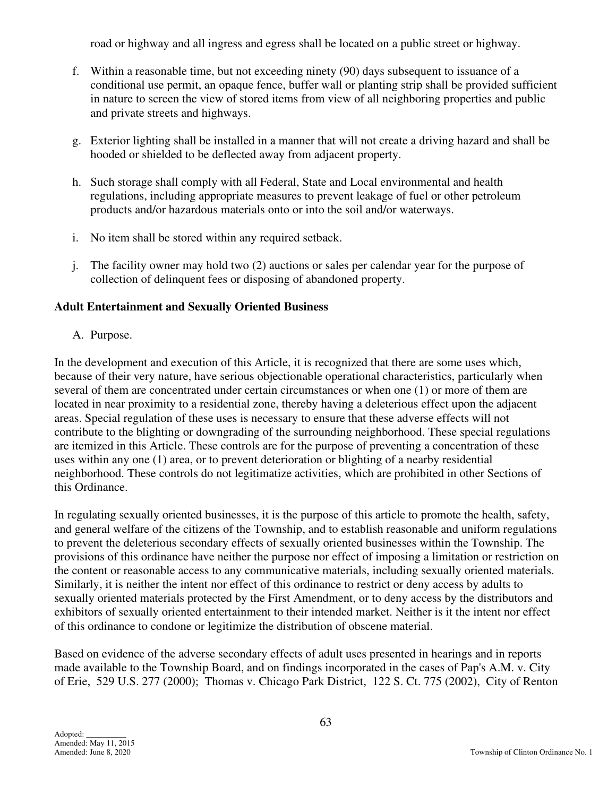road or highway and all ingress and egress shall be located on a public street or highway.

- f. Within a reasonable time, but not exceeding ninety (90) days subsequent to issuance of a conditional use permit, an opaque fence, buffer wall or planting strip shall be provided sufficient in nature to screen the view of stored items from view of all neighboring properties and public and private streets and highways.
- g. Exterior lighting shall be installed in a manner that will not create a driving hazard and shall be hooded or shielded to be deflected away from adjacent property.
- h. Such storage shall comply with all Federal, State and Local environmental and health regulations, including appropriate measures to prevent leakage of fuel or other petroleum products and/or hazardous materials onto or into the soil and/or waterways.
- i. No item shall be stored within any required setback.
- j. The facility owner may hold two (2) auctions or sales per calendar year for the purpose of collection of delinquent fees or disposing of abandoned property.

# **Adult Entertainment and Sexually Oriented Business**

A. Purpose.

In the development and execution of this Article, it is recognized that there are some uses which, because of their very nature, have serious objectionable operational characteristics, particularly when several of them are concentrated under certain circumstances or when one (1) or more of them are located in near proximity to a residential zone, thereby having a deleterious effect upon the adjacent areas. Special regulation of these uses is necessary to ensure that these adverse effects will not contribute to the blighting or downgrading of the surrounding neighborhood. These special regulations are itemized in this Article. These controls are for the purpose of preventing a concentration of these uses within any one (1) area, or to prevent deterioration or blighting of a nearby residential neighborhood. These controls do not legitimatize activities, which are prohibited in other Sections of this Ordinance.

In regulating sexually oriented businesses, it is the purpose of this article to promote the health, safety, and general welfare of the citizens of the Township, and to establish reasonable and uniform regulations to prevent the deleterious secondary effects of sexually oriented businesses within the Township. The provisions of this ordinance have neither the purpose nor effect of imposing a limitation or restriction on the content or reasonable access to any communicative materials, including sexually oriented materials. Similarly, it is neither the intent nor effect of this ordinance to restrict or deny access by adults to sexually oriented materials protected by the First Amendment, or to deny access by the distributors and exhibitors of sexually oriented entertainment to their intended market. Neither is it the intent nor effect of this ordinance to condone or legitimize the distribution of obscene material.

Based on evidence of the adverse secondary effects of adult uses presented in hearings and in reports made available to the Township Board, and on findings incorporated in the cases of Pap's A.M. v. City of Erie, 529 U.S. 277 (2000); Thomas v. Chicago Park District, 122 S. Ct. 775 (2002), City of Renton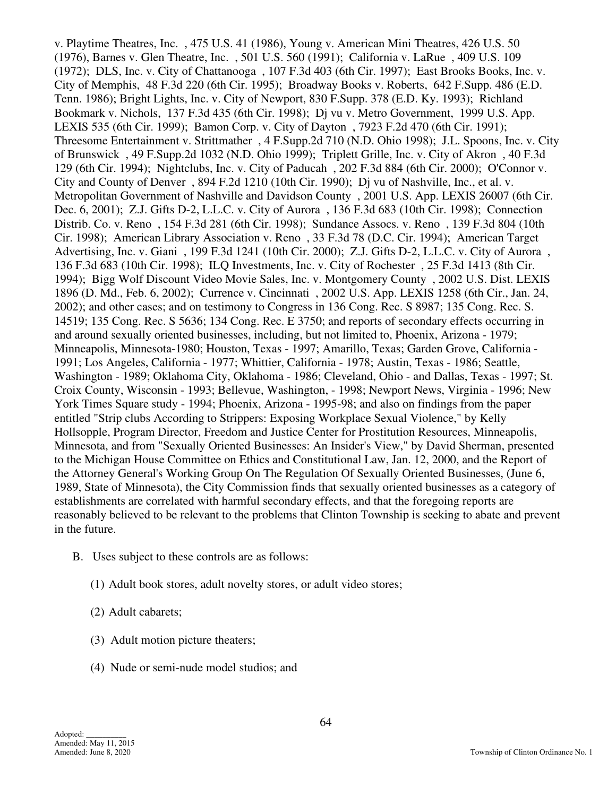v. Playtime Theatres, Inc. , 475 U.S. 41 (1986), Young v. American Mini Theatres, 426 U.S. 50 (1976), Barnes v. Glen Theatre, Inc. , 501 U.S. 560 (1991); California v. LaRue , 409 U.S. 109 (1972); DLS, Inc. v. City of Chattanooga , 107 F.3d 403 (6th Cir. 1997); East Brooks Books, Inc. v. City of Memphis, 48 F.3d 220 (6th Cir. 1995); Broadway Books v. Roberts, 642 F.Supp. 486 (E.D. Tenn. 1986); Bright Lights, Inc. v. City of Newport, 830 F.Supp. 378 (E.D. Ky. 1993); Richland Bookmark v. Nichols, 137 F.3d 435 (6th Cir. 1998); Dj vu v. Metro Government, 1999 U.S. App. LEXIS 535 (6th Cir. 1999); Bamon Corp. v. City of Dayton , 7923 F.2d 470 (6th Cir. 1991); Threesome Entertainment v. Strittmather , 4 F.Supp.2d 710 (N.D. Ohio 1998); J.L. Spoons, Inc. v. City of Brunswick , 49 F.Supp.2d 1032 (N.D. Ohio 1999); Triplett Grille, Inc. v. City of Akron , 40 F.3d 129 (6th Cir. 1994); Nightclubs, Inc. v. City of Paducah , 202 F.3d 884 (6th Cir. 2000); O'Connor v. City and County of Denver , 894 F.2d 1210 (10th Cir. 1990); Dj vu of Nashville, Inc., et al. v. Metropolitan Government of Nashville and Davidson County , 2001 U.S. App. LEXIS 26007 (6th Cir. Dec. 6, 2001); Z.J. Gifts D-2, L.L.C. v. City of Aurora , 136 F.3d 683 (10th Cir. 1998); Connection Distrib. Co. v. Reno , 154 F.3d 281 (6th Cir. 1998); Sundance Assocs. v. Reno , 139 F.3d 804 (10th Cir. 1998); American Library Association v. Reno , 33 F.3d 78 (D.C. Cir. 1994); American Target Advertising, Inc. v. Giani , 199 F.3d 1241 (10th Cir. 2000); Z.J. Gifts D-2, L.L.C. v. City of Aurora , 136 F.3d 683 (10th Cir. 1998); ILQ Investments, Inc. v. City of Rochester , 25 F.3d 1413 (8th Cir. 1994); Bigg Wolf Discount Video Movie Sales, Inc. v. Montgomery County , 2002 U.S. Dist. LEXIS 1896 (D. Md., Feb. 6, 2002); Currence v. Cincinnati , 2002 U.S. App. LEXIS 1258 (6th Cir., Jan. 24, 2002); and other cases; and on testimony to Congress in 136 Cong. Rec. S 8987; 135 Cong. Rec. S. 14519; 135 Cong. Rec. S 5636; 134 Cong. Rec. E 3750; and reports of secondary effects occurring in and around sexually oriented businesses, including, but not limited to, Phoenix, Arizona - 1979; Minneapolis, Minnesota-1980; Houston, Texas - 1997; Amarillo, Texas; Garden Grove, California - 1991; Los Angeles, California - 1977; Whittier, California - 1978; Austin, Texas - 1986; Seattle, Washington - 1989; Oklahoma City, Oklahoma - 1986; Cleveland, Ohio - and Dallas, Texas - 1997; St. Croix County, Wisconsin - 1993; Bellevue, Washington, - 1998; Newport News, Virginia - 1996; New York Times Square study - 1994; Phoenix, Arizona - 1995-98; and also on findings from the paper entitled "Strip clubs According to Strippers: Exposing Workplace Sexual Violence," by Kelly Hollsopple, Program Director, Freedom and Justice Center for Prostitution Resources, Minneapolis, Minnesota, and from "Sexually Oriented Businesses: An Insider's View," by David Sherman, presented to the Michigan House Committee on Ethics and Constitutional Law, Jan. 12, 2000, and the Report of the Attorney General's Working Group On The Regulation Of Sexually Oriented Businesses, (June 6, 1989, State of Minnesota), the City Commission finds that sexually oriented businesses as a category of establishments are correlated with harmful secondary effects, and that the foregoing reports are reasonably believed to be relevant to the problems that Clinton Township is seeking to abate and prevent in the future.

- B. Uses subject to these controls are as follows:
	- (1) Adult book stores, adult novelty stores, or adult video stores;
	- (2) Adult cabarets;
	- (3) Adult motion picture theaters;
	- (4) Nude or semi-nude model studios; and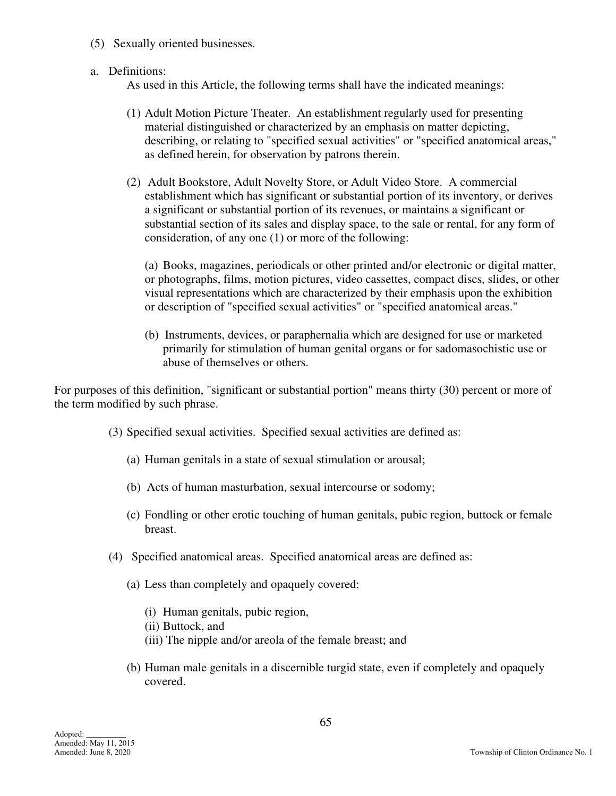- (5) Sexually oriented businesses.
- a. Definitions:

As used in this Article, the following terms shall have the indicated meanings:

- (1) Adult Motion Picture Theater. An establishment regularly used for presenting material distinguished or characterized by an emphasis on matter depicting, describing, or relating to "specified sexual activities" or "specified anatomical areas," as defined herein, for observation by patrons therein.
- (2) Adult Bookstore, Adult Novelty Store, or Adult Video Store. A commercial establishment which has significant or substantial portion of its inventory, or derives a significant or substantial portion of its revenues, or maintains a significant or substantial section of its sales and display space, to the sale or rental, for any form of consideration, of any one (1) or more of the following:

 (a) Books, magazines, periodicals or other printed and/or electronic or digital matter, or photographs, films, motion pictures, video cassettes, compact discs, slides, or other visual representations which are characterized by their emphasis upon the exhibition or description of "specified sexual activities" or "specified anatomical areas."

 (b) Instruments, devices, or paraphernalia which are designed for use or marketed primarily for stimulation of human genital organs or for sadomasochistic use or abuse of themselves or others.

For purposes of this definition, "significant or substantial portion" means thirty (30) percent or more of the term modified by such phrase.

- (3) Specified sexual activities. Specified sexual activities are defined as:
	- (a) Human genitals in a state of sexual stimulation or arousal;
	- (b) Acts of human masturbation, sexual intercourse or sodomy;
	- (c) Fondling or other erotic touching of human genitals, pubic region, buttock or female breast.
- (4) Specified anatomical areas. Specified anatomical areas are defined as:
	- (a) Less than completely and opaquely covered:
		- (i) Human genitals, pubic region,
		- (ii) Buttock, and
		- (iii) The nipple and/or areola of the female breast; and
	- (b) Human male genitals in a discernible turgid state, even if completely and opaquely covered.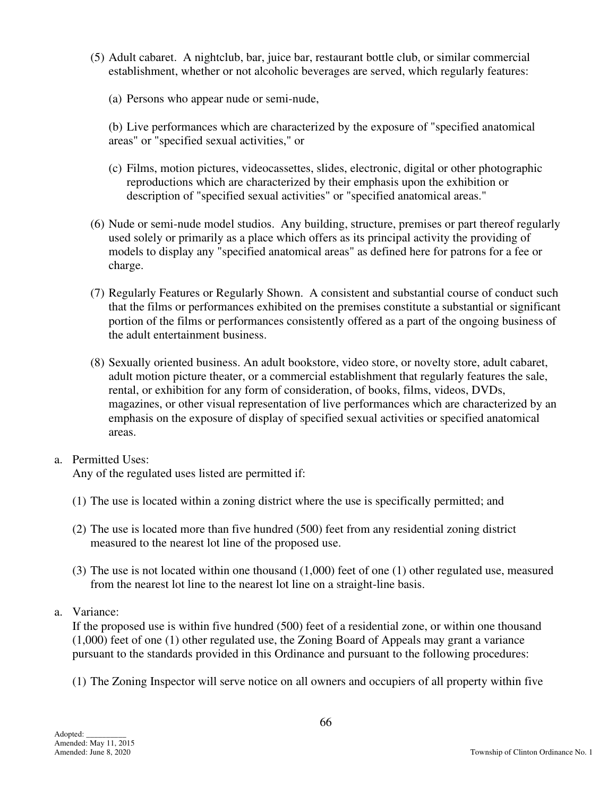- (5) Adult cabaret. A nightclub, bar, juice bar, restaurant bottle club, or similar commercial establishment, whether or not alcoholic beverages are served, which regularly features:
	- (a) Persons who appear nude or semi-nude,
	- (b) Live performances which are characterized by the exposure of "specified anatomical areas" or "specified sexual activities," or
	- (c) Films, motion pictures, videocassettes, slides, electronic, digital or other photographic reproductions which are characterized by their emphasis upon the exhibition or description of "specified sexual activities" or "specified anatomical areas."
- (6) Nude or semi-nude model studios. Any building, structure, premises or part thereof regularly used solely or primarily as a place which offers as its principal activity the providing of models to display any "specified anatomical areas" as defined here for patrons for a fee or charge.
- (7) Regularly Features or Regularly Shown. A consistent and substantial course of conduct such that the films or performances exhibited on the premises constitute a substantial or significant portion of the films or performances consistently offered as a part of the ongoing business of the adult entertainment business.
- (8) Sexually oriented business. An adult bookstore, video store, or novelty store, adult cabaret, adult motion picture theater, or a commercial establishment that regularly features the sale, rental, or exhibition for any form of consideration, of books, films, videos, DVDs, magazines, or other visual representation of live performances which are characterized by an emphasis on the exposure of display of specified sexual activities or specified anatomical areas.

# a. Permitted Uses:

Any of the regulated uses listed are permitted if:

- (1) The use is located within a zoning district where the use is specifically permitted; and
- (2) The use is located more than five hundred (500) feet from any residential zoning district measured to the nearest lot line of the proposed use.
- (3) The use is not located within one thousand (1,000) feet of one (1) other regulated use, measured from the nearest lot line to the nearest lot line on a straight-line basis.
- a. Variance:

If the proposed use is within five hundred (500) feet of a residential zone, or within one thousand (1,000) feet of one (1) other regulated use, the Zoning Board of Appeals may grant a variance pursuant to the standards provided in this Ordinance and pursuant to the following procedures:

(1) The Zoning Inspector will serve notice on all owners and occupiers of all property within five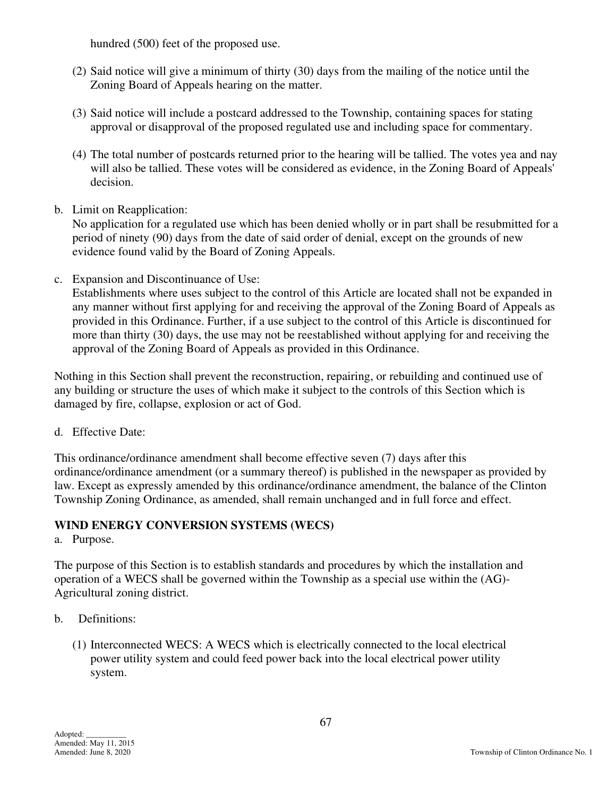hundred (500) feet of the proposed use.

- (2) Said notice will give a minimum of thirty (30) days from the mailing of the notice until the Zoning Board of Appeals hearing on the matter.
- (3) Said notice will include a postcard addressed to the Township, containing spaces for stating approval or disapproval of the proposed regulated use and including space for commentary.
- (4) The total number of postcards returned prior to the hearing will be tallied. The votes yea and nay will also be tallied. These votes will be considered as evidence, in the Zoning Board of Appeals' decision.
- b. Limit on Reapplication:

No application for a regulated use which has been denied wholly or in part shall be resubmitted for a period of ninety (90) days from the date of said order of denial, except on the grounds of new evidence found valid by the Board of Zoning Appeals.

c. Expansion and Discontinuance of Use:

Establishments where uses subject to the control of this Article are located shall not be expanded in any manner without first applying for and receiving the approval of the Zoning Board of Appeals as provided in this Ordinance. Further, if a use subject to the control of this Article is discontinued for more than thirty (30) days, the use may not be reestablished without applying for and receiving the approval of the Zoning Board of Appeals as provided in this Ordinance.

Nothing in this Section shall prevent the reconstruction, repairing, or rebuilding and continued use of any building or structure the uses of which make it subject to the controls of this Section which is damaged by fire, collapse, explosion or act of God.

d. Effective Date:

This ordinance/ordinance amendment shall become effective seven (7) days after this ordinance/ordinance amendment (or a summary thereof) is published in the newspaper as provided by law. Except as expressly amended by this ordinance/ordinance amendment, the balance of the Clinton Township Zoning Ordinance, as amended, shall remain unchanged and in full force and effect.

# **WIND ENERGY CONVERSION SYSTEMS (WECS)**

a. Purpose.

The purpose of this Section is to establish standards and procedures by which the installation and operation of a WECS shall be governed within the Township as a special use within the (AG)- Agricultural zoning district.

- b. Definitions:
	- (1) Interconnected WECS: A WECS which is electrically connected to the local electrical power utility system and could feed power back into the local electrical power utility system.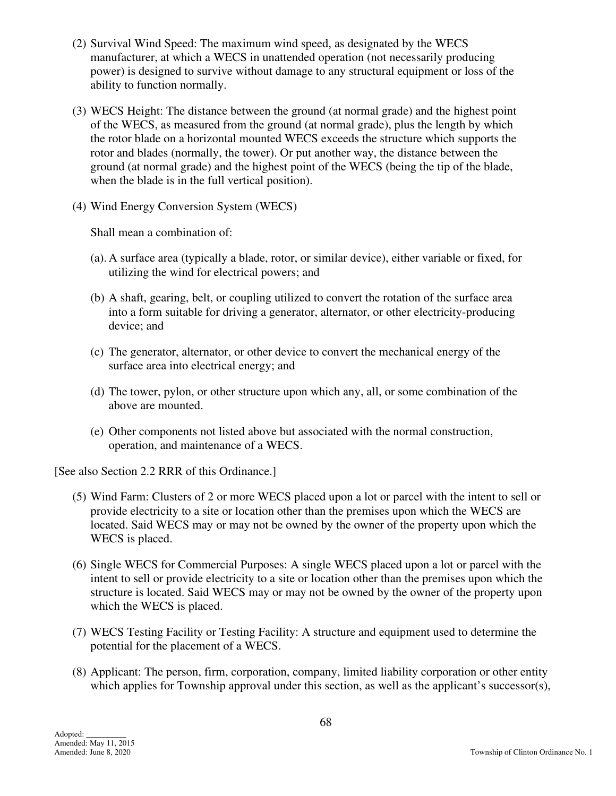- (2) Survival Wind Speed: The maximum wind speed, as designated by the WECS manufacturer, at which a WECS in unattended operation (not necessarily producing power) is designed to survive without damage to any structural equipment or loss of the ability to function normally.
- (3) WECS Height: The distance between the ground (at normal grade) and the highest point of the WECS, as measured from the ground (at normal grade), plus the length by which the rotor blade on a horizontal mounted WECS exceeds the structure which supports the rotor and blades (normally, the tower). Or put another way, the distance between the ground (at normal grade) and the highest point of the WECS (being the tip of the blade, when the blade is in the full vertical position).
- (4) Wind Energy Conversion System (WECS)

Shall mean a combination of:

- (a). A surface area (typically a blade, rotor, or similar device), either variable or fixed, for utilizing the wind for electrical powers; and
- (b) A shaft, gearing, belt, or coupling utilized to convert the rotation of the surface area into a form suitable for driving a generator, alternator, or other electricity-producing device; and
- (c) The generator, alternator, or other device to convert the mechanical energy of the surface area into electrical energy; and
- (d) The tower, pylon, or other structure upon which any, all, or some combination of the above are mounted.
- (e) Other components not listed above but associated with the normal construction, operation, and maintenance of a WECS.

[See also Section 2.2 RRR of this Ordinance.]

- (5) Wind Farm: Clusters of 2 or more WECS placed upon a lot or parcel with the intent to sell or provide electricity to a site or location other than the premises upon which the WECS are located. Said WECS may or may not be owned by the owner of the property upon which the WECS is placed.
- (6) Single WECS for Commercial Purposes: A single WECS placed upon a lot or parcel with the intent to sell or provide electricity to a site or location other than the premises upon which the structure is located. Said WECS may or may not be owned by the owner of the property upon which the WECS is placed.
- (7) WECS Testing Facility or Testing Facility: A structure and equipment used to determine the potential for the placement of a WECS.
- (8) Applicant: The person, firm, corporation, company, limited liability corporation or other entity which applies for Township approval under this section, as well as the applicant's successor(s),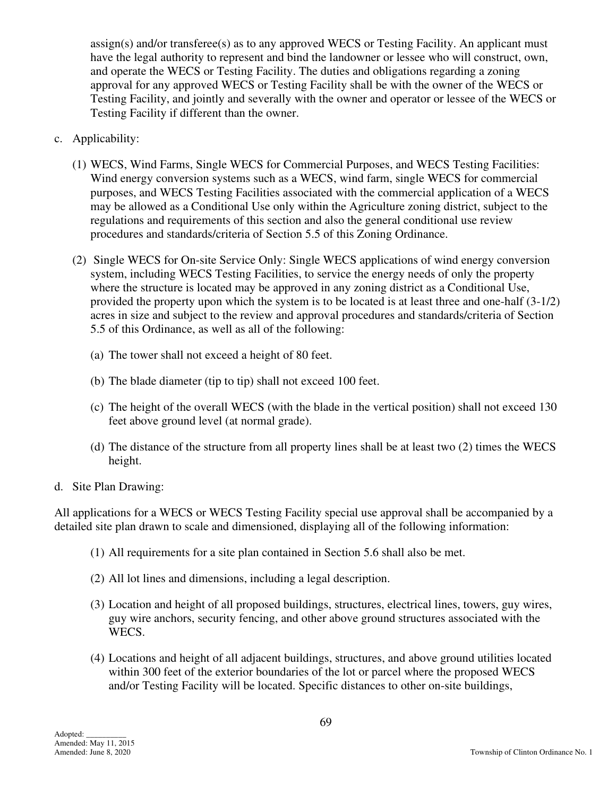assign(s) and/or transferee(s) as to any approved WECS or Testing Facility. An applicant must have the legal authority to represent and bind the landowner or lessee who will construct, own, and operate the WECS or Testing Facility. The duties and obligations regarding a zoning approval for any approved WECS or Testing Facility shall be with the owner of the WECS or Testing Facility, and jointly and severally with the owner and operator or lessee of the WECS or Testing Facility if different than the owner.

- c. Applicability:
	- (1) WECS, Wind Farms, Single WECS for Commercial Purposes, and WECS Testing Facilities: Wind energy conversion systems such as a WECS, wind farm, single WECS for commercial purposes, and WECS Testing Facilities associated with the commercial application of a WECS may be allowed as a Conditional Use only within the Agriculture zoning district, subject to the regulations and requirements of this section and also the general conditional use review procedures and standards/criteria of Section 5.5 of this Zoning Ordinance.
	- (2) Single WECS for On-site Service Only: Single WECS applications of wind energy conversion system, including WECS Testing Facilities, to service the energy needs of only the property where the structure is located may be approved in any zoning district as a Conditional Use, provided the property upon which the system is to be located is at least three and one-half (3-1/2) acres in size and subject to the review and approval procedures and standards/criteria of Section 5.5 of this Ordinance, as well as all of the following:
		- (a) The tower shall not exceed a height of 80 feet.
		- (b) The blade diameter (tip to tip) shall not exceed 100 feet.
		- (c) The height of the overall WECS (with the blade in the vertical position) shall not exceed 130 feet above ground level (at normal grade).
		- (d) The distance of the structure from all property lines shall be at least two (2) times the WECS height.
- d. Site Plan Drawing:

All applications for a WECS or WECS Testing Facility special use approval shall be accompanied by a detailed site plan drawn to scale and dimensioned, displaying all of the following information:

- (1) All requirements for a site plan contained in Section 5.6 shall also be met.
- (2) All lot lines and dimensions, including a legal description.
- (3) Location and height of all proposed buildings, structures, electrical lines, towers, guy wires, guy wire anchors, security fencing, and other above ground structures associated with the WECS.
- (4) Locations and height of all adjacent buildings, structures, and above ground utilities located within 300 feet of the exterior boundaries of the lot or parcel where the proposed WECS and/or Testing Facility will be located. Specific distances to other on-site buildings,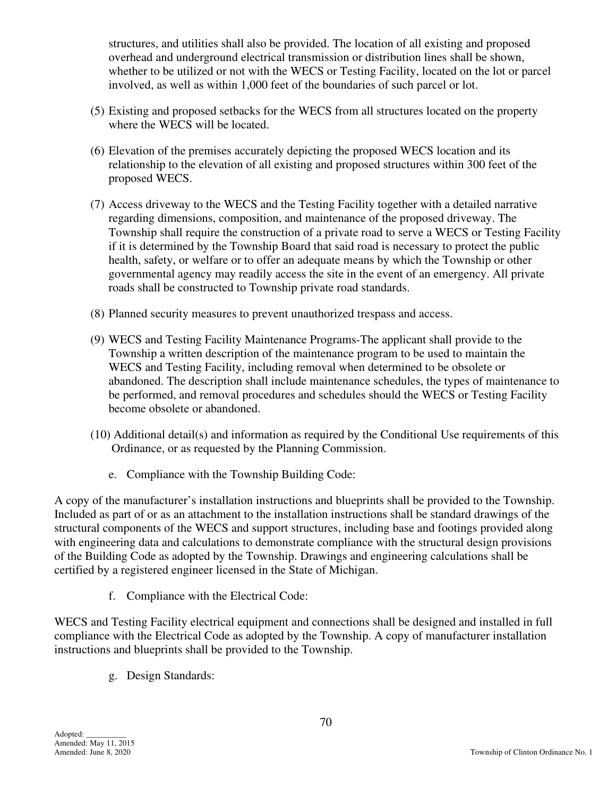structures, and utilities shall also be provided. The location of all existing and proposed overhead and underground electrical transmission or distribution lines shall be shown, whether to be utilized or not with the WECS or Testing Facility, located on the lot or parcel involved, as well as within 1,000 feet of the boundaries of such parcel or lot.

- (5) Existing and proposed setbacks for the WECS from all structures located on the property where the WECS will be located.
- (6) Elevation of the premises accurately depicting the proposed WECS location and its relationship to the elevation of all existing and proposed structures within 300 feet of the proposed WECS.
- (7) Access driveway to the WECS and the Testing Facility together with a detailed narrative regarding dimensions, composition, and maintenance of the proposed driveway. The Township shall require the construction of a private road to serve a WECS or Testing Facility if it is determined by the Township Board that said road is necessary to protect the public health, safety, or welfare or to offer an adequate means by which the Township or other governmental agency may readily access the site in the event of an emergency. All private roads shall be constructed to Township private road standards.
- (8) Planned security measures to prevent unauthorized trespass and access.
- (9) WECS and Testing Facility Maintenance Programs-The applicant shall provide to the Township a written description of the maintenance program to be used to maintain the WECS and Testing Facility, including removal when determined to be obsolete or abandoned. The description shall include maintenance schedules, the types of maintenance to be performed, and removal procedures and schedules should the WECS or Testing Facility become obsolete or abandoned.
- (10) Additional detail(s) and information as required by the Conditional Use requirements of this Ordinance, or as requested by the Planning Commission.
	- e. Compliance with the Township Building Code:

A copy of the manufacturer's installation instructions and blueprints shall be provided to the Township. Included as part of or as an attachment to the installation instructions shall be standard drawings of the structural components of the WECS and support structures, including base and footings provided along with engineering data and calculations to demonstrate compliance with the structural design provisions of the Building Code as adopted by the Township. Drawings and engineering calculations shall be certified by a registered engineer licensed in the State of Michigan.

f. Compliance with the Electrical Code:

WECS and Testing Facility electrical equipment and connections shall be designed and installed in full compliance with the Electrical Code as adopted by the Township. A copy of manufacturer installation instructions and blueprints shall be provided to the Township.

g. Design Standards: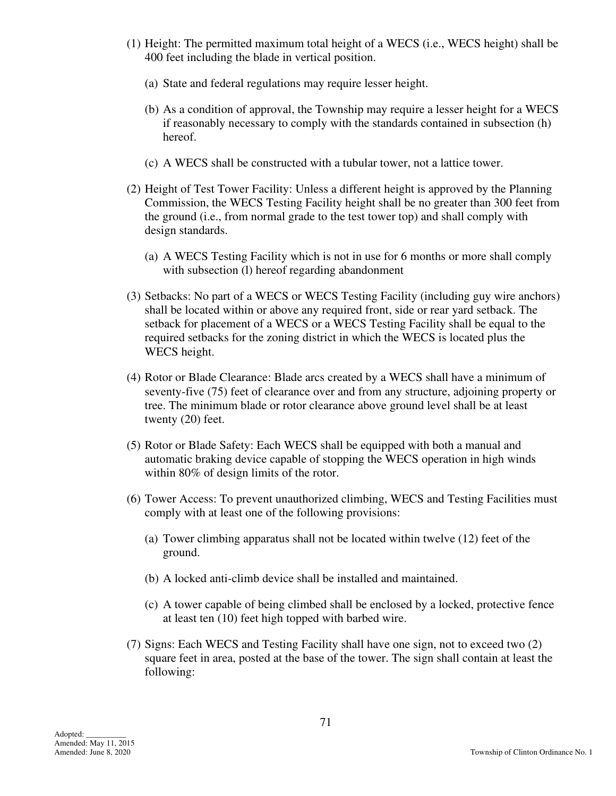- (1) Height: The permitted maximum total height of a WECS (i.e., WECS height) shall be 400 feet including the blade in vertical position.
	- (a) State and federal regulations may require lesser height.
	- (b) As a condition of approval, the Township may require a lesser height for a WECS if reasonably necessary to comply with the standards contained in subsection (h) hereof.
	- (c) A WECS shall be constructed with a tubular tower, not a lattice tower.
- (2) Height of Test Tower Facility: Unless a different height is approved by the Planning Commission, the WECS Testing Facility height shall be no greater than 300 feet from the ground (i.e., from normal grade to the test tower top) and shall comply with design standards.
	- (a) A WECS Testing Facility which is not in use for 6 months or more shall comply with subsection (I) hereof regarding abandonment
- (3) Setbacks: No part of a WECS or WECS Testing Facility (including guy wire anchors) shall be located within or above any required front, side or rear yard setback. The setback for placement of a WECS or a WECS Testing Facility shall be equal to the required setbacks for the zoning district in which the WECS is located plus the WECS height.
- (4) Rotor or Blade Clearance: Blade arcs created by a WECS shall have a minimum of seventy-five (75) feet of clearance over and from any structure, adjoining property or tree. The minimum blade or rotor clearance above ground level shall be at least twenty (20) feet.
- (5) Rotor or Blade Safety: Each WECS shall be equipped with both a manual and automatic braking device capable of stopping the WECS operation in high winds within 80% of design limits of the rotor.
- (6) Tower Access: To prevent unauthorized climbing, WECS and Testing Facilities must comply with at least one of the following provisions:
	- (a) Tower climbing apparatus shall not be located within twelve (12) feet of the ground.
	- (b) A locked anti-climb device shall be installed and maintained.
	- (c) A tower capable of being climbed shall be enclosed by a locked, protective fence at least ten (10) feet high topped with barbed wire.
- (7) Signs: Each WECS and Testing Facility shall have one sign, not to exceed two (2) square feet in area, posted at the base of the tower. The sign shall contain at least the following: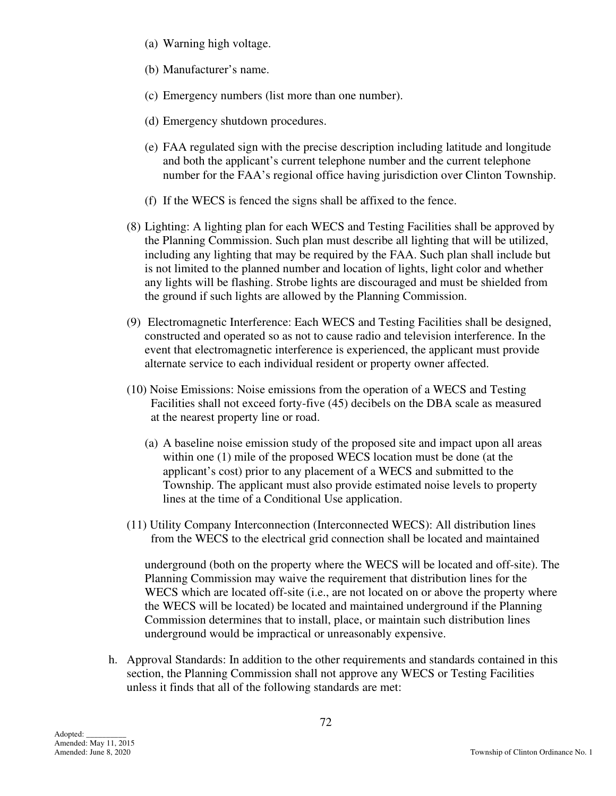- (a) Warning high voltage.
- (b) Manufacturer's name.
- (c) Emergency numbers (list more than one number).
- (d) Emergency shutdown procedures.
- (e) FAA regulated sign with the precise description including latitude and longitude and both the applicant's current telephone number and the current telephone number for the FAA's regional office having jurisdiction over Clinton Township.
- (f) If the WECS is fenced the signs shall be affixed to the fence.
- (8) Lighting: A lighting plan for each WECS and Testing Facilities shall be approved by the Planning Commission. Such plan must describe all lighting that will be utilized, including any lighting that may be required by the FAA. Such plan shall include but is not limited to the planned number and location of lights, light color and whether any lights will be flashing. Strobe lights are discouraged and must be shielded from the ground if such lights are allowed by the Planning Commission.
- (9) Electromagnetic Interference: Each WECS and Testing Facilities shall be designed, constructed and operated so as not to cause radio and television interference. In the event that electromagnetic interference is experienced, the applicant must provide alternate service to each individual resident or property owner affected.
- (10) Noise Emissions: Noise emissions from the operation of a WECS and Testing Facilities shall not exceed forty-five (45) decibels on the DBA scale as measured at the nearest property line or road.
	- (a) A baseline noise emission study of the proposed site and impact upon all areas within one (1) mile of the proposed WECS location must be done (at the applicant's cost) prior to any placement of a WECS and submitted to the Township. The applicant must also provide estimated noise levels to property lines at the time of a Conditional Use application.
- (11) Utility Company Interconnection (Interconnected WECS): All distribution lines from the WECS to the electrical grid connection shall be located and maintained

underground (both on the property where the WECS will be located and off-site). The Planning Commission may waive the requirement that distribution lines for the WECS which are located off-site (i.e., are not located on or above the property where the WECS will be located) be located and maintained underground if the Planning Commission determines that to install, place, or maintain such distribution lines underground would be impractical or unreasonably expensive.

 h. Approval Standards: In addition to the other requirements and standards contained in this section, the Planning Commission shall not approve any WECS or Testing Facilities unless it finds that all of the following standards are met: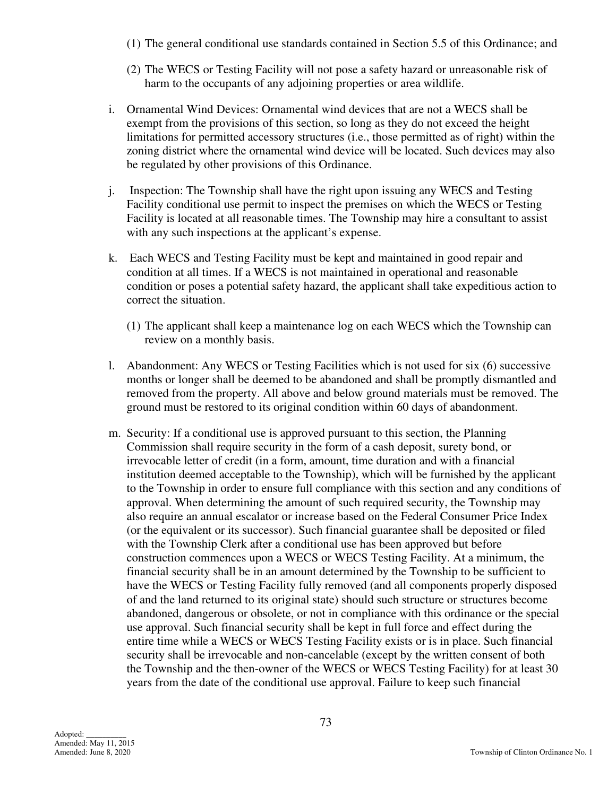- (1) The general conditional use standards contained in Section 5.5 of this Ordinance; and
- (2) The WECS or Testing Facility will not pose a safety hazard or unreasonable risk of harm to the occupants of any adjoining properties or area wildlife.
- i. Ornamental Wind Devices: Ornamental wind devices that are not a WECS shall be exempt from the provisions of this section, so long as they do not exceed the height limitations for permitted accessory structures (i.e., those permitted as of right) within the zoning district where the ornamental wind device will be located. Such devices may also be regulated by other provisions of this Ordinance.
- j. Inspection: The Township shall have the right upon issuing any WECS and Testing Facility conditional use permit to inspect the premises on which the WECS or Testing Facility is located at all reasonable times. The Township may hire a consultant to assist with any such inspections at the applicant's expense.
- k. Each WECS and Testing Facility must be kept and maintained in good repair and condition at all times. If a WECS is not maintained in operational and reasonable condition or poses a potential safety hazard, the applicant shall take expeditious action to correct the situation.
	- (1) The applicant shall keep a maintenance log on each WECS which the Township can review on a monthly basis.
- l. Abandonment: Any WECS or Testing Facilities which is not used for six (6) successive months or longer shall be deemed to be abandoned and shall be promptly dismantled and removed from the property. All above and below ground materials must be removed. The ground must be restored to its original condition within 60 days of abandonment.
- m. Security: If a conditional use is approved pursuant to this section, the Planning Commission shall require security in the form of a cash deposit, surety bond, or irrevocable letter of credit (in a form, amount, time duration and with a financial institution deemed acceptable to the Township), which will be furnished by the applicant to the Township in order to ensure full compliance with this section and any conditions of approval. When determining the amount of such required security, the Township may also require an annual escalator or increase based on the Federal Consumer Price Index (or the equivalent or its successor). Such financial guarantee shall be deposited or filed with the Township Clerk after a conditional use has been approved but before construction commences upon a WECS or WECS Testing Facility. At a minimum, the financial security shall be in an amount determined by the Township to be sufficient to have the WECS or Testing Facility fully removed (and all components properly disposed of and the land returned to its original state) should such structure or structures become abandoned, dangerous or obsolete, or not in compliance with this ordinance or the special use approval. Such financial security shall be kept in full force and effect during the entire time while a WECS or WECS Testing Facility exists or is in place. Such financial security shall be irrevocable and non-cancelable (except by the written consent of both the Township and the then-owner of the WECS or WECS Testing Facility) for at least 30 years from the date of the conditional use approval. Failure to keep such financial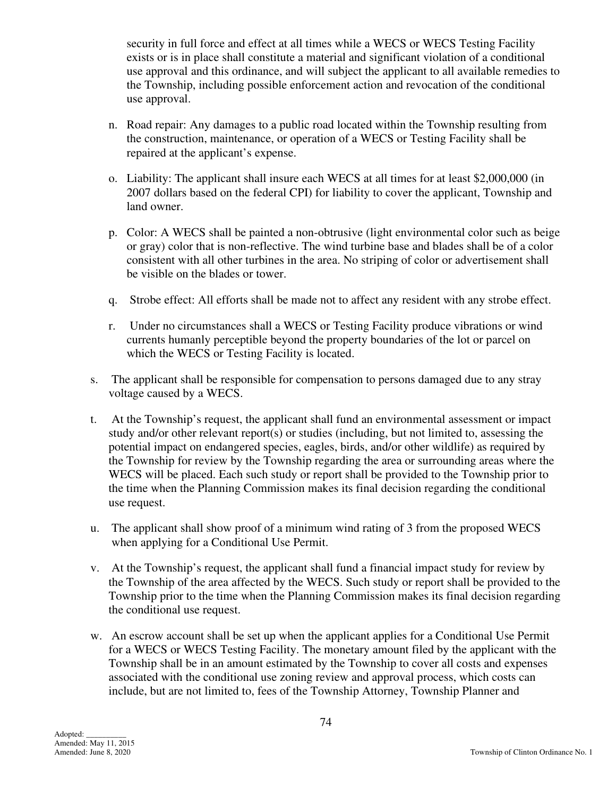security in full force and effect at all times while a WECS or WECS Testing Facility exists or is in place shall constitute a material and significant violation of a conditional use approval and this ordinance, and will subject the applicant to all available remedies to the Township, including possible enforcement action and revocation of the conditional use approval.

- n. Road repair: Any damages to a public road located within the Township resulting from the construction, maintenance, or operation of a WECS or Testing Facility shall be repaired at the applicant's expense.
- o. Liability: The applicant shall insure each WECS at all times for at least \$2,000,000 (in 2007 dollars based on the federal CPI) for liability to cover the applicant, Township and land owner.
- p. Color: A WECS shall be painted a non-obtrusive (light environmental color such as beige or gray) color that is non-reflective. The wind turbine base and blades shall be of a color consistent with all other turbines in the area. No striping of color or advertisement shall be visible on the blades or tower.
- q. Strobe effect: All efforts shall be made not to affect any resident with any strobe effect.
- r. Under no circumstances shall a WECS or Testing Facility produce vibrations or wind currents humanly perceptible beyond the property boundaries of the lot or parcel on which the WECS or Testing Facility is located.
- s. The applicant shall be responsible for compensation to persons damaged due to any stray voltage caused by a WECS.
- t. At the Township's request, the applicant shall fund an environmental assessment or impact study and/or other relevant report(s) or studies (including, but not limited to, assessing the potential impact on endangered species, eagles, birds, and/or other wildlife) as required by the Township for review by the Township regarding the area or surrounding areas where the WECS will be placed. Each such study or report shall be provided to the Township prior to the time when the Planning Commission makes its final decision regarding the conditional use request.
- u. The applicant shall show proof of a minimum wind rating of 3 from the proposed WECS when applying for a Conditional Use Permit.
- v. At the Township's request, the applicant shall fund a financial impact study for review by the Township of the area affected by the WECS. Such study or report shall be provided to the Township prior to the time when the Planning Commission makes its final decision regarding the conditional use request.
- w. An escrow account shall be set up when the applicant applies for a Conditional Use Permit for a WECS or WECS Testing Facility. The monetary amount filed by the applicant with the Township shall be in an amount estimated by the Township to cover all costs and expenses associated with the conditional use zoning review and approval process, which costs can include, but are not limited to, fees of the Township Attorney, Township Planner and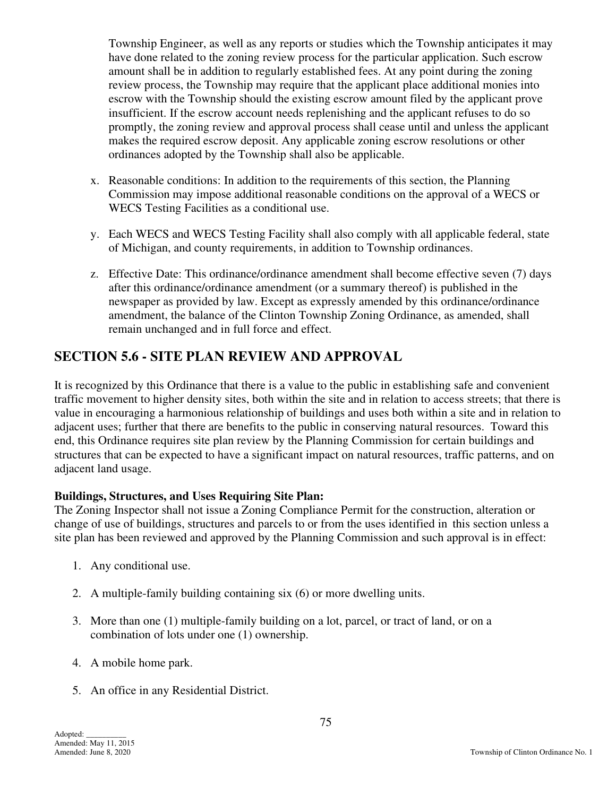Township Engineer, as well as any reports or studies which the Township anticipates it may have done related to the zoning review process for the particular application. Such escrow amount shall be in addition to regularly established fees. At any point during the zoning review process, the Township may require that the applicant place additional monies into escrow with the Township should the existing escrow amount filed by the applicant prove insufficient. If the escrow account needs replenishing and the applicant refuses to do so promptly, the zoning review and approval process shall cease until and unless the applicant makes the required escrow deposit. Any applicable zoning escrow resolutions or other ordinances adopted by the Township shall also be applicable.

- x. Reasonable conditions: In addition to the requirements of this section, the Planning Commission may impose additional reasonable conditions on the approval of a WECS or WECS Testing Facilities as a conditional use.
- y. Each WECS and WECS Testing Facility shall also comply with all applicable federal, state of Michigan, and county requirements, in addition to Township ordinances.
- z. Effective Date: This ordinance/ordinance amendment shall become effective seven (7) days after this ordinance/ordinance amendment (or a summary thereof) is published in the newspaper as provided by law. Except as expressly amended by this ordinance/ordinance amendment, the balance of the Clinton Township Zoning Ordinance, as amended, shall remain unchanged and in full force and effect.

## **SECTION 5.6 - SITE PLAN REVIEW AND APPROVAL**

It is recognized by this Ordinance that there is a value to the public in establishing safe and convenient traffic movement to higher density sites, both within the site and in relation to access streets; that there is value in encouraging a harmonious relationship of buildings and uses both within a site and in relation to adjacent uses; further that there are benefits to the public in conserving natural resources. Toward this end, this Ordinance requires site plan review by the Planning Commission for certain buildings and structures that can be expected to have a significant impact on natural resources, traffic patterns, and on adjacent land usage.

### **Buildings, Structures, and Uses Requiring Site Plan:**

The Zoning Inspector shall not issue a Zoning Compliance Permit for the construction, alteration or change of use of buildings, structures and parcels to or from the uses identified in this section unless a site plan has been reviewed and approved by the Planning Commission and such approval is in effect:

- 1. Any conditional use.
- 2. A multiple-family building containing six (6) or more dwelling units.
- 3. More than one (1) multiple-family building on a lot, parcel, or tract of land, or on a combination of lots under one (1) ownership.
- 4. A mobile home park.
- 5. An office in any Residential District.

Adopted: \_\_\_\_\_\_\_\_\_\_ Amended: May 11, 2015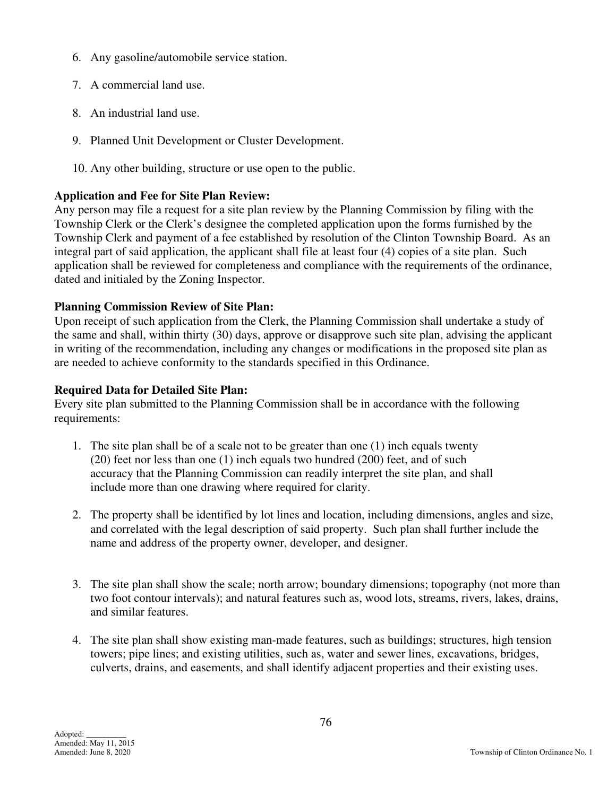- 6. Any gasoline/automobile service station.
- 7. A commercial land use.
- 8. An industrial land use.
- 9. Planned Unit Development or Cluster Development.
- 10. Any other building, structure or use open to the public.

## **Application and Fee for Site Plan Review:**

Any person may file a request for a site plan review by the Planning Commission by filing with the Township Clerk or the Clerk's designee the completed application upon the forms furnished by the Township Clerk and payment of a fee established by resolution of the Clinton Township Board. As an integral part of said application, the applicant shall file at least four (4) copies of a site plan. Such application shall be reviewed for completeness and compliance with the requirements of the ordinance, dated and initialed by the Zoning Inspector.

## **Planning Commission Review of Site Plan:**

Upon receipt of such application from the Clerk, the Planning Commission shall undertake a study of the same and shall, within thirty (30) days, approve or disapprove such site plan, advising the applicant in writing of the recommendation, including any changes or modifications in the proposed site plan as are needed to achieve conformity to the standards specified in this Ordinance.

### **Required Data for Detailed Site Plan:**

Every site plan submitted to the Planning Commission shall be in accordance with the following requirements:

- 1. The site plan shall be of a scale not to be greater than one (1) inch equals twenty (20) feet nor less than one (1) inch equals two hundred (200) feet, and of such accuracy that the Planning Commission can readily interpret the site plan, and shall include more than one drawing where required for clarity.
- 2. The property shall be identified by lot lines and location, including dimensions, angles and size, and correlated with the legal description of said property. Such plan shall further include the name and address of the property owner, developer, and designer.
- 3. The site plan shall show the scale; north arrow; boundary dimensions; topography (not more than two foot contour intervals); and natural features such as, wood lots, streams, rivers, lakes, drains, and similar features.
- 4. The site plan shall show existing man-made features, such as buildings; structures, high tension towers; pipe lines; and existing utilities, such as, water and sewer lines, excavations, bridges, culverts, drains, and easements, and shall identify adjacent properties and their existing uses.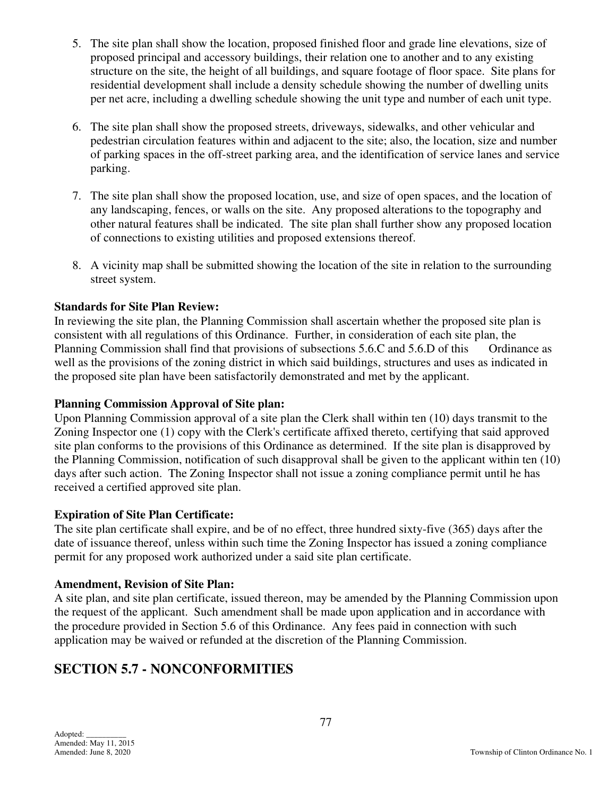- 5. The site plan shall show the location, proposed finished floor and grade line elevations, size of proposed principal and accessory buildings, their relation one to another and to any existing structure on the site, the height of all buildings, and square footage of floor space. Site plans for residential development shall include a density schedule showing the number of dwelling units per net acre, including a dwelling schedule showing the unit type and number of each unit type.
- 6. The site plan shall show the proposed streets, driveways, sidewalks, and other vehicular and pedestrian circulation features within and adjacent to the site; also, the location, size and number of parking spaces in the off-street parking area, and the identification of service lanes and service parking.
- 7. The site plan shall show the proposed location, use, and size of open spaces, and the location of any landscaping, fences, or walls on the site. Any proposed alterations to the topography and other natural features shall be indicated. The site plan shall further show any proposed location of connections to existing utilities and proposed extensions thereof.
- 8. A vicinity map shall be submitted showing the location of the site in relation to the surrounding street system.

## **Standards for Site Plan Review:**

In reviewing the site plan, the Planning Commission shall ascertain whether the proposed site plan is consistent with all regulations of this Ordinance. Further, in consideration of each site plan, the Planning Commission shall find that provisions of subsections 5.6.C and 5.6.D of this Ordinance as well as the provisions of the zoning district in which said buildings, structures and uses as indicated in the proposed site plan have been satisfactorily demonstrated and met by the applicant.

### **Planning Commission Approval of Site plan:**

Upon Planning Commission approval of a site plan the Clerk shall within ten (10) days transmit to the Zoning Inspector one (1) copy with the Clerk's certificate affixed thereto, certifying that said approved site plan conforms to the provisions of this Ordinance as determined. If the site plan is disapproved by the Planning Commission, notification of such disapproval shall be given to the applicant within ten (10) days after such action. The Zoning Inspector shall not issue a zoning compliance permit until he has received a certified approved site plan.

### **Expiration of Site Plan Certificate:**

The site plan certificate shall expire, and be of no effect, three hundred sixty-five (365) days after the date of issuance thereof, unless within such time the Zoning Inspector has issued a zoning compliance permit for any proposed work authorized under a said site plan certificate.

### **Amendment, Revision of Site Plan:**

A site plan, and site plan certificate, issued thereon, may be amended by the Planning Commission upon the request of the applicant. Such amendment shall be made upon application and in accordance with the procedure provided in Section 5.6 of this Ordinance. Any fees paid in connection with such application may be waived or refunded at the discretion of the Planning Commission.

## **SECTION 5.7 - NONCONFORMITIES**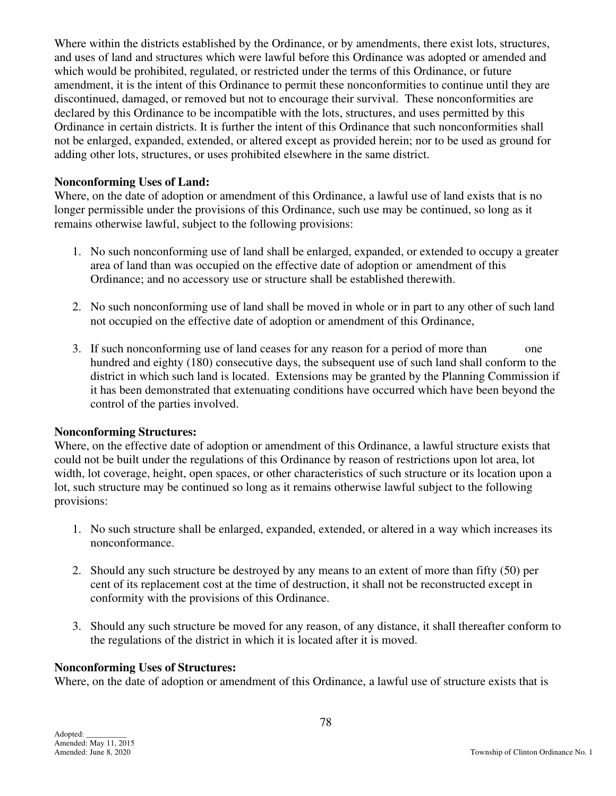Where within the districts established by the Ordinance, or by amendments, there exist lots, structures, and uses of land and structures which were lawful before this Ordinance was adopted or amended and which would be prohibited, regulated, or restricted under the terms of this Ordinance, or future amendment, it is the intent of this Ordinance to permit these nonconformities to continue until they are discontinued, damaged, or removed but not to encourage their survival. These nonconformities are declared by this Ordinance to be incompatible with the lots, structures, and uses permitted by this Ordinance in certain districts. It is further the intent of this Ordinance that such nonconformities shall not be enlarged, expanded, extended, or altered except as provided herein; nor to be used as ground for adding other lots, structures, or uses prohibited elsewhere in the same district.

### **Nonconforming Uses of Land:**

Where, on the date of adoption or amendment of this Ordinance, a lawful use of land exists that is no longer permissible under the provisions of this Ordinance, such use may be continued, so long as it remains otherwise lawful, subject to the following provisions:

- 1. No such nonconforming use of land shall be enlarged, expanded, or extended to occupy a greater area of land than was occupied on the effective date of adoption or amendment of this Ordinance; and no accessory use or structure shall be established therewith.
- 2. No such nonconforming use of land shall be moved in whole or in part to any other of such land not occupied on the effective date of adoption or amendment of this Ordinance,
- 3. If such nonconforming use of land ceases for any reason for a period of more than one hundred and eighty (180) consecutive days, the subsequent use of such land shall conform to the district in which such land is located. Extensions may be granted by the Planning Commission if it has been demonstrated that extenuating conditions have occurred which have been beyond the control of the parties involved.

#### **Nonconforming Structures:**

Where, on the effective date of adoption or amendment of this Ordinance, a lawful structure exists that could not be built under the regulations of this Ordinance by reason of restrictions upon lot area, lot width, lot coverage, height, open spaces, or other characteristics of such structure or its location upon a lot, such structure may be continued so long as it remains otherwise lawful subject to the following provisions:

- 1. No such structure shall be enlarged, expanded, extended, or altered in a way which increases its nonconformance.
- 2. Should any such structure be destroyed by any means to an extent of more than fifty (50) per cent of its replacement cost at the time of destruction, it shall not be reconstructed except in conformity with the provisions of this Ordinance.
- 3. Should any such structure be moved for any reason, of any distance, it shall thereafter conform to the regulations of the district in which it is located after it is moved.

#### **Nonconforming Uses of Structures:**

Where, on the date of adoption or amendment of this Ordinance, a lawful use of structure exists that is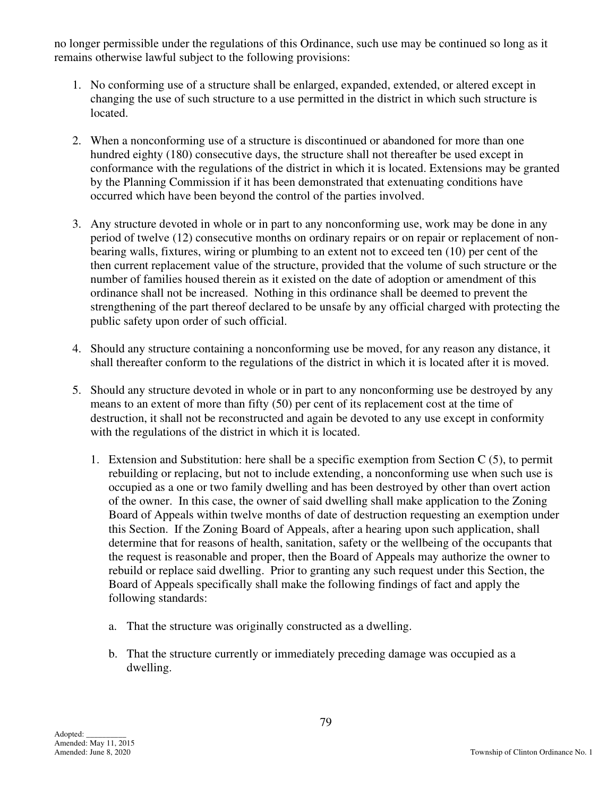no longer permissible under the regulations of this Ordinance, such use may be continued so long as it remains otherwise lawful subject to the following provisions:

- 1. No conforming use of a structure shall be enlarged, expanded, extended, or altered except in changing the use of such structure to a use permitted in the district in which such structure is located.
- 2. When a nonconforming use of a structure is discontinued or abandoned for more than one hundred eighty (180) consecutive days, the structure shall not thereafter be used except in conformance with the regulations of the district in which it is located. Extensions may be granted by the Planning Commission if it has been demonstrated that extenuating conditions have occurred which have been beyond the control of the parties involved.
- 3. Any structure devoted in whole or in part to any nonconforming use, work may be done in any period of twelve (12) consecutive months on ordinary repairs or on repair or replacement of nonbearing walls, fixtures, wiring or plumbing to an extent not to exceed ten (10) per cent of the then current replacement value of the structure, provided that the volume of such structure or the number of families housed therein as it existed on the date of adoption or amendment of this ordinance shall not be increased. Nothing in this ordinance shall be deemed to prevent the strengthening of the part thereof declared to be unsafe by any official charged with protecting the public safety upon order of such official.
- 4. Should any structure containing a nonconforming use be moved, for any reason any distance, it shall thereafter conform to the regulations of the district in which it is located after it is moved.
- 5. Should any structure devoted in whole or in part to any nonconforming use be destroyed by any means to an extent of more than fifty (50) per cent of its replacement cost at the time of destruction, it shall not be reconstructed and again be devoted to any use except in conformity with the regulations of the district in which it is located.
	- 1. Extension and Substitution: here shall be a specific exemption from Section C (5), to permit rebuilding or replacing, but not to include extending, a nonconforming use when such use is occupied as a one or two family dwelling and has been destroyed by other than overt action of the owner. In this case, the owner of said dwelling shall make application to the Zoning Board of Appeals within twelve months of date of destruction requesting an exemption under this Section. If the Zoning Board of Appeals, after a hearing upon such application, shall determine that for reasons of health, sanitation, safety or the wellbeing of the occupants that the request is reasonable and proper, then the Board of Appeals may authorize the owner to rebuild or replace said dwelling. Prior to granting any such request under this Section, the Board of Appeals specifically shall make the following findings of fact and apply the following standards:
		- a. That the structure was originally constructed as a dwelling.
		- b. That the structure currently or immediately preceding damage was occupied as a dwelling.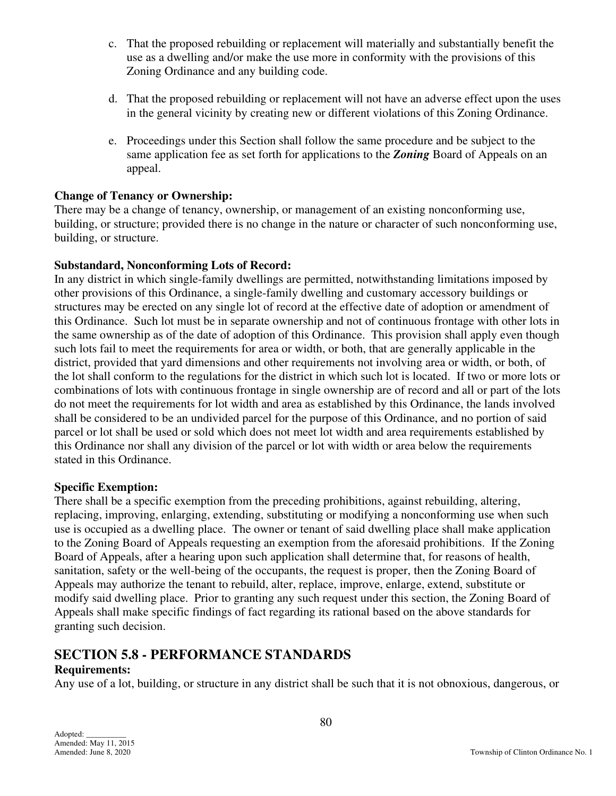- c. That the proposed rebuilding or replacement will materially and substantially benefit the use as a dwelling and/or make the use more in conformity with the provisions of this Zoning Ordinance and any building code.
- d. That the proposed rebuilding or replacement will not have an adverse effect upon the uses in the general vicinity by creating new or different violations of this Zoning Ordinance.
- e. Proceedings under this Section shall follow the same procedure and be subject to the same application fee as set forth for applications to the *Zoning* Board of Appeals on an appeal.

#### **Change of Tenancy or Ownership:**

There may be a change of tenancy, ownership, or management of an existing nonconforming use, building, or structure; provided there is no change in the nature or character of such nonconforming use, building, or structure.

#### **Substandard, Nonconforming Lots of Record:**

In any district in which single-family dwellings are permitted, notwithstanding limitations imposed by other provisions of this Ordinance, a single-family dwelling and customary accessory buildings or structures may be erected on any single lot of record at the effective date of adoption or amendment of this Ordinance. Such lot must be in separate ownership and not of continuous frontage with other lots in the same ownership as of the date of adoption of this Ordinance. This provision shall apply even though such lots fail to meet the requirements for area or width, or both, that are generally applicable in the district, provided that yard dimensions and other requirements not involving area or width, or both, of the lot shall conform to the regulations for the district in which such lot is located. If two or more lots or combinations of lots with continuous frontage in single ownership are of record and all or part of the lots do not meet the requirements for lot width and area as established by this Ordinance, the lands involved shall be considered to be an undivided parcel for the purpose of this Ordinance, and no portion of said parcel or lot shall be used or sold which does not meet lot width and area requirements established by this Ordinance nor shall any division of the parcel or lot with width or area below the requirements stated in this Ordinance.

#### **Specific Exemption:**

There shall be a specific exemption from the preceding prohibitions, against rebuilding, altering, replacing, improving, enlarging, extending, substituting or modifying a nonconforming use when such use is occupied as a dwelling place. The owner or tenant of said dwelling place shall make application to the Zoning Board of Appeals requesting an exemption from the aforesaid prohibitions. If the Zoning Board of Appeals, after a hearing upon such application shall determine that, for reasons of health, sanitation, safety or the well-being of the occupants, the request is proper, then the Zoning Board of Appeals may authorize the tenant to rebuild, alter, replace, improve, enlarge, extend, substitute or modify said dwelling place. Prior to granting any such request under this section, the Zoning Board of Appeals shall make specific findings of fact regarding its rational based on the above standards for granting such decision.

## **SECTION 5.8 - PERFORMANCE STANDARDS**

### **Requirements:**

Any use of a lot, building, or structure in any district shall be such that it is not obnoxious, dangerous, or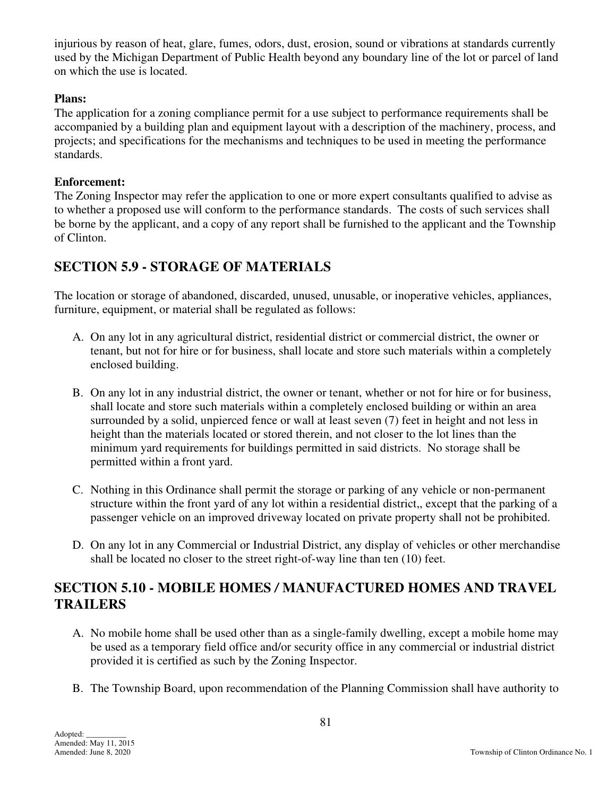injurious by reason of heat, glare, fumes, odors, dust, erosion, sound or vibrations at standards currently used by the Michigan Department of Public Health beyond any boundary line of the lot or parcel of land on which the use is located.

### **Plans:**

The application for a zoning compliance permit for a use subject to performance requirements shall be accompanied by a building plan and equipment layout with a description of the machinery, process, and projects; and specifications for the mechanisms and techniques to be used in meeting the performance standards.

#### **Enforcement:**

The Zoning Inspector may refer the application to one or more expert consultants qualified to advise as to whether a proposed use will conform to the performance standards. The costs of such services shall be borne by the applicant, and a copy of any report shall be furnished to the applicant and the Township of Clinton.

## **SECTION 5.9 - STORAGE OF MATERIALS**

The location or storage of abandoned, discarded, unused, unusable, or inoperative vehicles, appliances, furniture, equipment, or material shall be regulated as follows:

- A. On any lot in any agricultural district, residential district or commercial district, the owner or tenant, but not for hire or for business, shall locate and store such materials within a completely enclosed building.
- B. On any lot in any industrial district, the owner or tenant, whether or not for hire or for business, shall locate and store such materials within a completely enclosed building or within an area surrounded by a solid, unpierced fence or wall at least seven (7) feet in height and not less in height than the materials located or stored therein, and not closer to the lot lines than the minimum yard requirements for buildings permitted in said districts. No storage shall be permitted within a front yard.
- C. Nothing in this Ordinance shall permit the storage or parking of any vehicle or non-permanent structure within the front yard of any lot within a residential district,, except that the parking of a passenger vehicle on an improved driveway located on private property shall not be prohibited.
- D. On any lot in any Commercial or Industrial District, any display of vehicles or other merchandise shall be located no closer to the street right-of-way line than ten (10) feet.

## **SECTION 5.10 - MOBILE HOMES** */* **MANUFACTURED HOMES AND TRAVEL TRAILERS**

- A. No mobile home shall be used other than as a single-family dwelling, except a mobile home may be used as a temporary field office and/or security office in any commercial or industrial district provided it is certified as such by the Zoning Inspector.
- B. The Township Board, upon recommendation of the Planning Commission shall have authority to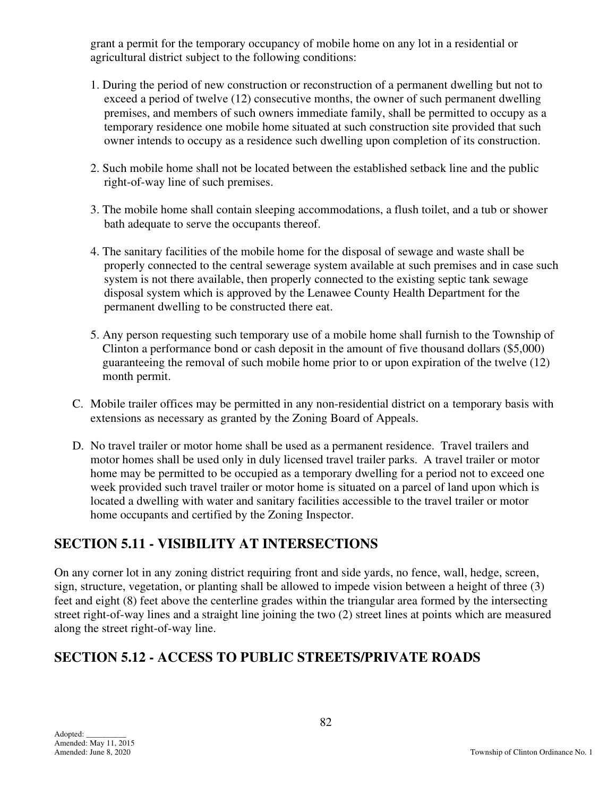grant a permit for the temporary occupancy of mobile home on any lot in a residential or agricultural district subject to the following conditions:

- 1. During the period of new construction or reconstruction of a permanent dwelling but not to exceed a period of twelve (12) consecutive months, the owner of such permanent dwelling premises, and members of such owners immediate family, shall be permitted to occupy as a temporary residence one mobile home situated at such construction site provided that such owner intends to occupy as a residence such dwelling upon completion of its construction.
- 2. Such mobile home shall not be located between the established setback line and the public right-of-way line of such premises.
- 3. The mobile home shall contain sleeping accommodations, a flush toilet, and a tub or shower bath adequate to serve the occupants thereof.
- 4. The sanitary facilities of the mobile home for the disposal of sewage and waste shall be properly connected to the central sewerage system available at such premises and in case such system is not there available, then properly connected to the existing septic tank sewage disposal system which is approved by the Lenawee County Health Department for the permanent dwelling to be constructed there eat.
- 5. Any person requesting such temporary use of a mobile home shall furnish to the Township of Clinton a performance bond or cash deposit in the amount of five thousand dollars (\$5,000) guaranteeing the removal of such mobile home prior to or upon expiration of the twelve (12) month permit.
- C. Mobile trailer offices may be permitted in any non-residential district on a temporary basis with extensions as necessary as granted by the Zoning Board of Appeals.
- D. No travel trailer or motor home shall be used as a permanent residence. Travel trailers and motor homes shall be used only in duly licensed travel trailer parks. A travel trailer or motor home may be permitted to be occupied as a temporary dwelling for a period not to exceed one week provided such travel trailer or motor home is situated on a parcel of land upon which is located a dwelling with water and sanitary facilities accessible to the travel trailer or motor home occupants and certified by the Zoning Inspector.

## **SECTION 5.11 - VISIBILITY AT INTERSECTIONS**

On any corner lot in any zoning district requiring front and side yards, no fence, wall, hedge, screen, sign, structure, vegetation, or planting shall be allowed to impede vision between a height of three (3) feet and eight (8) feet above the centerline grades within the triangular area formed by the intersecting street right-of-way lines and a straight line joining the two (2) street lines at points which are measured along the street right-of-way line.

## **SECTION 5.12 - ACCESS TO PUBLIC STREETS/PRIVATE ROADS**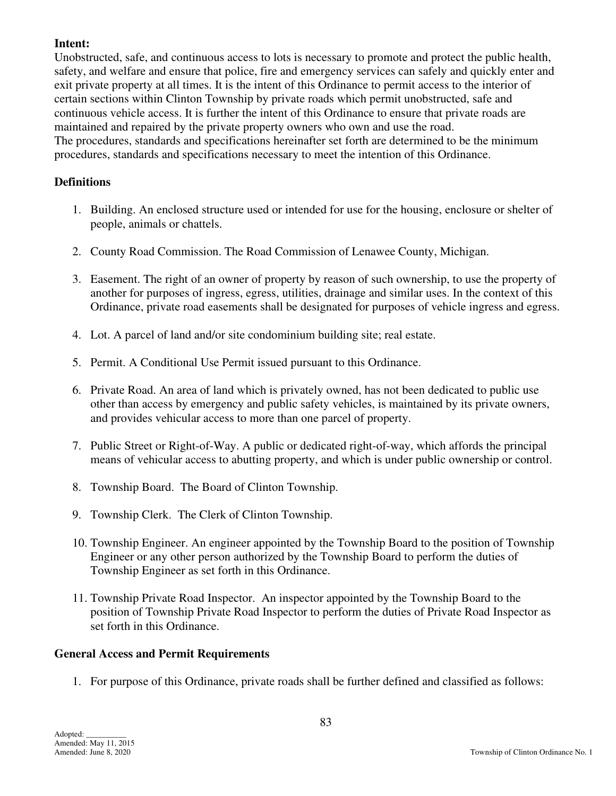### **Intent:**

Unobstructed, safe, and continuous access to lots is necessary to promote and protect the public health, safety, and welfare and ensure that police, fire and emergency services can safely and quickly enter and exit private property at all times. It is the intent of this Ordinance to permit access to the interior of certain sections within Clinton Township by private roads which permit unobstructed, safe and continuous vehicle access. It is further the intent of this Ordinance to ensure that private roads are maintained and repaired by the private property owners who own and use the road. The procedures, standards and specifications hereinafter set forth are determined to be the minimum procedures, standards and specifications necessary to meet the intention of this Ordinance.

## **Definitions**

- 1. Building. An enclosed structure used or intended for use for the housing, enclosure or shelter of people, animals or chattels.
- 2. County Road Commission. The Road Commission of Lenawee County, Michigan.
- 3. Easement. The right of an owner of property by reason of such ownership, to use the property of another for purposes of ingress, egress, utilities, drainage and similar uses. In the context of this Ordinance, private road easements shall be designated for purposes of vehicle ingress and egress.
- 4. Lot. A parcel of land and/or site condominium building site; real estate.
- 5. Permit. A Conditional Use Permit issued pursuant to this Ordinance.
- 6. Private Road. An area of land which is privately owned, has not been dedicated to public use other than access by emergency and public safety vehicles, is maintained by its private owners, and provides vehicular access to more than one parcel of property.
- 7. Public Street or Right-of-Way. A public or dedicated right-of-way, which affords the principal means of vehicular access to abutting property, and which is under public ownership or control.
- 8. Township Board. The Board of Clinton Township.
- 9. Township Clerk. The Clerk of Clinton Township.
- 10. Township Engineer. An engineer appointed by the Township Board to the position of Township Engineer or any other person authorized by the Township Board to perform the duties of Township Engineer as set forth in this Ordinance.
- 11. Township Private Road Inspector. An inspector appointed by the Township Board to the position of Township Private Road Inspector to perform the duties of Private Road Inspector as set forth in this Ordinance.

### **General Access and Permit Requirements**

1. For purpose of this Ordinance, private roads shall be further defined and classified as follows: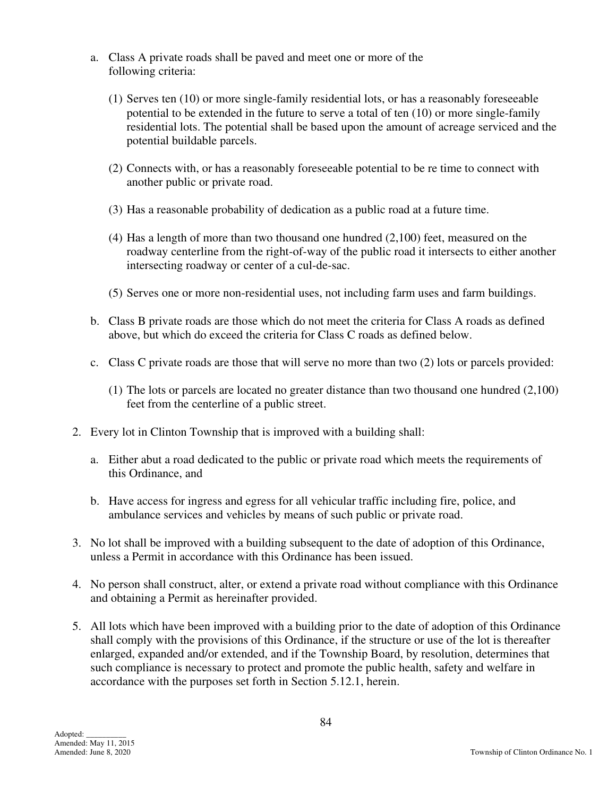- a. Class A private roads shall be paved and meet one or more of the following criteria:
	- (1) Serves ten (10) or more single-family residential lots, or has a reasonably foreseeable potential to be extended in the future to serve a total of ten (10) or more single-family residential lots. The potential shall be based upon the amount of acreage serviced and the potential buildable parcels.
	- (2) Connects with, or has a reasonably foreseeable potential to be re time to connect with another public or private road.
	- (3) Has a reasonable probability of dedication as a public road at a future time.
	- (4) Has a length of more than two thousand one hundred (2,100) feet, measured on the roadway centerline from the right-of-way of the public road it intersects to either another intersecting roadway or center of a cul-de-sac.
	- (5) Serves one or more non-residential uses, not including farm uses and farm buildings.
- b. Class B private roads are those which do not meet the criteria for Class A roads as defined above, but which do exceed the criteria for Class C roads as defined below.
- c. Class C private roads are those that will serve no more than two (2) lots or parcels provided:
	- (1) The lots or parcels are located no greater distance than two thousand one hundred (2,100) feet from the centerline of a public street.
- 2. Every lot in Clinton Township that is improved with a building shall:
	- a. Either abut a road dedicated to the public or private road which meets the requirements of this Ordinance, and
	- b. Have access for ingress and egress for all vehicular traffic including fire, police, and ambulance services and vehicles by means of such public or private road.
- 3. No lot shall be improved with a building subsequent to the date of adoption of this Ordinance, unless a Permit in accordance with this Ordinance has been issued.
- 4. No person shall construct, alter, or extend a private road without compliance with this Ordinance and obtaining a Permit as hereinafter provided.
- 5. All lots which have been improved with a building prior to the date of adoption of this Ordinance shall comply with the provisions of this Ordinance, if the structure or use of the lot is thereafter enlarged, expanded and/or extended, and if the Township Board, by resolution, determines that such compliance is necessary to protect and promote the public health, safety and welfare in accordance with the purposes set forth in Section 5.12.1, herein.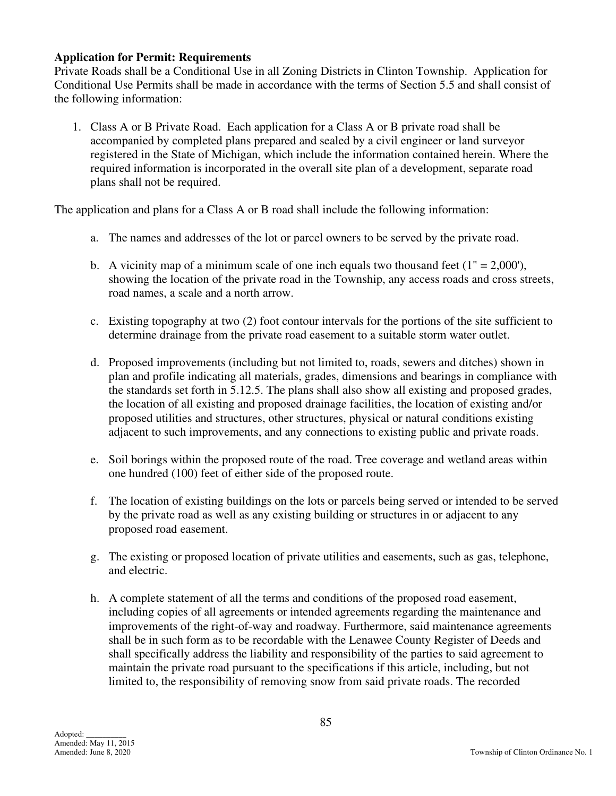#### **Application for Permit: Requirements**

Private Roads shall be a Conditional Use in all Zoning Districts in Clinton Township. Application for Conditional Use Permits shall be made in accordance with the terms of Section 5.5 and shall consist of the following information:

 1. Class A or B Private Road. Each application for a Class A or B private road shall be accompanied by completed plans prepared and sealed by a civil engineer or land surveyor registered in the State of Michigan, which include the information contained herein. Where the required information is incorporated in the overall site plan of a development, separate road plans shall not be required.

The application and plans for a Class A or B road shall include the following information:

- a. The names and addresses of the lot or parcel owners to be served by the private road.
- b. A vicinity map of a minimum scale of one inch equals two thousand feet  $(1" = 2,000')$ , showing the location of the private road in the Township, any access roads and cross streets, road names, a scale and a north arrow.
- c. Existing topography at two (2) foot contour intervals for the portions of the site sufficient to determine drainage from the private road easement to a suitable storm water outlet.
- d. Proposed improvements (including but not limited to, roads, sewers and ditches) shown in plan and profile indicating all materials, grades, dimensions and bearings in compliance with the standards set forth in 5.12.5. The plans shall also show all existing and proposed grades, the location of all existing and proposed drainage facilities, the location of existing and/or proposed utilities and structures, other structures, physical or natural conditions existing adjacent to such improvements, and any connections to existing public and private roads.
- e. Soil borings within the proposed route of the road. Tree coverage and wetland areas within one hundred (100) feet of either side of the proposed route.
- f. The location of existing buildings on the lots or parcels being served or intended to be served by the private road as well as any existing building or structures in or adjacent to any proposed road easement.
- g. The existing or proposed location of private utilities and easements, such as gas, telephone, and electric.
- h. A complete statement of all the terms and conditions of the proposed road easement, including copies of all agreements or intended agreements regarding the maintenance and improvements of the right-of-way and roadway. Furthermore, said maintenance agreements shall be in such form as to be recordable with the Lenawee County Register of Deeds and shall specifically address the liability and responsibility of the parties to said agreement to maintain the private road pursuant to the specifications if this article, including, but not limited to, the responsibility of removing snow from said private roads. The recorded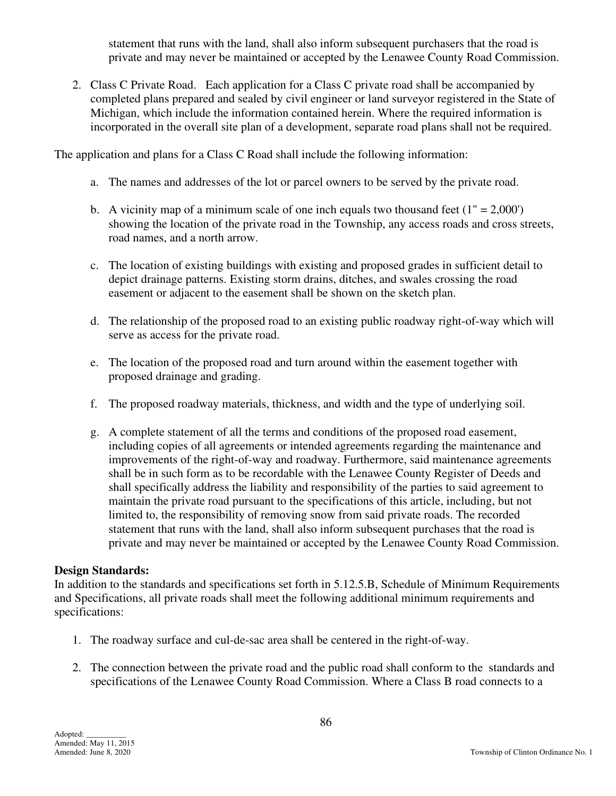statement that runs with the land, shall also inform subsequent purchasers that the road is private and may never be maintained or accepted by the Lenawee County Road Commission.

 2. Class C Private Road. Each application for a Class C private road shall be accompanied by completed plans prepared and sealed by civil engineer or land surveyor registered in the State of Michigan, which include the information contained herein. Where the required information is incorporated in the overall site plan of a development, separate road plans shall not be required.

The application and plans for a Class C Road shall include the following information:

- a. The names and addresses of the lot or parcel owners to be served by the private road.
- b. A vicinity map of a minimum scale of one inch equals two thousand feet  $(1" = 2,000')$ showing the location of the private road in the Township, any access roads and cross streets, road names, and a north arrow.
- c. The location of existing buildings with existing and proposed grades in sufficient detail to depict drainage patterns. Existing storm drains, ditches, and swales crossing the road easement or adjacent to the easement shall be shown on the sketch plan.
- d. The relationship of the proposed road to an existing public roadway right-of-way which will serve as access for the private road.
- e. The location of the proposed road and turn around within the easement together with proposed drainage and grading.
- f. The proposed roadway materials, thickness, and width and the type of underlying soil.
- g. A complete statement of all the terms and conditions of the proposed road easement, including copies of all agreements or intended agreements regarding the maintenance and improvements of the right-of-way and roadway. Furthermore, said maintenance agreements shall be in such form as to be recordable with the Lenawee County Register of Deeds and shall specifically address the liability and responsibility of the parties to said agreement to maintain the private road pursuant to the specifications of this article, including, but not limited to, the responsibility of removing snow from said private roads. The recorded statement that runs with the land, shall also inform subsequent purchases that the road is private and may never be maintained or accepted by the Lenawee County Road Commission.

#### **Design Standards:**

In addition to the standards and specifications set forth in 5.12.5.B, Schedule of Minimum Requirements and Specifications, all private roads shall meet the following additional minimum requirements and specifications:

- 1. The roadway surface and cul-de-sac area shall be centered in the right-of-way.
- 2. The connection between the private road and the public road shall conform to the standards and specifications of the Lenawee County Road Commission. Where a Class B road connects to a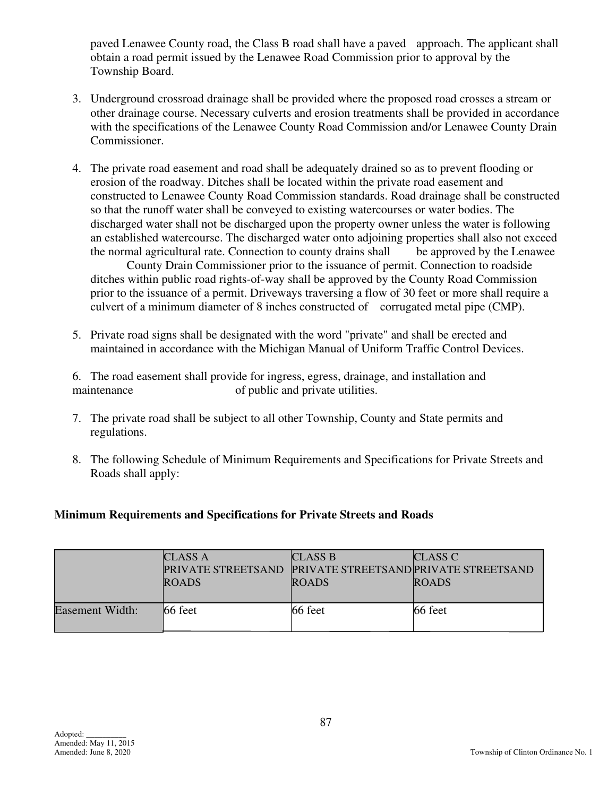paved Lenawee County road, the Class B road shall have a paved approach. The applicant shall obtain a road permit issued by the Lenawee Road Commission prior to approval by the Township Board.

- 3. Underground crossroad drainage shall be provided where the proposed road crosses a stream or other drainage course. Necessary culverts and erosion treatments shall be provided in accordance with the specifications of the Lenawee County Road Commission and/or Lenawee County Drain Commissioner.
- 4. The private road easement and road shall be adequately drained so as to prevent flooding or erosion of the roadway. Ditches shall be located within the private road easement and constructed to Lenawee County Road Commission standards. Road drainage shall be constructed so that the runoff water shall be conveyed to existing watercourses or water bodies. The discharged water shall not be discharged upon the property owner unless the water is following an established watercourse. The discharged water onto adjoining properties shall also not exceed the normal agricultural rate. Connection to county drains shall be approved by the Lenawee

 County Drain Commissioner prior to the issuance of permit. Connection to roadside ditches within public road rights-of-way shall be approved by the County Road Commission prior to the issuance of a permit. Driveways traversing a flow of 30 feet or more shall require a culvert of a minimum diameter of 8 inches constructed of corrugated metal pipe (CMP).

 5. Private road signs shall be designated with the word "private" and shall be erected and maintained in accordance with the Michigan Manual of Uniform Traffic Control Devices.

 6. The road easement shall provide for ingress, egress, drainage, and installation and maintenance of public and private utilities.

- 7. The private road shall be subject to all other Township, County and State permits and regulations.
- 8. The following Schedule of Minimum Requirements and Specifications for Private Streets and Roads shall apply:

### **Minimum Requirements and Specifications for Private Streets and Roads**

|                 | <b>CLASS A</b><br><b>PRIVATE STREETSAND PRIVATE STREETSAND PRIVATE STREETSAND</b><br><b>ROADS</b> | <b>CLASS B</b><br><b>ROADS</b> | CLASS C<br><b>ROADS</b> |
|-----------------|---------------------------------------------------------------------------------------------------|--------------------------------|-------------------------|
| Easement Width: | 66 feet                                                                                           | $66 \text{ feet}$              | 66 feet                 |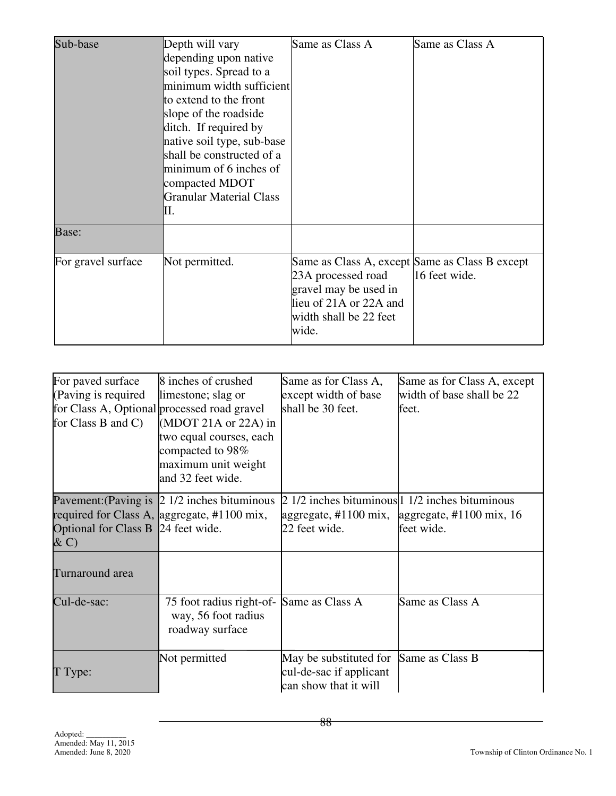| Sub-base           | Depth will vary<br>depending upon native<br>soil types. Spread to a<br>minimum width sufficient<br>to extend to the front<br>slope of the roadside<br>ditch. If required by<br>native soil type, sub-base<br>shall be constructed of a<br>minimum of 6 inches of<br>compacted MDOT<br><b>Granular Material Class</b><br>II. | Same as Class A                                                                                                                                            | Same as Class A |
|--------------------|-----------------------------------------------------------------------------------------------------------------------------------------------------------------------------------------------------------------------------------------------------------------------------------------------------------------------------|------------------------------------------------------------------------------------------------------------------------------------------------------------|-----------------|
| Base:              |                                                                                                                                                                                                                                                                                                                             |                                                                                                                                                            |                 |
| For gravel surface | Not permitted.                                                                                                                                                                                                                                                                                                              | Same as Class A, except Same as Class B except<br>23A processed road<br>gravel may be used in<br>lieu of 21A or 22A and<br>width shall be 22 feet<br>wide. | 16 feet wide.   |

| For paved surface<br>(Paving is required)<br>for Class B and C) | 8 inches of crushed<br>limestone; slag or<br>for Class A, Optional processed road gravel<br>(MDOT 21A or $22A$ ) in<br>two equal courses, each<br>compacted to 98%<br>maximum unit weight<br>and 32 feet wide. | Same as for Class A,<br>except width of base<br>shall be 30 feet.          | Same as for Class A, except<br>width of base shall be 22<br>feet.                                              |
|-----------------------------------------------------------------|----------------------------------------------------------------------------------------------------------------------------------------------------------------------------------------------------------------|----------------------------------------------------------------------------|----------------------------------------------------------------------------------------------------------------|
| Optional for Class B 24 feet wide.<br>$\& C)$                   | Pavement: (Paving is $\vert$ 2 1/2 inches bituminous<br>required for Class A, aggregate, #1100 mix,                                                                                                            | aggregate, $\#1100 \text{ mix}$ ,<br>22 feet wide.                         | $\sqrt{2}$ 1/2 inches bituminous 1 1/2 inches bituminous<br>aggregate, $\#1100 \text{ mix}$ , 16<br>feet wide. |
| Turnaround area                                                 |                                                                                                                                                                                                                |                                                                            |                                                                                                                |
| Cul-de-sac:                                                     | 75 foot radius right-of- Same as Class A<br>way, 56 foot radius<br>roadway surface                                                                                                                             |                                                                            | Same as Class A                                                                                                |
| T Type:                                                         | Not permitted                                                                                                                                                                                                  | May be substituted for<br>cul-de-sac if applicant<br>can show that it will | Same as Class B                                                                                                |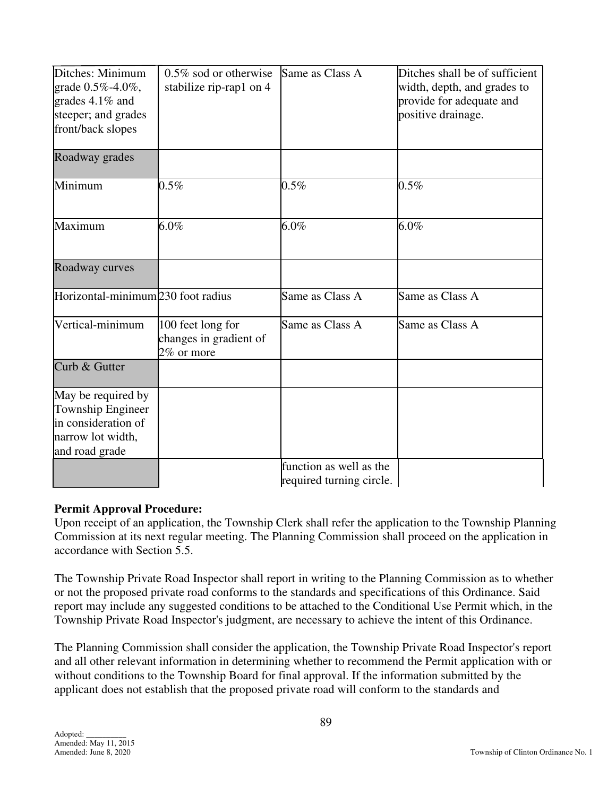| Ditches: Minimum<br>grade 0.5%-4.0%,<br>grades $4.1\%$ and<br>steeper; and grades<br>front/back slopes | $0.5\%$ sod or otherwise<br>stabilize rip-rap1 on 4       | Same as Class A          | Ditches shall be of sufficient<br>width, depth, and grades to<br>provide for adequate and<br>positive drainage. |
|--------------------------------------------------------------------------------------------------------|-----------------------------------------------------------|--------------------------|-----------------------------------------------------------------------------------------------------------------|
| Roadway grades                                                                                         |                                                           |                          |                                                                                                                 |
| Minimum                                                                                                | $0.5\%$                                                   | 0.5%                     | $0.5\%$                                                                                                         |
| Maximum                                                                                                | $6.0\%$                                                   | $6.0\%$                  | $6.0\%$                                                                                                         |
| Roadway curves                                                                                         |                                                           |                          |                                                                                                                 |
| Horizontal-minimum 230 foot radius                                                                     |                                                           | Same as Class A          | Same as Class A                                                                                                 |
| Vertical-minimum                                                                                       | 100 feet long for<br>changes in gradient of<br>2% or more | Same as Class A          | Same as Class A                                                                                                 |
| Curb & Gutter                                                                                          |                                                           |                          |                                                                                                                 |
| May be required by                                                                                     |                                                           |                          |                                                                                                                 |
| Township Engineer                                                                                      |                                                           |                          |                                                                                                                 |
| in consideration of                                                                                    |                                                           |                          |                                                                                                                 |
| narrow lot width,<br>and road grade                                                                    |                                                           |                          |                                                                                                                 |
|                                                                                                        |                                                           | function as well as the  |                                                                                                                 |
|                                                                                                        |                                                           | required turning circle. |                                                                                                                 |

### **Permit Approval Procedure:**

Upon receipt of an application, the Township Clerk shall refer the application to the Township Planning Commission at its next regular meeting. The Planning Commission shall proceed on the application in accordance with Section 5.5.

The Township Private Road Inspector shall report in writing to the Planning Commission as to whether or not the proposed private road conforms to the standards and specifications of this Ordinance. Said report may include any suggested conditions to be attached to the Conditional Use Permit which, in the Township Private Road Inspector's judgment, are necessary to achieve the intent of this Ordinance.

The Planning Commission shall consider the application, the Township Private Road Inspector's report and all other relevant information in determining whether to recommend the Permit application with or without conditions to the Township Board for final approval. If the information submitted by the applicant does not establish that the proposed private road will conform to the standards and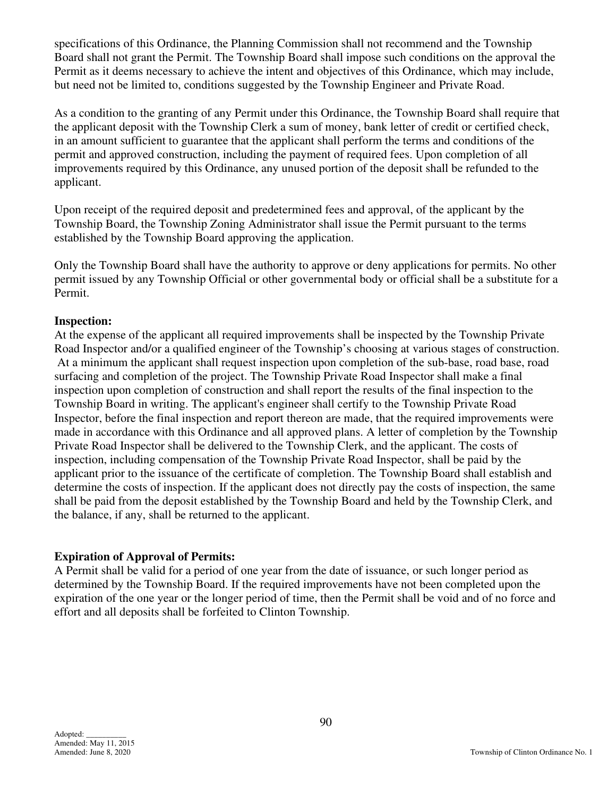specifications of this Ordinance, the Planning Commission shall not recommend and the Township Board shall not grant the Permit. The Township Board shall impose such conditions on the approval the Permit as it deems necessary to achieve the intent and objectives of this Ordinance, which may include, but need not be limited to, conditions suggested by the Township Engineer and Private Road.

As a condition to the granting of any Permit under this Ordinance, the Township Board shall require that the applicant deposit with the Township Clerk a sum of money, bank letter of credit or certified check, in an amount sufficient to guarantee that the applicant shall perform the terms and conditions of the permit and approved construction, including the payment of required fees. Upon completion of all improvements required by this Ordinance, any unused portion of the deposit shall be refunded to the applicant.

Upon receipt of the required deposit and predetermined fees and approval, of the applicant by the Township Board, the Township Zoning Administrator shall issue the Permit pursuant to the terms established by the Township Board approving the application.

Only the Township Board shall have the authority to approve or deny applications for permits. No other permit issued by any Township Official or other governmental body or official shall be a substitute for a Permit.

#### **Inspection:**

At the expense of the applicant all required improvements shall be inspected by the Township Private Road Inspector and/or a qualified engineer of the Township's choosing at various stages of construction. At a minimum the applicant shall request inspection upon completion of the sub-base, road base, road surfacing and completion of the project. The Township Private Road Inspector shall make a final inspection upon completion of construction and shall report the results of the final inspection to the Township Board in writing. The applicant's engineer shall certify to the Township Private Road Inspector, before the final inspection and report thereon are made, that the required improvements were made in accordance with this Ordinance and all approved plans. A letter of completion by the Township Private Road Inspector shall be delivered to the Township Clerk, and the applicant. The costs of inspection, including compensation of the Township Private Road Inspector, shall be paid by the applicant prior to the issuance of the certificate of completion. The Township Board shall establish and determine the costs of inspection. If the applicant does not directly pay the costs of inspection, the same shall be paid from the deposit established by the Township Board and held by the Township Clerk, and the balance, if any, shall be returned to the applicant.

### **Expiration of Approval of Permits:**

A Permit shall be valid for a period of one year from the date of issuance, or such longer period as determined by the Township Board. If the required improvements have not been completed upon the expiration of the one year or the longer period of time, then the Permit shall be void and of no force and effort and all deposits shall be forfeited to Clinton Township.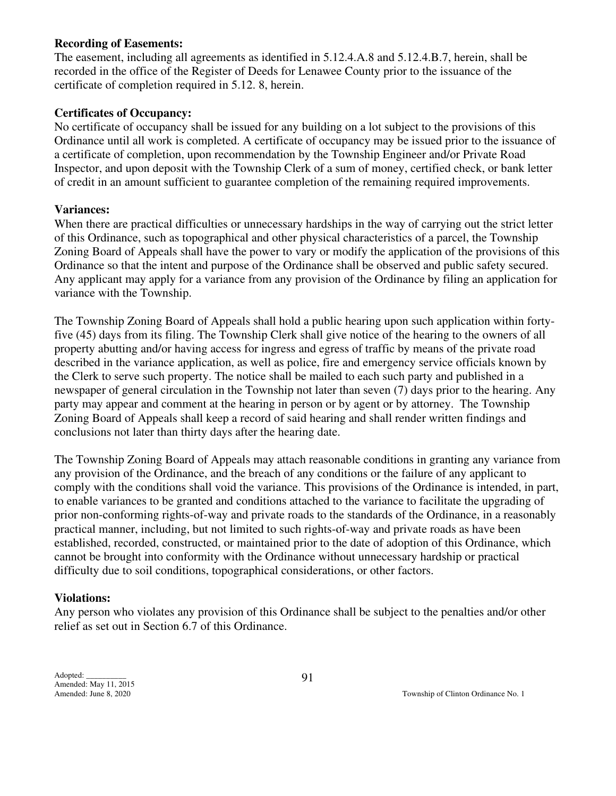#### **Recording of Easements:**

The easement, including all agreements as identified in 5.12.4.A.8 and 5.12.4.B.7, herein, shall be recorded in the office of the Register of Deeds for Lenawee County prior to the issuance of the certificate of completion required in 5.12. 8, herein.

#### **Certificates of Occupancy:**

No certificate of occupancy shall be issued for any building on a lot subject to the provisions of this Ordinance until all work is completed. A certificate of occupancy may be issued prior to the issuance of a certificate of completion, upon recommendation by the Township Engineer and/or Private Road Inspector, and upon deposit with the Township Clerk of a sum of money, certified check, or bank letter of credit in an amount sufficient to guarantee completion of the remaining required improvements.

#### **Variances:**

When there are practical difficulties or unnecessary hardships in the way of carrying out the strict letter of this Ordinance, such as topographical and other physical characteristics of a parcel, the Township Zoning Board of Appeals shall have the power to vary or modify the application of the provisions of this Ordinance so that the intent and purpose of the Ordinance shall be observed and public safety secured. Any applicant may apply for a variance from any provision of the Ordinance by filing an application for variance with the Township.

The Township Zoning Board of Appeals shall hold a public hearing upon such application within fortyfive (45) days from its filing. The Township Clerk shall give notice of the hearing to the owners of all property abutting and/or having access for ingress and egress of traffic by means of the private road described in the variance application, as well as police, fire and emergency service officials known by the Clerk to serve such property. The notice shall be mailed to each such party and published in a newspaper of general circulation in the Township not later than seven (7) days prior to the hearing. Any party may appear and comment at the hearing in person or by agent or by attorney. The Township Zoning Board of Appeals shall keep a record of said hearing and shall render written findings and conclusions not later than thirty days after the hearing date.

The Township Zoning Board of Appeals may attach reasonable conditions in granting any variance from any provision of the Ordinance, and the breach of any conditions or the failure of any applicant to comply with the conditions shall void the variance. This provisions of the Ordinance is intended, in part, to enable variances to be granted and conditions attached to the variance to facilitate the upgrading of prior non-conforming rights-of-way and private roads to the standards of the Ordinance, in a reasonably practical manner, including, but not limited to such rights-of-way and private roads as have been established, recorded, constructed, or maintained prior to the date of adoption of this Ordinance, which cannot be brought into conformity with the Ordinance without unnecessary hardship or practical difficulty due to soil conditions, topographical considerations, or other factors.

#### **Violations:**

Any person who violates any provision of this Ordinance shall be subject to the penalties and/or other relief as set out in Section 6.7 of this Ordinance.

Adopted: \_\_\_\_\_\_\_\_\_\_ Amended: May 11, 2015

Amended: June 8, 2020 Township of Clinton Ordinance No. 1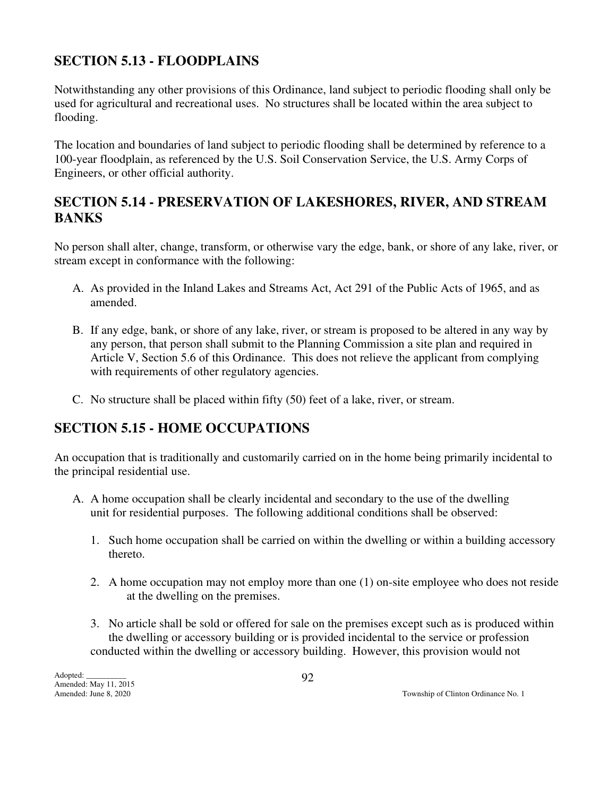## **SECTION 5.13 - FLOODPLAINS**

Notwithstanding any other provisions of this Ordinance, land subject to periodic flooding shall only be used for agricultural and recreational uses. No structures shall be located within the area subject to flooding.

The location and boundaries of land subject to periodic flooding shall be determined by reference to a 100-year floodplain, as referenced by the U.S. Soil Conservation Service, the U.S. Army Corps of Engineers, or other official authority.

## **SECTION 5.14 - PRESERVATION OF LAKESHORES, RIVER, AND STREAM BANKS**

No person shall alter, change, transform, or otherwise vary the edge, bank, or shore of any lake, river, or stream except in conformance with the following:

- A. As provided in the Inland Lakes and Streams Act, Act 291 of the Public Acts of 1965, and as amended.
- B. If any edge, bank, or shore of any lake, river, or stream is proposed to be altered in any way by any person, that person shall submit to the Planning Commission a site plan and required in Article V, Section 5.6 of this Ordinance. This does not relieve the applicant from complying with requirements of other regulatory agencies.
- C. No structure shall be placed within fifty (50) feet of a lake, river, or stream.

## **SECTION 5.15 - HOME OCCUPATIONS**

An occupation that is traditionally and customarily carried on in the home being primarily incidental to the principal residential use.

- A. A home occupation shall be clearly incidental and secondary to the use of the dwelling unit for residential purposes. The following additional conditions shall be observed:
	- 1. Such home occupation shall be carried on within the dwelling or within a building accessory thereto.
	- 2. A home occupation may not employ more than one (1) on-site employee who does not reside at the dwelling on the premises.
	- 3. No article shall be sold or offered for sale on the premises except such as is produced within the dwelling or accessory building or is provided incidental to the service or profession conducted within the dwelling or accessory building. However, this provision would not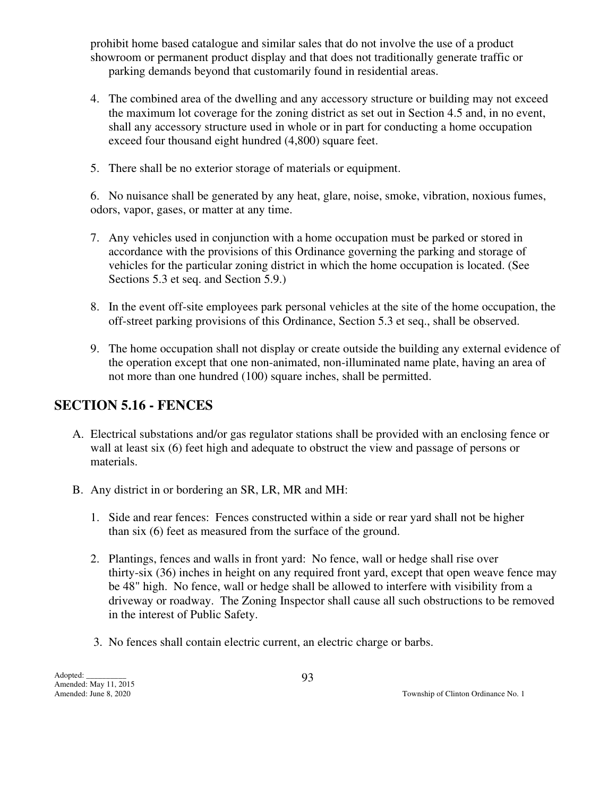prohibit home based catalogue and similar sales that do not involve the use of a product showroom or permanent product display and that does not traditionally generate traffic or parking demands beyond that customarily found in residential areas.

- 4. The combined area of the dwelling and any accessory structure or building may not exceed the maximum lot coverage for the zoning district as set out in Section 4.5 and, in no event, shall any accessory structure used in whole or in part for conducting a home occupation exceed four thousand eight hundred (4,800) square feet.
- 5. There shall be no exterior storage of materials or equipment.

 6. No nuisance shall be generated by any heat, glare, noise, smoke, vibration, noxious fumes, odors, vapor, gases, or matter at any time.

- 7. Any vehicles used in conjunction with a home occupation must be parked or stored in accordance with the provisions of this Ordinance governing the parking and storage of vehicles for the particular zoning district in which the home occupation is located. (See Sections 5.3 et seq. and Section 5.9.)
- 8. In the event off-site employees park personal vehicles at the site of the home occupation, the off-street parking provisions of this Ordinance, Section 5.3 et seq., shall be observed.
- 9. The home occupation shall not display or create outside the building any external evidence of the operation except that one non-animated, non-illuminated name plate, having an area of not more than one hundred (100) square inches, shall be permitted.

## **SECTION 5.16 - FENCES**

- A. Electrical substations and/or gas regulator stations shall be provided with an enclosing fence or wall at least six (6) feet high and adequate to obstruct the view and passage of persons or materials.
- B. Any district in or bordering an SR, LR, MR and MH:
	- 1. Side and rear fences: Fences constructed within a side or rear yard shall not be higher than six (6) feet as measured from the surface of the ground.
	- 2. Plantings, fences and walls in front yard: No fence, wall or hedge shall rise over thirty-six (36) inches in height on any required front yard, except that open weave fence may be 48" high. No fence, wall or hedge shall be allowed to interfere with visibility from a driveway or roadway. The Zoning Inspector shall cause all such obstructions to be removed in the interest of Public Safety.
	- 3. No fences shall contain electric current, an electric charge or barbs.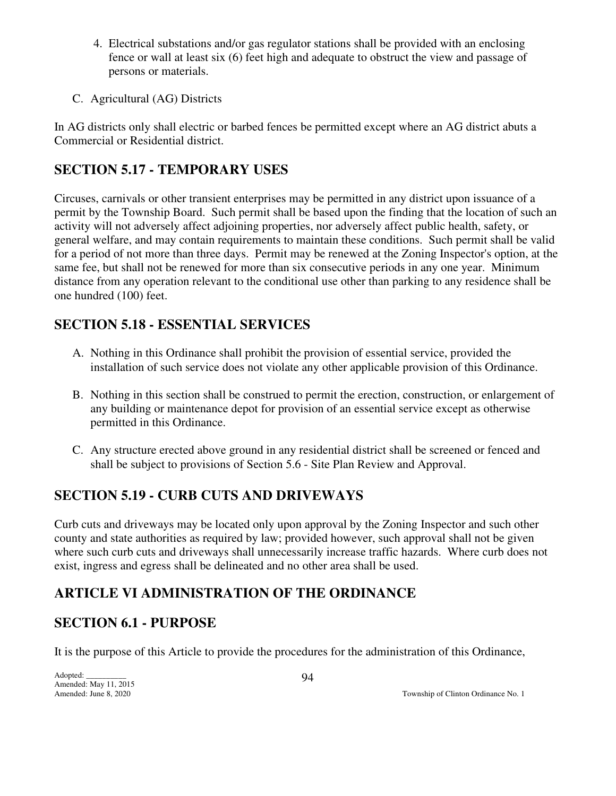- 4. Electrical substations and/or gas regulator stations shall be provided with an enclosing fence or wall at least six (6) feet high and adequate to obstruct the view and passage of persons or materials.
- C. Agricultural (AG) Districts

In AG districts only shall electric or barbed fences be permitted except where an AG district abuts a Commercial or Residential district.

## **SECTION 5.17 - TEMPORARY USES**

Circuses, carnivals or other transient enterprises may be permitted in any district upon issuance of a permit by the Township Board. Such permit shall be based upon the finding that the location of such an activity will not adversely affect adjoining properties, nor adversely affect public health, safety, or general welfare, and may contain requirements to maintain these conditions. Such permit shall be valid for a period of not more than three days. Permit may be renewed at the Zoning Inspector's option, at the same fee, but shall not be renewed for more than six consecutive periods in any one year. Minimum distance from any operation relevant to the conditional use other than parking to any residence shall be one hundred (100) feet.

## **SECTION 5.18 - ESSENTIAL SERVICES**

- A. Nothing in this Ordinance shall prohibit the provision of essential service, provided the installation of such service does not violate any other applicable provision of this Ordinance.
- B. Nothing in this section shall be construed to permit the erection, construction, or enlargement of any building or maintenance depot for provision of an essential service except as otherwise permitted in this Ordinance.
- C. Any structure erected above ground in any residential district shall be screened or fenced and shall be subject to provisions of Section 5.6 - Site Plan Review and Approval.

## **SECTION 5.19 - CURB CUTS AND DRIVEWAYS**

Curb cuts and driveways may be located only upon approval by the Zoning Inspector and such other county and state authorities as required by law; provided however, such approval shall not be given where such curb cuts and driveways shall unnecessarily increase traffic hazards. Where curb does not exist, ingress and egress shall be delineated and no other area shall be used.

## **ARTICLE VI ADMINISTRATION OF THE ORDINANCE**

## **SECTION 6.1 - PURPOSE**

It is the purpose of this Article to provide the procedures for the administration of this Ordinance,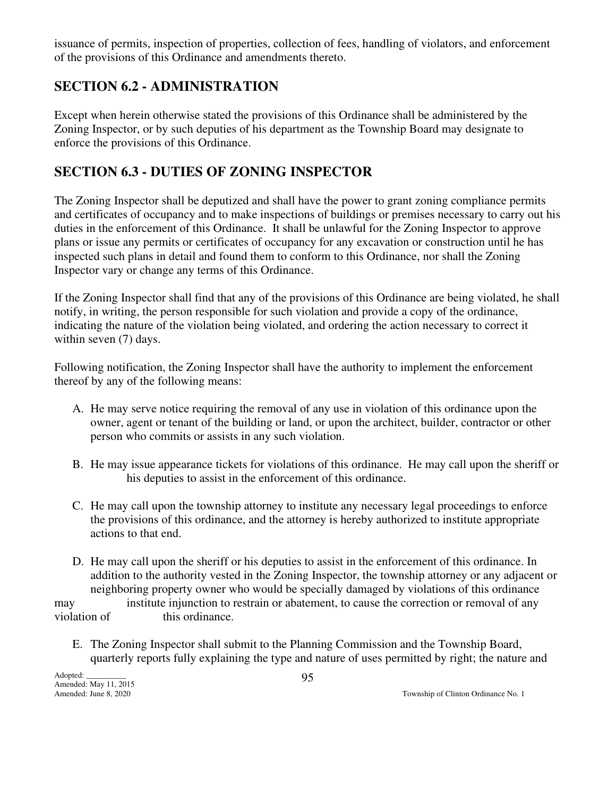issuance of permits, inspection of properties, collection of fees, handling of violators, and enforcement of the provisions of this Ordinance and amendments thereto.

## **SECTION 6.2 - ADMINISTRATION**

Except when herein otherwise stated the provisions of this Ordinance shall be administered by the Zoning Inspector, or by such deputies of his department as the Township Board may designate to enforce the provisions of this Ordinance.

## **SECTION 6.3 - DUTIES OF ZONING INSPECTOR**

The Zoning Inspector shall be deputized and shall have the power to grant zoning compliance permits and certificates of occupancy and to make inspections of buildings or premises necessary to carry out his duties in the enforcement of this Ordinance. It shall be unlawful for the Zoning Inspector to approve plans or issue any permits or certificates of occupancy for any excavation or construction until he has inspected such plans in detail and found them to conform to this Ordinance, nor shall the Zoning Inspector vary or change any terms of this Ordinance.

If the Zoning Inspector shall find that any of the provisions of this Ordinance are being violated, he shall notify, in writing, the person responsible for such violation and provide a copy of the ordinance, indicating the nature of the violation being violated, and ordering the action necessary to correct it within seven  $(7)$  days.

Following notification, the Zoning Inspector shall have the authority to implement the enforcement thereof by any of the following means:

- A. He may serve notice requiring the removal of any use in violation of this ordinance upon the owner, agent or tenant of the building or land, or upon the architect, builder, contractor or other person who commits or assists in any such violation.
- B. He may issue appearance tickets for violations of this ordinance. He may call upon the sheriff or his deputies to assist in the enforcement of this ordinance.
- C. He may call upon the township attorney to institute any necessary legal proceedings to enforce the provisions of this ordinance, and the attorney is hereby authorized to institute appropriate actions to that end.
- D. He may call upon the sheriff or his deputies to assist in the enforcement of this ordinance. In addition to the authority vested in the Zoning Inspector, the township attorney or any adjacent or neighboring property owner who would be specially damaged by violations of this ordinance

may institute injunction to restrain or abatement, to cause the correction or removal of any violation of this ordinance.

 E. The Zoning Inspector shall submit to the Planning Commission and the Township Board, quarterly reports fully explaining the type and nature of uses permitted by right; the nature and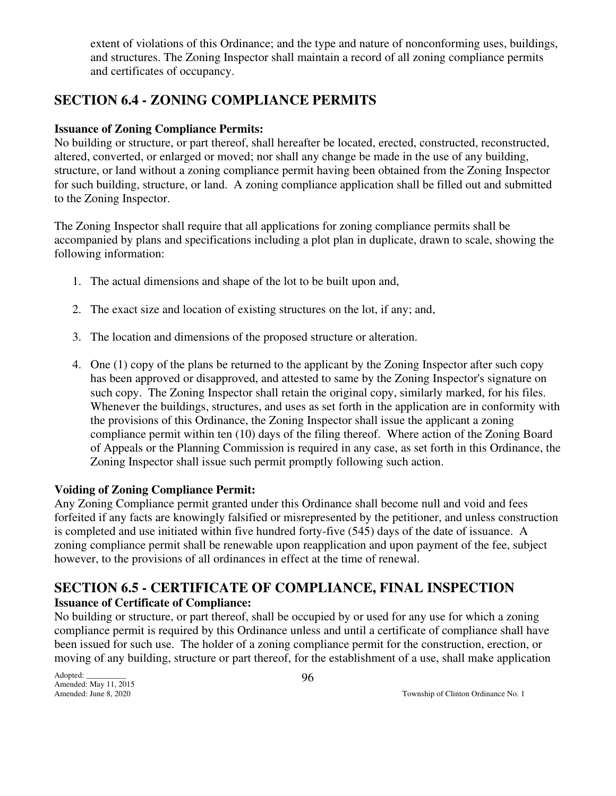extent of violations of this Ordinance; and the type and nature of nonconforming uses, buildings, and structures. The Zoning Inspector shall maintain a record of all zoning compliance permits and certificates of occupancy.

## **SECTION 6.4 - ZONING COMPLIANCE PERMITS**

### **Issuance of Zoning Compliance Permits:**

No building or structure, or part thereof, shall hereafter be located, erected, constructed, reconstructed, altered, converted, or enlarged or moved; nor shall any change be made in the use of any building, structure, or land without a zoning compliance permit having been obtained from the Zoning Inspector for such building, structure, or land. A zoning compliance application shall be filled out and submitted to the Zoning Inspector.

The Zoning Inspector shall require that all applications for zoning compliance permits shall be accompanied by plans and specifications including a plot plan in duplicate, drawn to scale, showing the following information:

- 1. The actual dimensions and shape of the lot to be built upon and,
- 2. The exact size and location of existing structures on the lot, if any; and,
- 3. The location and dimensions of the proposed structure or alteration.
- 4. One (1) copy of the plans be returned to the applicant by the Zoning Inspector after such copy has been approved or disapproved, and attested to same by the Zoning Inspector's signature on such copy. The Zoning Inspector shall retain the original copy, similarly marked, for his files. Whenever the buildings, structures, and uses as set forth in the application are in conformity with the provisions of this Ordinance, the Zoning Inspector shall issue the applicant a zoning compliance permit within ten (10) days of the filing thereof. Where action of the Zoning Board of Appeals or the Planning Commission is required in any case, as set forth in this Ordinance, the Zoning Inspector shall issue such permit promptly following such action.

### **Voiding of Zoning Compliance Permit:**

Any Zoning Compliance permit granted under this Ordinance shall become null and void and fees forfeited if any facts are knowingly falsified or misrepresented by the petitioner, and unless construction is completed and use initiated within five hundred forty-five (545) days of the date of issuance. A zoning compliance permit shall be renewable upon reapplication and upon payment of the fee, subject however, to the provisions of all ordinances in effect at the time of renewal.

## **SECTION 6.5 - CERTIFICATE OF COMPLIANCE, FINAL INSPECTION Issuance of Certificate of Compliance:**

No building or structure, or part thereof, shall be occupied by or used for any use for which a zoning compliance permit is required by this Ordinance unless and until a certificate of compliance shall have been issued for such use. The holder of a zoning compliance permit for the construction, erection, or moving of any building, structure or part thereof, for the establishment of a use, shall make application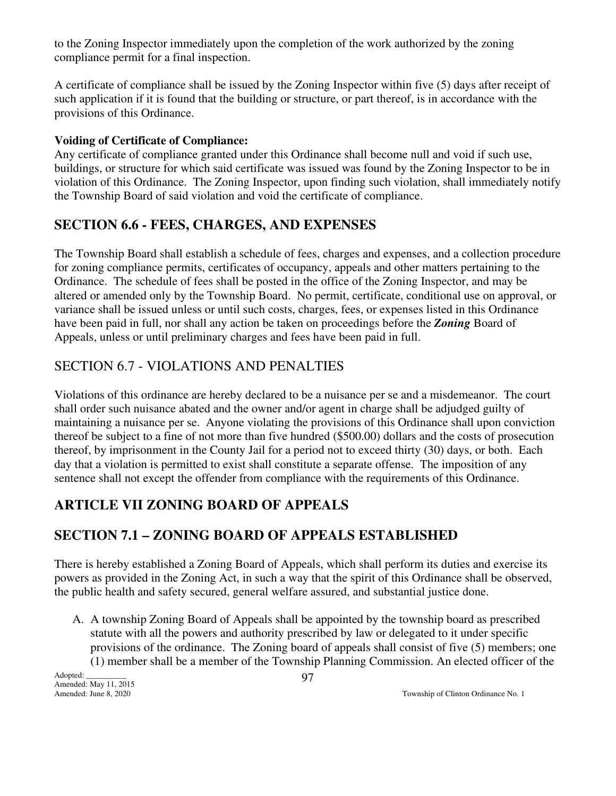to the Zoning Inspector immediately upon the completion of the work authorized by the zoning compliance permit for a final inspection.

A certificate of compliance shall be issued by the Zoning Inspector within five (5) days after receipt of such application if it is found that the building or structure, or part thereof, is in accordance with the provisions of this Ordinance.

### **Voiding of Certificate of Compliance:**

Any certificate of compliance granted under this Ordinance shall become null and void if such use, buildings, or structure for which said certificate was issued was found by the Zoning Inspector to be in violation of this Ordinance. The Zoning Inspector, upon finding such violation, shall immediately notify the Township Board of said violation and void the certificate of compliance.

## **SECTION 6.6 - FEES, CHARGES, AND EXPENSES**

The Township Board shall establish a schedule of fees, charges and expenses, and a collection procedure for zoning compliance permits, certificates of occupancy, appeals and other matters pertaining to the Ordinance. The schedule of fees shall be posted in the office of the Zoning Inspector, and may be altered or amended only by the Township Board. No permit, certificate, conditional use on approval, or variance shall be issued unless or until such costs, charges, fees, or expenses listed in this Ordinance have been paid in full, nor shall any action be taken on proceedings before the *Zoning* Board of Appeals, unless or until preliminary charges and fees have been paid in full.

## SECTION 6.7 - VIOLATIONS AND PENALTIES

Violations of this ordinance are hereby declared to be a nuisance per se and a misdemeanor. The court shall order such nuisance abated and the owner and/or agent in charge shall be adjudged guilty of maintaining a nuisance per se. Anyone violating the provisions of this Ordinance shall upon conviction thereof be subject to a fine of not more than five hundred (\$500.00) dollars and the costs of prosecution thereof, by imprisonment in the County Jail for a period not to exceed thirty (30) days, or both. Each day that a violation is permitted to exist shall constitute a separate offense. The imposition of any sentence shall not except the offender from compliance with the requirements of this Ordinance.

## **ARTICLE VII ZONING BOARD OF APPEALS**

## **SECTION 7.1 – ZONING BOARD OF APPEALS ESTABLISHED**

There is hereby established a Zoning Board of Appeals, which shall perform its duties and exercise its powers as provided in the Zoning Act, in such a way that the spirit of this Ordinance shall be observed, the public health and safety secured, general welfare assured, and substantial justice done.

 A. A township Zoning Board of Appeals shall be appointed by the township board as prescribed statute with all the powers and authority prescribed by law or delegated to it under specific provisions of the ordinance. The Zoning board of appeals shall consist of five (5) members; one (1) member shall be a member of the Township Planning Commission. An elected officer of the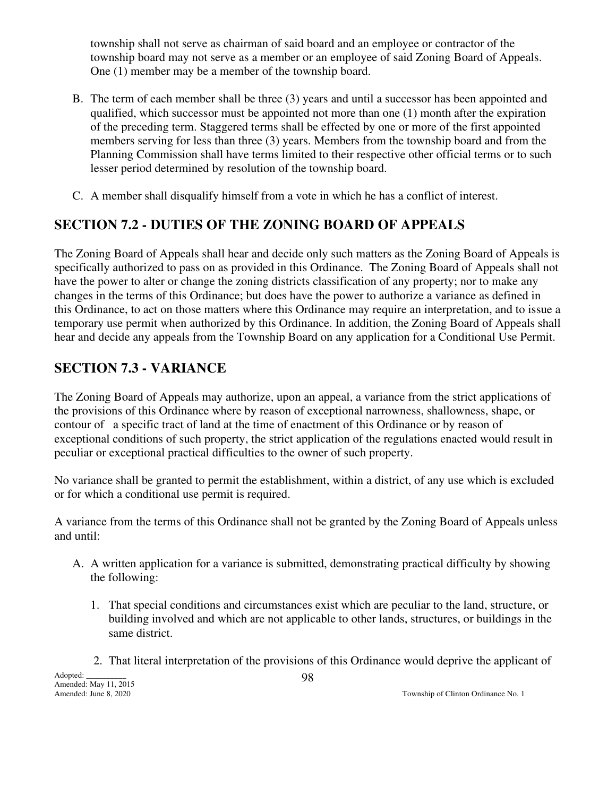township shall not serve as chairman of said board and an employee or contractor of the township board may not serve as a member or an employee of said Zoning Board of Appeals. One (1) member may be a member of the township board.

- B. The term of each member shall be three (3) years and until a successor has been appointed and qualified, which successor must be appointed not more than one (1) month after the expiration of the preceding term. Staggered terms shall be effected by one or more of the first appointed members serving for less than three (3) years. Members from the township board and from the Planning Commission shall have terms limited to their respective other official terms or to such lesser period determined by resolution of the township board.
- C. A member shall disqualify himself from a vote in which he has a conflict of interest.

## **SECTION 7.2 - DUTIES OF THE ZONING BOARD OF APPEALS**

The Zoning Board of Appeals shall hear and decide only such matters as the Zoning Board of Appeals is specifically authorized to pass on as provided in this Ordinance. The Zoning Board of Appeals shall not have the power to alter or change the zoning districts classification of any property; nor to make any changes in the terms of this Ordinance; but does have the power to authorize a variance as defined in this Ordinance, to act on those matters where this Ordinance may require an interpretation, and to issue a temporary use permit when authorized by this Ordinance. In addition, the Zoning Board of Appeals shall hear and decide any appeals from the Township Board on any application for a Conditional Use Permit.

## **SECTION 7.3 - VARIANCE**

The Zoning Board of Appeals may authorize, upon an appeal, a variance from the strict applications of the provisions of this Ordinance where by reason of exceptional narrowness, shallowness, shape, or contour of a specific tract of land at the time of enactment of this Ordinance or by reason of exceptional conditions of such property, the strict application of the regulations enacted would result in peculiar or exceptional practical difficulties to the owner of such property.

No variance shall be granted to permit the establishment, within a district, of any use which is excluded or for which a conditional use permit is required.

A variance from the terms of this Ordinance shall not be granted by the Zoning Board of Appeals unless and until:

- A. A written application for a variance is submitted, demonstrating practical difficulty by showing the following:
	- 1. That special conditions and circumstances exist which are peculiar to the land, structure, or building involved and which are not applicable to other lands, structures, or buildings in the same district.
	- 2. That literal interpretation of the provisions of this Ordinance would deprive the applicant of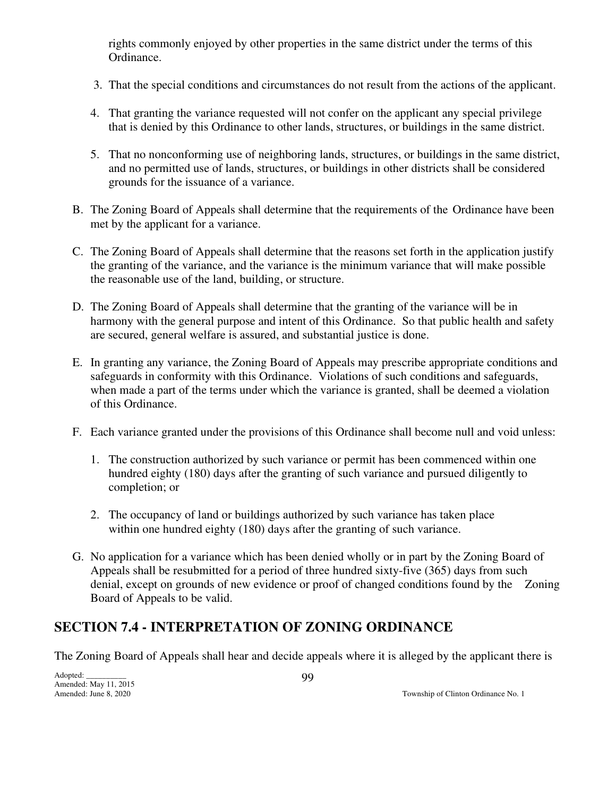rights commonly enjoyed by other properties in the same district under the terms of this Ordinance.

- 3. That the special conditions and circumstances do not result from the actions of the applicant.
- 4. That granting the variance requested will not confer on the applicant any special privilege that is denied by this Ordinance to other lands, structures, or buildings in the same district.
- 5. That no nonconforming use of neighboring lands, structures, or buildings in the same district, and no permitted use of lands, structures, or buildings in other districts shall be considered grounds for the issuance of a variance.
- B. The Zoning Board of Appeals shall determine that the requirements of the Ordinance have been met by the applicant for a variance.
- C. The Zoning Board of Appeals shall determine that the reasons set forth in the application justify the granting of the variance, and the variance is the minimum variance that will make possible the reasonable use of the land, building, or structure.
- D. The Zoning Board of Appeals shall determine that the granting of the variance will be in harmony with the general purpose and intent of this Ordinance. So that public health and safety are secured, general welfare is assured, and substantial justice is done.
- E. In granting any variance, the Zoning Board of Appeals may prescribe appropriate conditions and safeguards in conformity with this Ordinance. Violations of such conditions and safeguards, when made a part of the terms under which the variance is granted, shall be deemed a violation of this Ordinance.
- F. Each variance granted under the provisions of this Ordinance shall become null and void unless:
	- 1. The construction authorized by such variance or permit has been commenced within one hundred eighty (180) days after the granting of such variance and pursued diligently to completion; or
	- 2. The occupancy of land or buildings authorized by such variance has taken place within one hundred eighty (180) days after the granting of such variance.
- G. No application for a variance which has been denied wholly or in part by the Zoning Board of Appeals shall be resubmitted for a period of three hundred sixty-five (365) days from such denial, except on grounds of new evidence or proof of changed conditions found by the Zoning Board of Appeals to be valid.

## **SECTION 7.4 - INTERPRETATION OF ZONING ORDINANCE**

The Zoning Board of Appeals shall hear and decide appeals where it is alleged by the applicant there is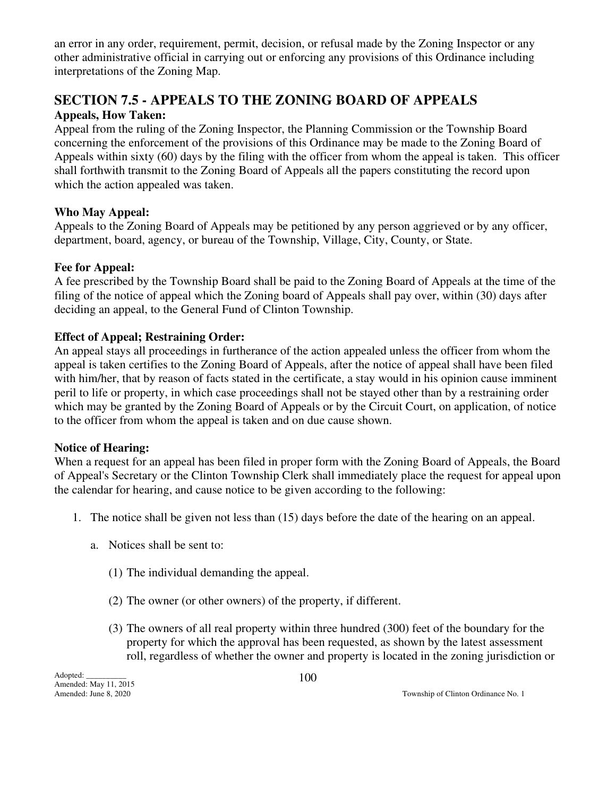an error in any order, requirement, permit, decision, or refusal made by the Zoning Inspector or any other administrative official in carrying out or enforcing any provisions of this Ordinance including interpretations of the Zoning Map.

# **SECTION 7.5 - APPEALS TO THE ZONING BOARD OF APPEALS**

## **Appeals, How Taken:**

Appeal from the ruling of the Zoning Inspector, the Planning Commission or the Township Board concerning the enforcement of the provisions of this Ordinance may be made to the Zoning Board of Appeals within sixty (60) days by the filing with the officer from whom the appeal is taken. This officer shall forthwith transmit to the Zoning Board of Appeals all the papers constituting the record upon which the action appealed was taken.

## **Who May Appeal:**

Appeals to the Zoning Board of Appeals may be petitioned by any person aggrieved or by any officer, department, board, agency, or bureau of the Township, Village, City, County, or State.

## **Fee for Appeal:**

A fee prescribed by the Township Board shall be paid to the Zoning Board of Appeals at the time of the filing of the notice of appeal which the Zoning board of Appeals shall pay over, within (30) days after deciding an appeal, to the General Fund of Clinton Township.

## **Effect of Appeal; Restraining Order:**

An appeal stays all proceedings in furtherance of the action appealed unless the officer from whom the appeal is taken certifies to the Zoning Board of Appeals, after the notice of appeal shall have been filed with him/her, that by reason of facts stated in the certificate, a stay would in his opinion cause imminent peril to life or property, in which case proceedings shall not be stayed other than by a restraining order which may be granted by the Zoning Board of Appeals or by the Circuit Court, on application, of notice to the officer from whom the appeal is taken and on due cause shown.

### **Notice of Hearing:**

When a request for an appeal has been filed in proper form with the Zoning Board of Appeals, the Board of Appeal's Secretary or the Clinton Township Clerk shall immediately place the request for appeal upon the calendar for hearing, and cause notice to be given according to the following:

- 1. The notice shall be given not less than (15) days before the date of the hearing on an appeal.
	- a. Notices shall be sent to:
		- (1) The individual demanding the appeal.
		- (2) The owner (or other owners) of the property, if different.
		- (3) The owners of all real property within three hundred (300) feet of the boundary for the property for which the approval has been requested, as shown by the latest assessment roll, regardless of whether the owner and property is located in the zoning jurisdiction or

Adopted: \_\_\_\_\_\_\_\_\_\_ Amended: May 11, 2015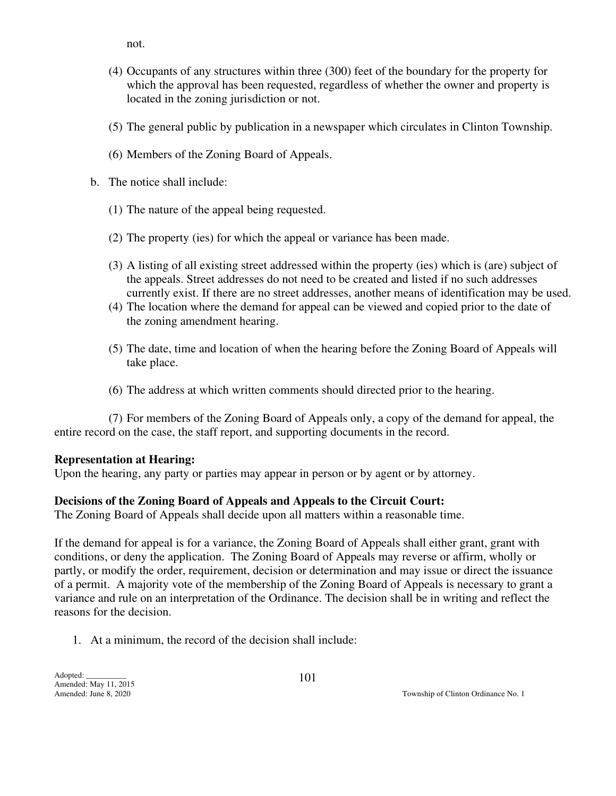not.

- (4) Occupants of any structures within three (300) feet of the boundary for the property for which the approval has been requested, regardless of whether the owner and property is located in the zoning jurisdiction or not.
- (5) The general public by publication in a newspaper which circulates in Clinton Township.
- (6) Members of the Zoning Board of Appeals.
- **b.** The notice shall include:
	- (1) The nature of the appeal being requested.
	- (2) The property (ies) for which the appeal or variance has been made.
	- (3) A listing of all existing street addressed within the property (ies) which is (are) subject of the appeals. Street addresses do not need to be created and listed if no such addresses currently exist. If there are no street addresses, another means of identification may be used.
	- (4) The location where the demand for appeal can be viewed and copied prior to the date of the zoning amendment hearing.
	- (5) The date, time and location of when the hearing before the Zoning Board of Appeals will take place.
	- (6) The address at which written comments should directed prior to the hearing.

 (7) For members of the Zoning Board of Appeals only, a copy of the demand for appeal, the entire record on the case, the staff report, and supporting documents in the record.

#### **Representation at Hearing:**

Upon the hearing, any party or parties may appear in person or by agent or by attorney.

#### **Decisions of the Zoning Board of Appeals and Appeals to the Circuit Court:**

The Zoning Board of Appeals shall decide upon all matters within a reasonable time.

If the demand for appeal is for a variance, the Zoning Board of Appeals shall either grant, grant with conditions, or deny the application. The Zoning Board of Appeals may reverse or affirm, wholly or partly, or modify the order, requirement, decision or determination and may issue or direct the issuance of a permit. A majority vote of the membership of the Zoning Board of Appeals is necessary to grant a variance and rule on an interpretation of the Ordinance. The decision shall be in writing and reflect the reasons for the decision.

1. At a minimum, the record of the decision shall include: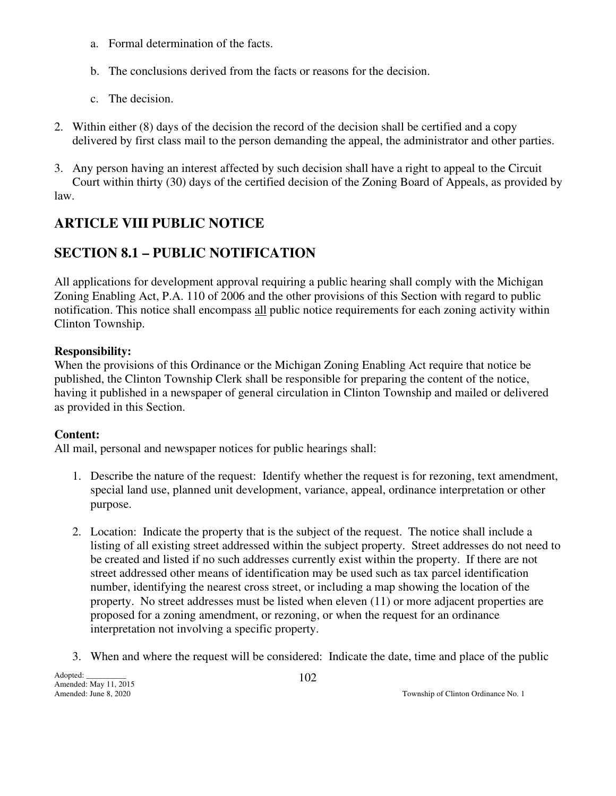- a. Formal determination of the facts.
- b. The conclusions derived from the facts or reasons for the decision.
- c. The decision.
- 2. Within either (8) days of the decision the record of the decision shall be certified and a copy delivered by first class mail to the person demanding the appeal, the administrator and other parties.
- 3. Any person having an interest affected by such decision shall have a right to appeal to the Circuit Court within thirty (30) days of the certified decision of the Zoning Board of Appeals, as provided by law.

## **ARTICLE VIII PUBLIC NOTICE**

## **SECTION 8.1 – PUBLIC NOTIFICATION**

All applications for development approval requiring a public hearing shall comply with the Michigan Zoning Enabling Act, P.A. 110 of 2006 and the other provisions of this Section with regard to public notification. This notice shall encompass all public notice requirements for each zoning activity within Clinton Township.

### **Responsibility:**

When the provisions of this Ordinance or the Michigan Zoning Enabling Act require that notice be published, the Clinton Township Clerk shall be responsible for preparing the content of the notice, having it published in a newspaper of general circulation in Clinton Township and mailed or delivered as provided in this Section.

### **Content:**

All mail, personal and newspaper notices for public hearings shall:

- 1. Describe the nature of the request: Identify whether the request is for rezoning, text amendment, special land use, planned unit development, variance, appeal, ordinance interpretation or other purpose.
- 2. Location: Indicate the property that is the subject of the request. The notice shall include a listing of all existing street addressed within the subject property. Street addresses do not need to be created and listed if no such addresses currently exist within the property. If there are not street addressed other means of identification may be used such as tax parcel identification number, identifying the nearest cross street, or including a map showing the location of the property. No street addresses must be listed when eleven (11) or more adjacent properties are proposed for a zoning amendment, or rezoning, or when the request for an ordinance interpretation not involving a specific property.
- 3. When and where the request will be considered: Indicate the date, time and place of the public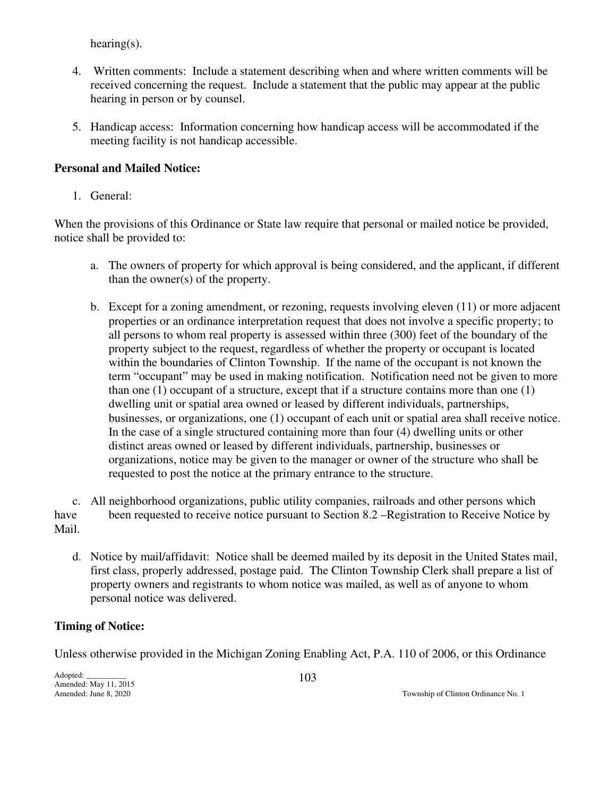hearing(s).

- 4. Written comments: Include a statement describing when and where written comments will be received concerning the request. Include a statement that the public may appear at the public hearing in person or by counsel.
- 5. Handicap access: Information concerning how handicap access will be accommodated if the meeting facility is not handicap accessible.

### **Personal and Mailed Notice:**

1. General:

When the provisions of this Ordinance or State law require that personal or mailed notice be provided, notice shall be provided to:

- a. The owners of property for which approval is being considered, and the applicant, if different than the owner(s) of the property.
- b. Except for a zoning amendment, or rezoning, requests involving eleven (11) or more adjacent properties or an ordinance interpretation request that does not involve a specific property; to all persons to whom real property is assessed within three (300) feet of the boundary of the property subject to the request, regardless of whether the property or occupant is located within the boundaries of Clinton Township. If the name of the occupant is not known the term "occupant" may be used in making notification. Notification need not be given to more than one (1) occupant of a structure, except that if a structure contains more than one (1) dwelling unit or spatial area owned or leased by different individuals, partnerships, businesses, or organizations, one (1) occupant of each unit or spatial area shall receive notice. In the case of a single structured containing more than four (4) dwelling units or other distinct areas owned or leased by different individuals, partnership, businesses or organizations, notice may be given to the manager or owner of the structure who shall be requested to post the notice at the primary entrance to the structure.

 c. All neighborhood organizations, public utility companies, railroads and other persons which have been requested to receive notice pursuant to Section 8.2 –Registration to Receive Notice by Mail.

 d. Notice by mail/affidavit: Notice shall be deemed mailed by its deposit in the United States mail, first class, properly addressed, postage paid. The Clinton Township Clerk shall prepare a list of property owners and registrants to whom notice was mailed, as well as of anyone to whom personal notice was delivered.

### **Timing of Notice:**

Unless otherwise provided in the Michigan Zoning Enabling Act, P.A. 110 of 2006, or this Ordinance

Adopted: \_\_\_\_\_\_\_\_\_\_ Amended: May 11, 2015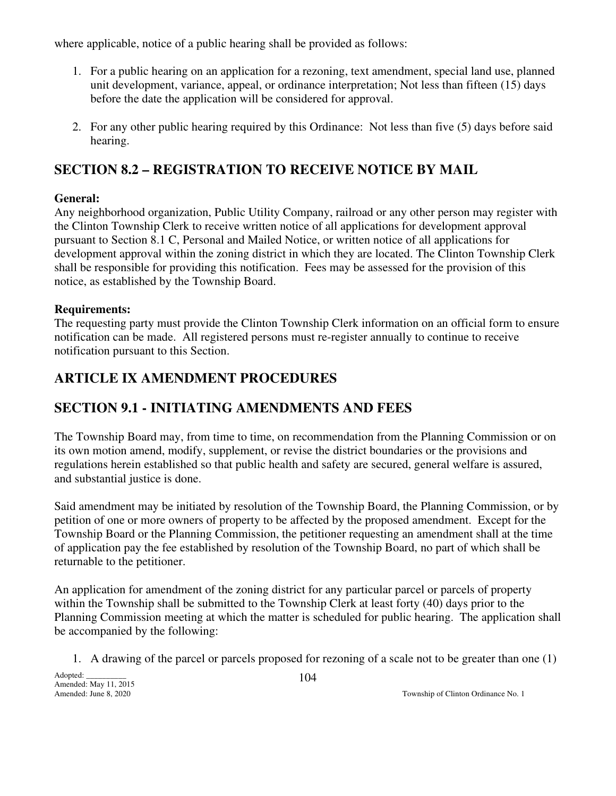where applicable, notice of a public hearing shall be provided as follows:

- 1. For a public hearing on an application for a rezoning, text amendment, special land use, planned unit development, variance, appeal, or ordinance interpretation; Not less than fifteen (15) days before the date the application will be considered for approval.
- 2. For any other public hearing required by this Ordinance: Not less than five (5) days before said hearing.

## **SECTION 8.2 – REGISTRATION TO RECEIVE NOTICE BY MAIL**

### **General:**

Any neighborhood organization, Public Utility Company, railroad or any other person may register with the Clinton Township Clerk to receive written notice of all applications for development approval pursuant to Section 8.1 C, Personal and Mailed Notice, or written notice of all applications for development approval within the zoning district in which they are located. The Clinton Township Clerk shall be responsible for providing this notification. Fees may be assessed for the provision of this notice, as established by the Township Board.

## **Requirements:**

The requesting party must provide the Clinton Township Clerk information on an official form to ensure notification can be made. All registered persons must re-register annually to continue to receive notification pursuant to this Section.

## **ARTICLE IX AMENDMENT PROCEDURES**

## **SECTION 9.1 - INITIATING AMENDMENTS AND FEES**

The Township Board may, from time to time, on recommendation from the Planning Commission or on its own motion amend, modify, supplement, or revise the district boundaries or the provisions and regulations herein established so that public health and safety are secured, general welfare is assured, and substantial justice is done.

Said amendment may be initiated by resolution of the Township Board, the Planning Commission, or by petition of one or more owners of property to be affected by the proposed amendment. Except for the Township Board or the Planning Commission, the petitioner requesting an amendment shall at the time of application pay the fee established by resolution of the Township Board, no part of which shall be returnable to the petitioner.

An application for amendment of the zoning district for any particular parcel or parcels of property within the Township shall be submitted to the Township Clerk at least forty (40) days prior to the Planning Commission meeting at which the matter is scheduled for public hearing. The application shall be accompanied by the following:

1. A drawing of the parcel or parcels proposed for rezoning of a scale not to be greater than one (1)

Adopted: Amended: May 11, 2015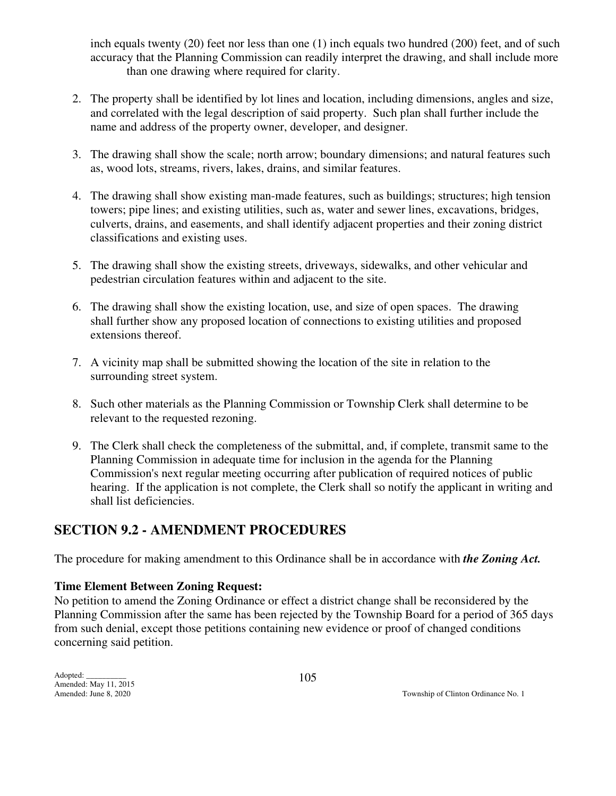inch equals twenty (20) feet nor less than one (1) inch equals two hundred (200) feet, and of such accuracy that the Planning Commission can readily interpret the drawing, and shall include more than one drawing where required for clarity.

- 2. The property shall be identified by lot lines and location, including dimensions, angles and size, and correlated with the legal description of said property. Such plan shall further include the name and address of the property owner, developer, and designer.
- 3. The drawing shall show the scale; north arrow; boundary dimensions; and natural features such as, wood lots, streams, rivers, lakes, drains, and similar features.
- 4. The drawing shall show existing man-made features, such as buildings; structures; high tension towers; pipe lines; and existing utilities, such as, water and sewer lines, excavations, bridges, culverts, drains, and easements, and shall identify adjacent properties and their zoning district classifications and existing uses.
- 5. The drawing shall show the existing streets, driveways, sidewalks, and other vehicular and pedestrian circulation features within and adjacent to the site.
- 6. The drawing shall show the existing location, use, and size of open spaces. The drawing shall further show any proposed location of connections to existing utilities and proposed extensions thereof.
- 7. A vicinity map shall be submitted showing the location of the site in relation to the surrounding street system.
- 8. Such other materials as the Planning Commission or Township Clerk shall determine to be relevant to the requested rezoning.
- 9. The Clerk shall check the completeness of the submittal, and, if complete, transmit same to the Planning Commission in adequate time for inclusion in the agenda for the Planning Commission's next regular meeting occurring after publication of required notices of public hearing. If the application is not complete, the Clerk shall so notify the applicant in writing and shall list deficiencies.

## **SECTION 9.2 - AMENDMENT PROCEDURES**

The procedure for making amendment to this Ordinance shall be in accordance with *the Zoning Act.*

## **Time Element Between Zoning Request:**

No petition to amend the Zoning Ordinance or effect a district change shall be reconsidered by the Planning Commission after the same has been rejected by the Township Board for a period of 365 days from such denial, except those petitions containing new evidence or proof of changed conditions concerning said petition.

Adopted: \_\_\_\_\_\_\_\_\_\_ Amended: May 11, 2015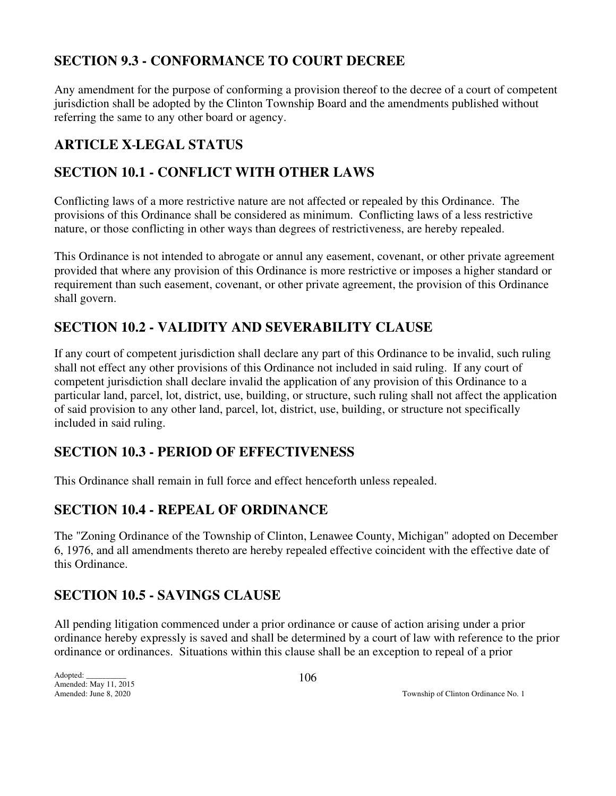## **SECTION 9.3 - CONFORMANCE TO COURT DECREE**

Any amendment for the purpose of conforming a provision thereof to the decree of a court of competent jurisdiction shall be adopted by the Clinton Township Board and the amendments published without referring the same to any other board or agency.

## **ARTICLE X LEGAL STATUS**

## **SECTION 10.1 - CONFLICT WITH OTHER LAWS**

Conflicting laws of a more restrictive nature are not affected or repealed by this Ordinance. The provisions of this Ordinance shall be considered as minimum. Conflicting laws of a less restrictive nature, or those conflicting in other ways than degrees of restrictiveness, are hereby repealed.

This Ordinance is not intended to abrogate or annul any easement, covenant, or other private agreement provided that where any provision of this Ordinance is more restrictive or imposes a higher standard or requirement than such easement, covenant, or other private agreement, the provision of this Ordinance shall govern.

## **SECTION 10.2 - VALIDITY AND SEVERABILITY CLAUSE**

If any court of competent jurisdiction shall declare any part of this Ordinance to be invalid, such ruling shall not effect any other provisions of this Ordinance not included in said ruling. If any court of competent jurisdiction shall declare invalid the application of any provision of this Ordinance to a particular land, parcel, lot, district, use, building, or structure, such ruling shall not affect the application of said provision to any other land, parcel, lot, district, use, building, or structure not specifically included in said ruling.

## **SECTION 10.3 - PERIOD OF EFFECTIVENESS**

This Ordinance shall remain in full force and effect henceforth unless repealed.

## **SECTION 10.4 - REPEAL OF ORDINANCE**

The "Zoning Ordinance of the Township of Clinton, Lenawee County, Michigan" adopted on December 6, 1976, and all amendments thereto are hereby repealed effective coincident with the effective date of this Ordinance.

## **SECTION 10.5 - SAVINGS CLAUSE**

All pending litigation commenced under a prior ordinance or cause of action arising under a prior ordinance hereby expressly is saved and shall be determined by a court of law with reference to the prior ordinance or ordinances. Situations within this clause shall be an exception to repeal of a prior